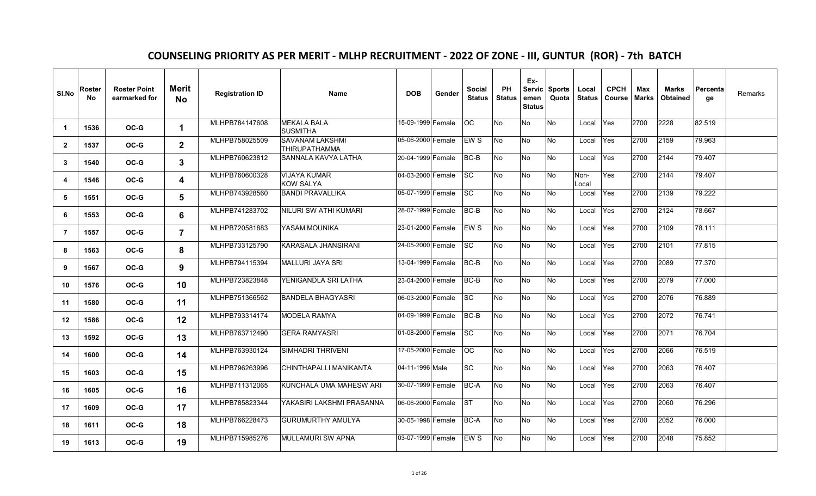## **COUNSELING PRIORITY AS PER MERIT - MLHP RECRUITMENT - 2022 OF ZONE - III, GUNTUR (ROR) - 7th BATCH**

| SI.No            | Roster<br>No. | <b>Roster Point</b><br>earmarked for | Merit<br><b>No</b> | <b>Registration ID</b> | <b>Name</b>                                    | <b>DOB</b>        | Gender | <b>Social</b><br><b>Status</b> | <b>PH</b><br><b>Status</b> | Ex-<br>emen<br><b>Status</b> | Servic Sports<br>Quota | Local<br><b>Status</b> | <b>CPCH</b><br>Course | Max<br>Marks | Marks<br>Obtained | Percenta<br>ge | Remarks |
|------------------|---------------|--------------------------------------|--------------------|------------------------|------------------------------------------------|-------------------|--------|--------------------------------|----------------------------|------------------------------|------------------------|------------------------|-----------------------|--------------|-------------------|----------------|---------|
| $\mathbf 1$      | 1536          | OC-G                                 | 1                  | MLHPB784147608         | <b>MEKALA BALA</b><br><b>SUSMITHA</b>          | 15-09-1999 Female |        | 8                              | No                         | No                           | No                     | Local                  | Yes                   | 2700         | 2228              | 82.519         |         |
| $\mathbf{2}$     | 1537          | OC-G                                 | $\mathbf{2}$       | MLHPB758025509         | <b>SAVANAM LAKSHMI</b><br><b>THIRUPATHAMMA</b> | 05-06-2000 Female |        | EW S                           | No.                        | No.                          | No                     | Local                  | <b>Yes</b>            | 2700         | 2159              | 79.963         |         |
| 3                | 1540          | OC-G                                 | 3                  | MLHPB760623812         | SANNALA KAVYA LATHA                            | 20-04-1999 Female |        | BC-B                           | No                         | No                           | No                     | Local                  | Yes                   | 2700         | 2144              | 79.407         |         |
| $\boldsymbol{4}$ | 1546          | OC-G                                 | 4                  | MLHPB760600328         | <b>VIJAYA KUMAR</b><br><b>KOW SALYA</b>        | 04-03-2000 Female |        | <b>SC</b>                      | No                         | <b>No</b>                    | No                     | Non-<br>Local          | Yes                   | 2700         | 2144              | 79.407         |         |
| 5                | 1551          | OC-G                                 | 5                  | MLHPB743928560         | <b>BANDI PRAVALLIKA</b>                        | 05-07-1999 Female |        | SC.                            | No                         | No                           | No                     | Local                  | Yes                   | 2700         | 2139              | 79.222         |         |
| 6                | 1553          | OC-G                                 | 6                  | MLHPB741283702         | NILURI SW ATHI KUMARI                          | 28-07-1999 Female |        | $BC-B$                         | No                         | No                           | $\overline{R}$         | Local                  | Yes                   | 2700         | 2124              | 78.667         |         |
| $\overline{7}$   | 1557          | $OC-G$                               | $\overline{7}$     | MLHPB720581883         | YASAM MOUNIKA                                  | 23-01-2000 Female |        | EW <sub>S</sub>                | No                         | No                           | No                     | Local                  | Yes                   | 2700         | 2109              | 78.111         |         |
| 8                | 1563          | $OC-G$                               | 8                  | MLHPB733125790         | KARASALA JHANSIRANI                            | 24-05-2000 Female |        | SC                             | No                         | No                           | No                     | Local                  | Yes                   | 2700         | 2101              | 77.815         |         |
| 9                | 1567          | OC-G                                 | 9                  | MLHPB794115394         | MALLURI JAYA SRI                               | 13-04-1999 Female |        | BC-B                           | No                         | <b>No</b>                    | No                     | Local                  | Yes                   | 2700         | 2089              | 77.370         |         |
| 10               | 1576          | OC-G                                 | 10                 | MLHPB723823848         | YENIGANDLA SRI LATHA                           | 23-04-2000 Female |        | BC-B                           | No                         | No                           | No                     | Local                  | Yes                   | 2700         | 2079              | 77.000         |         |
| 11               | 1580          | OC-G                                 | 11                 | MLHPB751366562         | <b>BANDELA BHAGYASRI</b>                       | 06-03-2000 Female |        | <b>SC</b>                      | No                         | No                           | No                     | Local                  | Yes                   | 2700         | 2076              | 76.889         |         |
| $12 \,$          | 1586          | OC-G                                 | 12                 | MLHPB793314174         | <b>MODELA RAMYA</b>                            | 04-09-1999 Female |        | BC-B                           | No                         | No                           | No                     | Local                  | Yes                   | 2700         | 2072              | 76.741         |         |
| 13               | 1592          | OC-G                                 | 13                 | MLHPB763712490         | <b>GERA RAMYASRI</b>                           | 01-08-2000 Female |        | ISC.                           | No                         | No                           | No                     | Local                  | Yes                   | 2700         | 2071              | 76.704         |         |
| 14               | 1600          | OC-G                                 | 14                 | MLHPB763930124         | <b>SIMHADRI THRIVENI</b>                       | 17-05-2000 Female |        | OC.                            | No                         | No                           | No                     | Local                  | Yes                   | 2700         | 2066              | 76.519         |         |
| 15               | 1603          | OC-G                                 | 15                 | MLHPB796263996         | CHINTHAPALLI MANIKANTA                         | 04-11-1996 Male   |        | SC                             | No                         | No                           | $\overline{N_{0}}$     | Local                  | Yes                   | 2700         | 2063              | 76.407         |         |
| 16               | 1605          | OC-G                                 | 16                 | MLHPB711312065         | KUNCHALA UMA MAHESW ARI                        | 30-07-1999 Female |        | BC-A                           | No.                        | No                           | No                     | Local                  | Yes                   | 2700         | 2063              | 76.407         |         |
| 17               | 1609          | OC-G                                 | 17                 | MLHPB785823344         | YAKASIRI LAKSHMI PRASANNA                      | 06-06-2000 Female |        | <b>IST</b>                     | No.                        | No                           | No                     | Local                  | <b>Yes</b>            | 2700         | 2060              | 76.296         |         |
| 18               | 1611          | $OC-G$                               | 18                 | MLHPB766228473         | <b>GURUMURTHY AMULYA</b>                       | 30-05-1998 Female |        | BC-A                           | No.                        | No                           | No                     | Local                  | Yes                   | 2700         | 2052              | 76.000         |         |
| 19               | 1613          | OC-G                                 | 19                 | MLHPB715985276         | <b>MULLAMURI SW APNA</b>                       | 03-07-1999 Female |        | EW S                           | No                         | No                           | No                     | Local                  | Yes                   | 2700         | 2048              | 75.852         |         |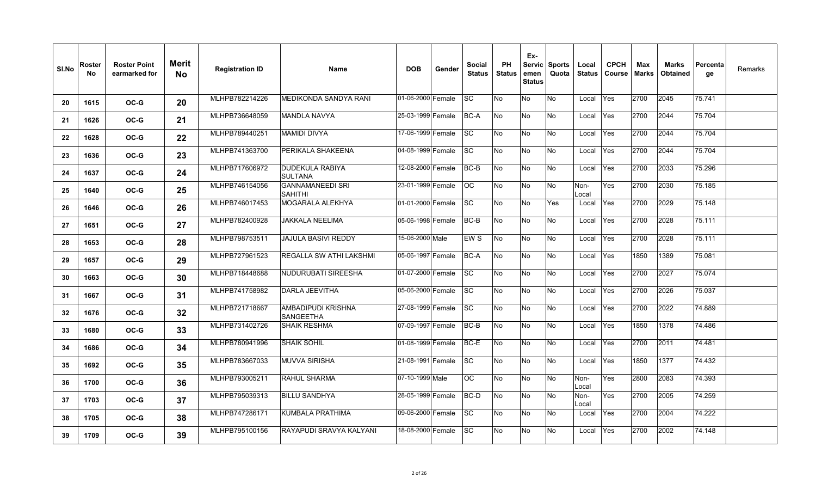| SI.No | Roster<br>No. | <b>Roster Point</b><br>earmarked for | Merit<br>No | <b>Registration ID</b> | <b>Name</b>                               | <b>DOB</b>        | Gender | Social<br><b>Status</b> | PH<br><b>Status</b> | Ex-<br>emen<br><b>Status</b> | Servic Sports<br>Quota | Local<br><b>Status</b> | <b>CPCH</b><br>Course | Max<br><b>Marks</b> | <b>Marks</b><br><b>Obtained</b> | Percenta<br>ge | Remarks |
|-------|---------------|--------------------------------------|-------------|------------------------|-------------------------------------------|-------------------|--------|-------------------------|---------------------|------------------------------|------------------------|------------------------|-----------------------|---------------------|---------------------------------|----------------|---------|
| 20    | 1615          | OC-G                                 | 20          | MLHPB782214226         | MEDIKONDA SANDYA RANI                     | 01-06-2000 Female |        | SC.                     | No                  | No                           | <b>No</b>              | Local                  | Yes                   | 2700                | 2045                            | 75.741         |         |
| 21    | 1626          | $OC-G$                               | 21          | MLHPB736648059         | <b>MANDLA NAVYA</b>                       | 25-03-1999 Female |        | BC-A                    | <b>No</b>           | No                           | <b>No</b>              | Local                  | Yes                   | 2700                | 2044                            | 75.704         |         |
| 22    | 1628          | OC-G                                 | 22          | MLHPB789440251         | <b>MAMIDI DIVYA</b>                       | 17-06-1999 Female |        | <b>SC</b>               | No                  | No                           | No                     | Local                  | Yes                   | 2700                | 2044                            | 75.704         |         |
| 23    | 1636          | OC-G                                 | 23          | MLHPB741363700         | PERIKALA SHAKEENA                         | 04-08-1999 Female |        | <b>SC</b>               | <b>No</b>           | No                           | <b>No</b>              | Local                  | Yes                   | 2700                | 2044                            | 75.704         |         |
| 24    | 1637          | OC-G                                 | 24          | MLHPB717606972         | DUDEKULA RABIYA<br><b>SULTANA</b>         | 12-08-2000 Female |        | BC-B                    | No                  | No                           | <b>No</b>              | Local                  | Yes                   | 2700                | 2033                            | 75.296         |         |
| 25    | 1640          | OC-G                                 | 25          | MLHPB746154056         | <b>GANNAMANEEDI SRI</b><br><b>SAHITHI</b> | 23-01-1999 Female |        | OC.                     | No                  | No                           | No                     | Non-<br>Local          | Yes                   | 2700                | 2030                            | 75.185         |         |
| 26    | 1646          | $OC-G$                               | 26          | MLHPB746017453         | MOGARALA ALEKHYA                          | 01-01-2000 Female |        | <b>SC</b>               | <b>No</b>           | No                           | Yes                    | Local                  | Yes                   | 2700                | 2029                            | 75.148         |         |
| 27    | 1651          | OC-G                                 | 27          | MLHPB782400928         | JAKKALA NEELIMA                           | 05-06-1998 Female |        | BC-B                    | No                  | No                           | <b>No</b>              | Local                  | Yes                   | 2700                | 2028                            | 75.111         |         |
| 28    | 1653          | OC-G                                 | 28          | MLHPB798753511         | <b>JAJULA BASIVI REDDY</b>                | 15-06-2000 Male   |        | EW S                    | No                  | No                           | No.                    | Local                  | Yes                   | 2700                | 2028                            | 75.111         |         |
| 29    | 1657          | OC-G                                 | 29          | MLHPB727961523         | REGALLA SW ATHI LAKSHMI                   | 05-06-1997 Female |        | BC-A                    | No                  | No                           | No                     | Local                  | Yes                   | 1850                | 1389                            | 75.081         |         |
| 30    | 1663          | OC-G                                 | 30          | MLHPB718448688         | <b>NUDURUBATI SIREESHA</b>                | 01-07-2000 Female |        | <b>SC</b>               | No                  | No                           | No                     | Local                  | Yes                   | 2700                | 2027                            | 75.074         |         |
| 31    | 1667          | OC-G                                 | 31          | MLHPB741758982         | DARLA JEEVITHA                            | 05-06-2000 Female |        | <b>SC</b>               | No                  | No                           | <b>No</b>              | Local                  | Yes                   | 2700                | 2026                            | 75.037         |         |
| 32    | 1676          | $OC-G$                               | 32          | MLHPB721718667         | AMBADIPUDI KRISHNA<br><b>SANGEETHA</b>    | 27-08-1999 Female |        | <b>SC</b>               | No                  | No                           | No                     | Local                  | Yes                   | 2700                | 2022                            | 74.889         |         |
| 33    | 1680          | OC-G                                 | 33          | MLHPB731402726         | <b>SHAIK RESHMA</b>                       | 07-09-1997 Female |        | BC-B                    | No                  | No                           | No                     | Local                  | Yes                   | 1850                | 1378                            | 74.486         |         |
| 34    | 1686          | OC-G                                 | 34          | MLHPB780941996         | <b>SHAIK SOHIL</b>                        | 01-08-1999 Female |        | BC-E                    | <b>No</b>           | No                           | <b>No</b>              | Local                  | Yes                   | 2700                | 2011                            | 74.481         |         |
| 35    | 1692          | OC-G                                 | 35          | MLHPB783667033         | <b>MUVVA SIRISHA</b>                      | 21-08-1991 Female |        | <b>SC</b>               | <b>No</b>           | No                           | <b>No</b>              | Local                  | Yes                   | 1850                | 1377                            | 74.432         |         |
| 36    | 1700          | OC-G                                 | 36          | MLHPB793005211         | RAHUL SHARMA                              | 07-10-1999 Male   |        | OC.                     | No                  | No                           | <b>No</b>              | Non-<br>Local          | Yes                   | 2800                | 2083                            | 74.393         |         |
| 37    | 1703          | OC-G                                 | 37          | MLHPB795039313         | <b>BILLU SANDHYA</b>                      | 28-05-1999 Female |        | BC-D                    | <b>No</b>           | No                           | <b>No</b>              | Non-<br>Local          | Yes                   | 2700                | 2005                            | 74.259         |         |
| 38    | 1705          | OC-G                                 | 38          | MLHPB747286171         | KUMBALA PRATHIMA                          | 09-06-2000 Female |        | SC                      | No                  | No                           | No                     | Local                  | Yes                   | 2700                | 2004                            | 74.222         |         |
| 39    | 1709          | OC-G                                 | 39          | MLHPB795100156         | RAYAPUDI SRAVYA KALYANI                   | 18-08-2000 Female |        | <b>SC</b>               | No                  | No                           | No                     | Local                  | Yes                   | 2700                | 2002                            | 74.148         |         |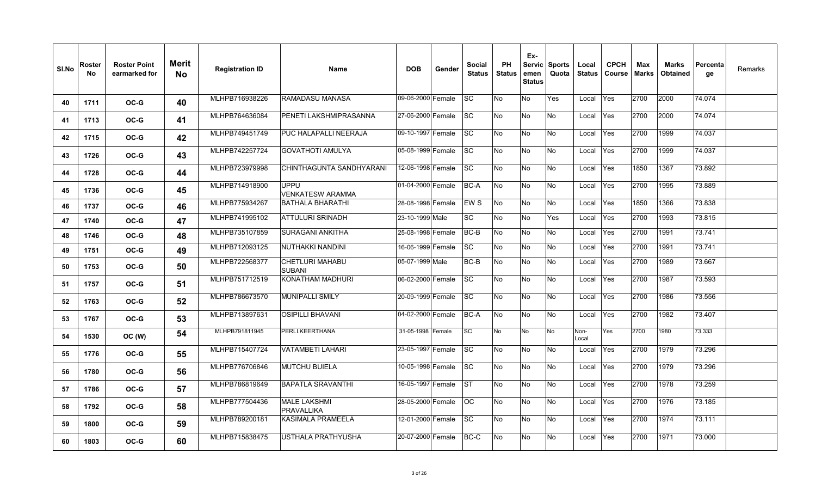| SI.No | Roster<br>No. | <b>Roster Point</b><br>earmarked for | <b>Merit</b><br><b>No</b> | <b>Registration ID</b> | Name                                     | <b>DOB</b>        | Gender | <b>Social</b><br><b>Status</b> | <b>PH</b><br><b>Status</b> | Ex-<br>emen<br><b>Status</b> | Servic Sports<br>Quota | Local<br><b>Status</b> | <b>CPCH</b><br><b>Course</b> | Max<br><b>Marks</b> | Marks<br><b>Obtained</b> | ∣Percenta<br>ge | Remarks |
|-------|---------------|--------------------------------------|---------------------------|------------------------|------------------------------------------|-------------------|--------|--------------------------------|----------------------------|------------------------------|------------------------|------------------------|------------------------------|---------------------|--------------------------|-----------------|---------|
| 40    | 1711          | OC-G                                 | 40                        | MLHPB716938226         | RAMADASU MANASA                          | 09-06-2000 Female |        | <b>SC</b>                      | No                         | <b>No</b>                    | Yes                    | Local                  | Yes                          | 2700                | 2000                     | 74.074          |         |
| 41    | 1713          | OC-G                                 | 41                        | MLHPB764636084         | PENETI LAKSHMIPRASANNA                   | 27-06-2000 Female |        | lSC.                           | No                         | <b>No</b>                    | No                     | Local                  | <b>Yes</b>                   | 2700                | 2000                     | 74.074          |         |
| 42    | 1715          | OC-G                                 | 42                        | MLHPB749451749         | PUC HALAPALLI NEERAJA                    | 09-10-1997 Female |        | <b>SC</b>                      | No                         | No                           | No                     | Local                  | Yes                          | 2700                | 1999                     | 74.037          |         |
| 43    | 1726          | $OC-G$                               | 43                        | MLHPB742257724         | <b>GOVATHOTI AMULYA</b>                  | 05-08-1999 Female |        | <b>SC</b>                      | No                         | No                           | No                     | Local                  | Yes                          | 2700                | 1999                     | 74.037          |         |
| 44    | 1728          | OC-G                                 | 44                        | MLHPB723979998         | CHINTHAGUNTA SANDHYARANI                 | 12-06-1998 Female |        | $ \mathrm{SC} $                | No                         | <b>No</b>                    | No                     | Local                  | Yes                          | 1850                | 1367                     | 73.892          |         |
| 45    | 1736          | OC-G                                 | 45                        | MLHPB714918900         | <b>UPPU</b><br><b>VENKATESW ARAMMA</b>   | 01-04-2000 Female |        | <b>BC-A</b>                    | No                         | No.                          | No                     | Local                  | Yes                          | 2700                | 1995                     | 73.889          |         |
| 46    | 1737          | OC-G                                 | 46                        | MLHPB775934267         | <b>BATHALA BHARATHI</b>                  | 28-08-1998 Female |        | EW <sub>S</sub>                | No                         | No                           | No                     | Local                  | Yes                          | 1850                | 1366                     | 73.838          |         |
| 47    | 1740          | OC-G                                 | 47                        | MLHPB741995102         | <b>ATTULURI SRINADH</b>                  | 23-10-1999 Male   |        | <b>SC</b>                      | No                         | <b>No</b>                    | Yes                    | Local                  | Yes                          | 2700                | 1993                     | 73.815          |         |
| 48    | 1746          | OC-G                                 | 48                        | MLHPB735107859         | <b>SURAGANI ANKITHA</b>                  | 25-08-1998 Female |        | <b>BC-B</b>                    | No                         | <b>No</b>                    | No                     | Local                  | Yes                          | 2700                | 1991                     | 73.741          |         |
| 49    | 1751          | OC-G                                 | 49                        | MLHPB712093125         | NUTHAKKI NANDINI                         | 16-06-1999 Female |        | <b>SC</b>                      | No                         | <b>No</b>                    | No                     | Local                  | Yes                          | 2700                | 1991                     | 73.741          |         |
| 50    | 1753          | OC-G                                 | 50                        | MLHPB722568377         | <b>CHETLURI MAHABU</b><br><b>SUBANI</b>  | 05-07-1999 Male   |        | BC-B                           | No                         | No                           | No                     | Local                  | Yes                          | 2700                | 1989                     | 73.667          |         |
| 51    | 1757          | OC-G                                 | 51                        | MLHPB751712519         | KONATHAM MADHURI                         | 06-02-2000 Female |        | <b>SC</b>                      | No                         | No                           | No                     | Local                  | Yes                          | 2700                | 1987                     | 73.593          |         |
| 52    | 1763          | OC-G                                 | 52                        | MLHPB786673570         | <b>MUNIPALLI SMILY</b>                   | 20-09-1999 Female |        | <b>SC</b>                      | No                         | No                           | No                     | Local                  | Yes                          | 2700                | 1986                     | 73.556          |         |
| 53    | 1767          | OC-G                                 | 53                        | MLHPB713897631         | <b>OSIPILLI BHAVANI</b>                  | 04-02-2000 Female |        | <b>BC-A</b>                    | No                         | No                           | No                     | Local                  | <b>Yes</b>                   | 2700                | 1982                     | 73.407          |         |
| 54    | 1530          | OC (W)                               | 54                        | MLHPB791811945         | PERLI.KEERTHANA                          | 31-05-1998 Female |        | SC                             | No                         | No                           | <b>No</b>              | Non-<br>Local          | Yes                          | 2700                | 1980                     | 73.333          |         |
| 55    | 1776          | OC-G                                 | 55                        | MLHPB715407724         | <b>VATAMBETI LAHARI</b>                  | 23-05-1997 Female |        | <b>SC</b>                      | No                         | No.                          | No                     | Local                  | <b>Yes</b>                   | 2700                | 1979                     | 73.296          |         |
| 56    | 1780          | OC-G                                 | 56                        | MLHPB776706846         | <b>MUTCHU BUIELA</b>                     | 10-05-1998 Female |        | <b>SC</b>                      | No                         | No                           | No                     | Local                  | Yes                          | 2700                | 1979                     | 73.296          |         |
| 57    | 1786          | OC-G                                 | 57                        | MLHPB786819649         | <b>BAPATLA SRAVANTHI</b>                 | 16-05-1997 Female |        | <b>ST</b>                      | No                         | No                           | No                     | Local                  | Yes                          | 2700                | 1978                     | 73.259          |         |
| 58    | 1792          | OC-G                                 | 58                        | MLHPB777504436         | <b>MALE LAKSHMI</b><br><b>PRAVALLIKA</b> | 28-05-2000 Female |        | OC.                            | No                         | No                           | No                     | Local                  | Yes                          | 2700                | 1976                     | 73.185          |         |
| 59    | 1800          | OC-G                                 | 59                        | MLHPB789200181         | <b>KASIMALA PRAMEELA</b>                 | 12-01-2000 Female |        | <b>SC</b>                      | No                         | <b>No</b>                    | No                     | Local                  | Yes                          | 2700                | 1974                     | 73.111          |         |
| 60    | 1803          | OC-G                                 | 60                        | MLHPB715838475         | USTHALA PRATHYUSHA                       | 20-07-2000 Female |        | BC-C                           | No                         | No.                          | No                     | Local                  | <b>Yes</b>                   | 2700                | 1971                     | 73.000          |         |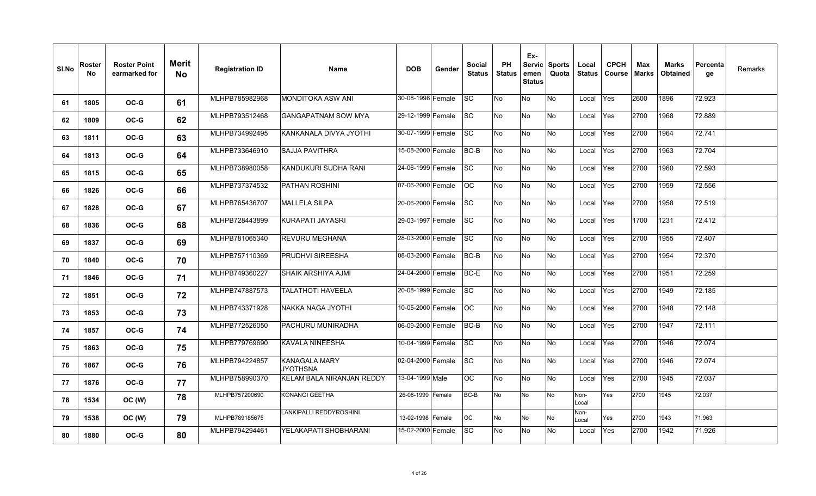| SI.No | Roster<br>No. | <b>Roster Point</b><br>earmarked for | Merit<br>No. | <b>Registration ID</b> | Name                                    | <b>DOB</b>        | Gender | Social<br><b>Status</b> | <b>PH</b><br><b>Status</b> | Ex-<br>emen<br><b>Status</b> | Servic Sports<br>Quota | Local<br><b>Status</b> | <b>CPCH</b><br><b>Course</b> | Max<br>Marks | Marks<br>Obtained | Percenta<br>ge | Remarks |
|-------|---------------|--------------------------------------|--------------|------------------------|-----------------------------------------|-------------------|--------|-------------------------|----------------------------|------------------------------|------------------------|------------------------|------------------------------|--------------|-------------------|----------------|---------|
| 61    | 1805          | $OC-G$                               | 61           | MLHPB785982968         | <b>MONDITOKA ASW ANI</b>                | 30-08-1998 Female |        | <b>SC</b>               | No                         | <b>No</b>                    | <b>No</b>              | Local                  | Yes                          | 2600         | 1896              | 72.923         |         |
| 62    | 1809          | OC-G                                 | 62           | MLHPB793512468         | GANGAPATNAM SOW MYA                     | 29-12-1999 Female |        | <b>ISC</b>              | No                         | No                           | No                     | Local                  | Yes                          | 2700         | 1968              | 72.889         |         |
| 63    | 1811          | OC-G                                 | 63           | MLHPB734992495         | KANKANALA DIVYA JYOTHI                  | 30-07-1999 Female |        | <b>SC</b>               | No                         | No                           | No.                    | Local                  | Yes                          | 2700         | 1964              | 72.741         |         |
| 64    | 1813          | $OC-G$                               | 64           | MLHPB733646910         | SAJJA PAVITHRA                          | 15-08-2000 Female |        | BC-B                    | No                         | No                           | No                     | Local                  | Yes                          | 2700         | 1963              | 72.704         |         |
| 65    | 1815          | OC-G                                 | 65           | MLHPB738980058         | KANDUKURI SUDHA RANI                    | 24-06-1999 Female |        | <b>SC</b>               | No                         | No.                          | No.                    | Local                  | Yes                          | 2700         | 1960              | 72.593         |         |
| 66    | 1826          | $OC-G$                               | 66           | MLHPB737374532         | PATHAN ROSHINI                          | 07-06-2000 Female |        | <b>OC</b>               | No                         | No                           | <b>No</b>              | Local                  | Yes                          | 2700         | 1959              | 72.556         |         |
| 67    | 1828          | OC-G                                 | 67           | MLHPB765436707         | <b>MALLELA SILPA</b>                    | 20-06-2000 Female |        | <b>SC</b>               | No                         | <b>No</b>                    | No.                    | Local                  | Yes                          | 2700         | 1958              | 72.519         |         |
| 68    | 1836          | OC-G                                 | 68           | MLHPB728443899         | KURAPATI JAYASRI                        | 29-03-1997 Female |        | <b>SC</b>               | No                         | No                           | No.                    | Local                  | <b>Yes</b>                   | 1700         | 1231              | 72.412         |         |
| 69    | 1837          | OC-G                                 | 69           | MLHPB781065340         | REVURU MEGHANA                          | 28-03-2000 Female |        | <b>SC</b>               | No                         | No                           | No.                    | Local                  | Yes                          | 2700         | 1955              | 72.407         |         |
| 70    | 1840          | OC-G                                 | 70           | MLHPB757110369         | <b>PRUDHVI SIREESHA</b>                 | 08-03-2000 Female |        | <b>BC-B</b>             | No                         | No                           | No.                    | Local                  | Yes                          | 2700         | 1954              | 72.370         |         |
| 71    | 1846          | $OC-G$                               | 71           | MLHPB749360227         | SHAIK ARSHIYA AJMI                      | 24-04-2000 Female |        | BC-E                    | No                         | No                           | No.                    | Local                  | Yes                          | 2700         | 1951              | 72.259         |         |
| 72    | 1851          | OC-G                                 | 72           | MLHPB747887573         | <b>TALATHOTI HAVEELA</b>                | 20-08-1999 Female |        | <b>SC</b>               | No                         | No                           | No                     | Local                  | Yes                          | 2700         | 1949              | 72.185         |         |
| 73    | 1853          | OC-G                                 | 73           | MLHPB743371928         | NAKKA NAGA JYOTHI                       | 10-05-2000 Female |        | OC.                     | No                         | No                           | No.                    | Local                  | Yes                          | 2700         | 1948              | 72.148         |         |
| 74    | 1857          | OC-G                                 | 74           | MLHPB772526050         | PACHURU MUNIRADHA                       | 06-09-2000 Female |        | <b>BC-B</b>             | No                         | No                           | No                     | Local                  | Yes                          | 2700         | 1947              | 72.111         |         |
| 75    | 1863          | OC-G                                 | 75           | MLHPB779769690         | KAVALA NINEESHA                         | 10-04-1999 Female |        | <b>ISC</b>              | No                         | No.                          | No.                    | Local                  | <b>Yes</b>                   | 2700         | 1946              | 72.074         |         |
| 76    | 1867          | $OC-G$                               | 76           | MLHPB794224857         | <b>KANAGALA MARY</b><br><b>JYOTHSNA</b> | 02-04-2000 Female |        | <b>SC</b>               | No                         | No                           | <b>No</b>              | Local                  | Yes                          | 2700         | 1946              | 72.074         |         |
| 77    | 1876          | OC-G                                 | 77           | MLHPB758990370         | KELAM BALA NIRANJAN REDDY               | 13-04-1999 Male   |        | OС                      | No                         | No                           | No.                    | Local                  | Yes                          | 2700         | 1945              | 72.037         |         |
| 78    | 1534          | OC (W)                               | 78           | MLHPB757200690         | KONANGI GEETHA                          | 26-08-1999 Female |        | BC-B                    | No                         | No                           | <b>No</b>              | Non-<br>Local          | Yes                          | 2700         | 1945              | 72.037         |         |
| 79    | 1538          | OC (W)                               | 79           | MLHPB789185675         | LANKIPALLI REDDYROSHINI                 | 13-02-1998 Female |        | <b>OC</b>               | No                         | No                           | No                     | Non-<br>Local          | Yes                          | 2700         | 1943              | 71.963         |         |
| 80    | 1880          | OC-G                                 | 80           | MLHPB794294461         | YELAKAPATI SHOBHARANI                   | 15-02-2000 Female |        | <b>SC</b>               | No                         | No                           | No.                    | Local                  | <b>IYes</b>                  | 2700         | 1942              | 71.926         |         |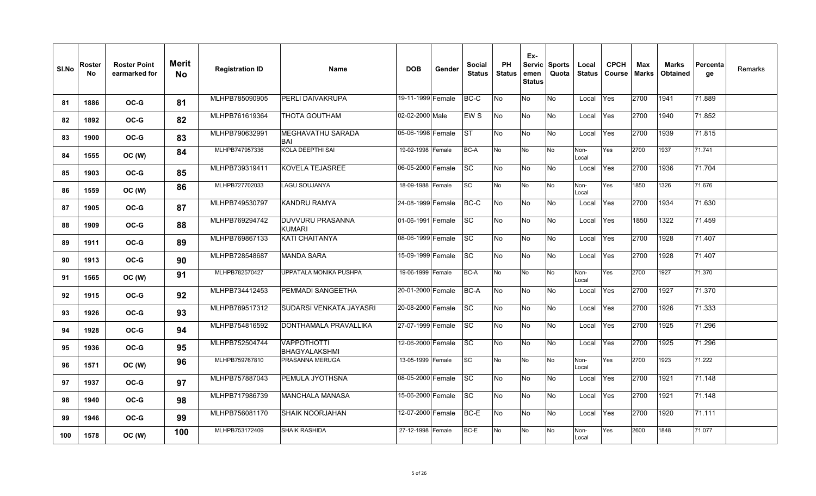| SI.No | Roster<br>No. | <b>Roster Point</b><br>earmarked for | <b>Merit</b><br><b>No</b> | <b>Registration ID</b> | <b>Name</b>                                | <b>DOB</b>        | Gender | <b>Social</b><br><b>Status</b> | <b>PH</b><br><b>Status</b> | Ex-<br>emen<br><b>Status</b> | Servic Sports<br>Quota | Local<br><b>Status</b> | <b>CPCH</b><br>Course | Max<br><b>Marks</b> | <b>Marks</b><br><b>Obtained</b> | Percenta<br>ge | Remarks |
|-------|---------------|--------------------------------------|---------------------------|------------------------|--------------------------------------------|-------------------|--------|--------------------------------|----------------------------|------------------------------|------------------------|------------------------|-----------------------|---------------------|---------------------------------|----------------|---------|
| 81    | 1886          | OC-G                                 | 81                        | MLHPB785090905         | PERLI DAIVAKRUPA                           | 19-11-1999 Female |        | BC-C                           | No                         | <b>No</b>                    | No.                    | Local                  | Yes                   | 2700                | 1941                            | 71.889         |         |
| 82    | 1892          | OC-G                                 | 82                        | MLHPB761619364         | THOTA GOUTHAM                              | 02-02-2000 Male   |        | EW S                           | No                         | <b>No</b>                    | No                     | Local                  | Yes                   | 2700                | 1940                            | 71.852         |         |
| 83    | 1900          | OC-G                                 | 83                        | MLHPB790632991         | MEGHAVATHU SARADA<br>BAI                   | 05-06-1998 Female |        | <b>ST</b>                      | No                         | No                           | No                     | Local                  | Yes                   | 2700                | 1939                            | 71.815         |         |
| 84    | 1555          | OC (W)                               | 84                        | MLHPB747957336         | KOLA DEEPTHI SAI                           | 19-02-1998 Female |        | <b>BC-A</b>                    | No                         | No                           | No                     | Non-<br>Local          | Yes                   | 2700                | 1937                            | 71.741         |         |
| 85    | 1903          | OC-G                                 | 85                        | MLHPB739319411         | KOVELA TEJASREE                            | 06-05-2000 Female |        | <b>SC</b>                      | No                         | <b>No</b>                    | No                     | Local                  | Yes                   | 2700                | 1936                            | 71.704         |         |
| 86    | 1559          | OC (W)                               | 86                        | MLHPB727702033         | <b>LAGU SOUJANYA</b>                       | 18-09-1988 Female |        | <b>SC</b>                      | No                         | No                           | No                     | Non-<br>Local          | Yes                   | 1850                | 1326                            | 71.676         |         |
| 87    | 1905          | OC-G                                 | 87                        | MLHPB749530797         | KANDRU RAMYA                               | 24-08-1999 Female |        | BC-C                           | No                         | <b>No</b>                    | No                     | Local                  | Yes                   | 2700                | 1934                            | 71.630         |         |
| 88    | 1909          | OC-G                                 | 88                        | MLHPB769294742         | DUVVURU PRASANNA<br><b>KUMARI</b>          | 01-06-1991 Female |        | <b>SC</b>                      | No                         | No                           | No                     | Local                  | Yes                   | 1850                | 1322                            | 71.459         |         |
| 89    | 1911          | OC-G                                 | 89                        | MLHPB769867133         | <b>KATI CHAITANYA</b>                      | 08-06-1999 Female |        | <b>SC</b>                      | No                         | No                           | No                     | Local                  | Yes                   | 2700                | 1928                            | 71.407         |         |
| 90    | 1913          | $OC-G$                               | 90                        | MLHPB728548687         | <b>MANDA SARA</b>                          | 15-09-1999 Female |        | <b>SC</b>                      | No                         | <b>No</b>                    | No                     | Local                  | Yes                   | 2700                | 1928                            | 71.407         |         |
| 91    | 1565          | OC (W)                               | 91                        | MLHPB782570427         | <b>UPPATALA MONIKA PUSHPA</b>              | 19-06-1999 Female |        | <b>BC-A</b>                    | No                         | No                           | No                     | Non-<br>Local          | Yes                   | 2700                | 1927                            | 71.370         |         |
| 92    | 1915          | OC-G                                 | 92                        | MLHPB734412453         | PEMMADI SANGEETHA                          | 20-01-2000 Female |        | BC-A                           | No                         | No                           | No                     | Local                  | Yes                   | 2700                | 1927                            | 71.370         |         |
| 93    | 1926          | OC-G                                 | 93                        | MLHPB789517312         | SUDARSI VENKATA JAYASRI                    | 20-08-2000 Female |        | <b>SC</b>                      | No                         | <b>No</b>                    | No.                    | Local                  | Yes                   | 2700                | 1926                            | 71.333         |         |
| 94    | 1928          | OC-G                                 | 94                        | MLHPB754816592         | DONTHAMALA PRAVALLIKA                      | 27-07-1999 Female |        | <b>ISC</b>                     | No                         | No                           | No.                    | Local                  | <b>Yes</b>            | 2700                | 1925                            | 71.296         |         |
| 95    | 1936          | OC-G                                 | 95                        | MLHPB752504744         | <b>VAPPOTHOTTI</b><br><b>BHAGYALAKSHMI</b> | 12-06-2000 Female |        | <b>SC</b>                      | No                         | <b>No</b>                    | No                     | Local                  | Yes                   | 2700                | 1925                            | 71.296         |         |
| 96    | 1571          | OC (W)                               | 96                        | MLHPB759767810         | PRASANNA MERUGA                            | 13-05-1999 Female |        | <b>SC</b>                      | No                         | No                           | No                     | Non-<br>Local          | Yes                   | 2700                | 1923                            | 71.222         |         |
| 97    | 1937          | OC-G                                 | 97                        | MLHPB757887043         | PEMULA JYOTHSNA                            | 08-05-2000 Female |        | <b>SC</b>                      | No                         | No                           | No                     | Local                  | Yes                   | 2700                | 1921                            | 71.148         |         |
| 98    | 1940          | OC-G                                 | 98                        | MLHPB717986739         | <b>MANCHALA MANASA</b>                     | 15-06-2000 Female |        | $ \mathrm{SC} $                | No                         | No                           | No                     | Local                  | Yes                   | 2700                | 1921                            | 71.148         |         |
| 99    | 1946          | OC-G                                 | 99                        | MLHPB756081170         | <b>SHAIK NOORJAHAN</b>                     | 12-07-2000 Female |        | BC-E                           | No                         | No                           | No                     | Local                  | Yes                   | 2700                | 1920                            | 71.111         |         |
| 100   | 1578          | OC (W)                               | 100                       | MLHPB753172409         | <b>SHAIK RASHIDA</b>                       | 27-12-1998 Female |        | BC-E                           | No                         | No                           | No                     | Non-<br>Local          | Yes                   | 2600                | 1848                            | 71.077         |         |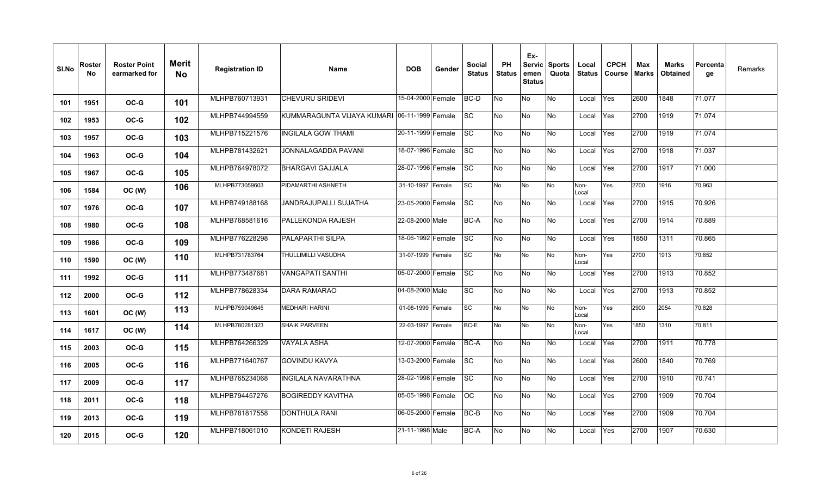| SI.No | Roster<br>No. | <b>Roster Point</b><br>earmarked for | <b>Merit</b><br><b>No</b> | <b>Registration ID</b> | <b>Name</b>                                  | <b>DOB</b>        | Gender | <b>Social</b><br><b>Status</b> | <b>PH</b><br><b>Status</b> | Ex-<br>emen<br><b>Status</b> | Servic Sports<br>Quota | Local<br><b>Status</b> | <b>CPCH</b><br>Course | Max<br><b>Marks</b> | <b>Marks</b><br><b>Obtained</b> | Percenta<br>ge | Remarks |
|-------|---------------|--------------------------------------|---------------------------|------------------------|----------------------------------------------|-------------------|--------|--------------------------------|----------------------------|------------------------------|------------------------|------------------------|-----------------------|---------------------|---------------------------------|----------------|---------|
| 101   | 1951          | OC-G                                 | 101                       | MLHPB760713931         | CHEVURU SRIDEVI                              | 15-04-2000 Female |        | BC-D                           | No                         | No                           | <b>No</b>              | Local                  | Yes                   | 2600                | 1848                            | 71.077         |         |
| 102   | 1953          | OC-G                                 | 102                       | MLHPB744994559         | KUMMARAGUNTA VIJAYA KUMARI 06-11-1999 Female |                   |        | <b>SC</b>                      | No                         | No                           | <b>No</b>              | Local                  | Yes                   | 2700                | 1919                            | 71.074         |         |
| 103   | 1957          | OC-G                                 | 103                       | MLHPB715221576         | <b>INGILALA GOW THAMI</b>                    | 20-11-1999 Female |        | SC                             | No                         | No                           | No                     | Local                  | Yes                   | 2700                | 1919                            | 71.074         |         |
| 104   | 1963          | OC-G                                 | 104                       | MLHPB781432621         | JONNALAGADDA PAVANI                          | 18-07-1996 Female |        | <b>SC</b>                      | No                         | No                           | <b>No</b>              | Local                  | Yes                   | 2700                | 1918                            | 71.037         |         |
| 105   | 1967          | OC-G                                 | 105                       | MLHPB764978072         | <b>BHARGAVI GAJJALA</b>                      | 28-07-1996 Female |        | SC                             | No                         | No                           | No.                    | Local                  | Yes                   | 2700                | 1917                            | 71.000         |         |
| 106   | 1584          | OC (W)                               | 106                       | MLHPB773059603         | PIDAMARTHI ASHNETH                           | 31-10-1997 Female |        | $\overline{sc}$                | No                         | No                           | <b>No</b>              | Non-<br>Local          | Yes                   | 2700                | 1916                            | 70.963         |         |
| 107   | 1976          | OC-G                                 | 107                       | MLHPB749188168         | <b>JANDRAJUPALLI SUJATHA</b>                 | 23-05-2000 Female |        | <b>SC</b>                      | No                         | No                           | <b>No</b>              | Local                  | Yes                   | 2700                | 1915                            | 70.926         |         |
| 108   | 1980          | OC-G                                 | 108                       | MLHPB768581616         | PALLEKONDA RAJESH                            | 22-08-2000 Male   |        | BC-A                           | No                         | $\overline{\mathsf{No}}$     | <b>No</b>              | Local                  | Yes                   | 2700                | 1914                            | 70.889         |         |
| 109   | 1986          | OC-G                                 | 109                       | MLHPB776228298         | <b>PALAPARTHI SILPA</b>                      | 18-06-1992 Female |        | <b>SC</b>                      | No                         | No                           | No.                    | Local                  | Yes                   | 1850                | 1311                            | 70.865         |         |
| 110   | 1590          | OC (W)                               | 110                       | MLHPB731783764         | THULLIMILLI VASUDHA                          | 31-07-1999 Female |        | SC                             | No                         | No                           | No                     | Non-<br>Local          | Yes                   | 2700                | 1913                            | 70.852         |         |
| 111   | 1992          | OC-G                                 | 111                       | MLHPB773487681         | <b>VANGAPATI SANTHI</b>                      | 05-07-2000 Female |        | SC                             | No                         | No                           | No                     | Local                  | Yes                   | 2700                | 1913                            | 70.852         |         |
| 112   | 2000          | OC-G                                 | 112                       | MLHPB778628334         | DARA RAMARAO                                 | 04-08-2000 Male   |        | SC                             | No                         | No                           | <b>No</b>              | Local                  | Yes                   | 2700                | 1913                            | 70.852         |         |
| 113   | 1601          | OC (W)                               | 113                       | MLHPB759049645         | <b>MEDHARI HARINI</b>                        | 01-08-1999 Female |        | SC                             | No                         | No                           | <b>No</b>              | Non-<br>Local          | Yes                   | 2900                | 2054                            | 70.828         |         |
| 114   | 1617          | OC (W)                               | 114                       | MLHPB780281323         | <b>SHAIK PARVEEN</b>                         | 22-03-1997 Female |        | BC-E                           | No                         | No                           | <b>No</b>              | Non-<br>Local          | Yes                   | 1850                | 1310                            | 70.811         |         |
| 115   | 2003          | OC-G                                 | 115                       | MLHPB764266329         | <b>VAYALA ASHA</b>                           | 12-07-2000 Female |        | BC-A                           | No                         | No                           | <b>No</b>              | Local                  | Yes                   | 2700                | 1911                            | 70.778         |         |
| 116   | 2005          | OC-G                                 | 116                       | MLHPB771640767         | <b>GOVINDU KAVYA</b>                         | 13-03-2000 Female |        | <b>SC</b>                      | No                         | $\overline{\mathsf{No}}$     | <b>No</b>              | Local                  | Yes                   | 2600                | 1840                            | 70.769         |         |
| 117   | 2009          | OC-G                                 | 117                       | MLHPB765234068         | <b>INGILALA NAVARATHNA</b>                   | 28-02-1998 Female |        | <b>SC</b>                      | No                         | No                           | <b>No</b>              | Local                  | Yes                   | 2700                | 1910                            | 70.741         |         |
| 118   | 2011          | OC-G                                 | 118                       | MLHPB794457276         | BOGIREDDY KAVITHA                            | 05-05-1998 Female |        | ОC                             | No                         | $\overline{\mathsf{No}}$     | <b>No</b>              | Local                  | Yes                   | 2700                | 1909                            | 70.704         |         |
| 119   | 2013          | OC-G                                 | 119                       | MLHPB781817558         | <b>DONTHULA RANI</b>                         | 06-05-2000 Female |        | BC-B                           | No                         | No                           | No                     | Local                  | Yes                   | 2700                | 1909                            | 70.704         |         |
| 120   | 2015          | OC-G                                 | 120                       | MLHPB718061010         | KONDETI RAJESH                               | 21-11-1998 Male   |        | BC-A                           | No                         | No                           | No.                    | Local                  | Yes                   | 2700                | 1907                            | 70.630         |         |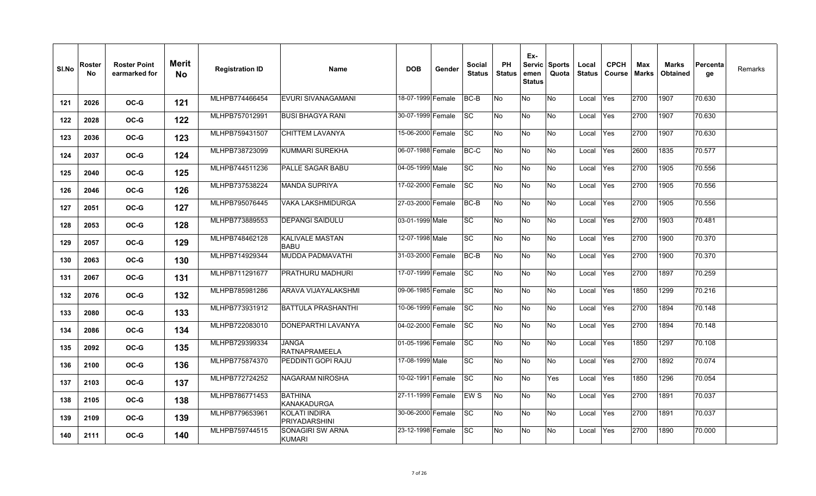| SI.No | Roster<br>No. | <b>Roster Point</b><br>earmarked for | Merit<br><b>No</b> | <b>Registration ID</b> | <b>Name</b>                           | <b>DOB</b>        | Gender | <b>Social</b><br><b>Status</b> | <b>PH</b><br><b>Status</b> | Ex-<br><b>Servic</b><br>emen<br><b>Status</b> | <b>Sports</b><br>Quota | Local<br><b>Status</b> | <b>CPCH</b><br><b>Course</b> | Max<br><b>Marks</b> | <b>Marks</b><br><b>Obtained</b> | <b>Percenta</b><br>ge | Remarks |
|-------|---------------|--------------------------------------|--------------------|------------------------|---------------------------------------|-------------------|--------|--------------------------------|----------------------------|-----------------------------------------------|------------------------|------------------------|------------------------------|---------------------|---------------------------------|-----------------------|---------|
| 121   | 2026          | OC-G                                 | 121                | MLHPB774466454         | <b>EVURI SIVANAGAMANI</b>             | 18-07-1999 Female |        | BC-B                           | No                         | No                                            | No                     | Local                  | Yes                          | 2700                | 1907                            | 70.630                |         |
| 122   | 2028          | OC-G                                 | 122                | MLHPB757012991         | <b>BUSI BHAGYA RANI</b>               | 30-07-1999 Female |        | <b>SC</b>                      | No                         | No                                            | No                     | Local                  | Yes                          | 2700                | 1907                            | 70.630                |         |
| 123   | 2036          | OC-G                                 | 123                | MLHPB759431507         | <b>CHITTEM LAVANYA</b>                | 15-06-2000 Female |        | $ \mathrm{SC} $                | No                         | No                                            | No                     | Local                  | Yes                          | 2700                | 1907                            | 70.630                |         |
| 124   | 2037          | OC-G                                 | 124                | MLHPB738723099         | KUMMARI SUREKHA                       | 06-07-1988 Female |        | BC-C                           | No                         | No                                            | No                     | Local                  | Yes                          | 2600                | 1835                            | 70.577                |         |
| 125   | 2040          | OC-G                                 | 125                | MLHPB744511236         | PALLE SAGAR BABU                      | 04-05-1999 Male   |        | SC                             | No                         | No                                            | No                     | Local                  | Yes                          | 2700                | 1905                            | 70.556                |         |
| 126   | 2046          | OC-G                                 | 126                | MLHPB737538224         | <b>MANDA SUPRIYA</b>                  | 17-02-2000 Female |        | <b>SC</b>                      | No                         | No                                            | No                     | Local                  | Yes                          | 2700                | 1905                            | 70.556                |         |
| 127   | 2051          | OC-G                                 | 127                | MLHPB795076445         | <b>VAKA LAKSHMIDURGA</b>              | 27-03-2000 Female |        | BC-B                           | No                         | No                                            | No                     | Local                  | Yes                          | 2700                | 1905                            | 70.556                |         |
| 128   | 2053          | OC-G                                 | 128                | MLHPB773889553         | <b>DEPANGI SAIDULU</b>                | 03-01-1999 Male   |        | $ \mathrm{SC} $                | No                         | No                                            | No                     | Local                  | Yes                          | 2700                | 1903                            | 70.481                |         |
| 129   | 2057          | OC-G                                 | 129                | MLHPB748462128         | <b>KALIVALE MASTAN</b><br><b>BABU</b> | 12-07-1998 Male   |        | <b>SC</b>                      | No                         | No                                            | No                     | Local                  | Yes                          | 2700                | 1900                            | 70.370                |         |
| 130   | 2063          | $OC-G$                               | 130                | MLHPB714929344         | MUDDA PADMAVATHI                      | 31-03-2000 Female |        | BC-B                           | No                         | No                                            | No                     | Local                  | Yes                          | 2700                | 1900                            | 70.370                |         |
| 131   | 2067          | OC-G                                 | 131                | MLHPB711291677         | PRATHURU MADHURI                      | 17-07-1999 Female |        | <b>SC</b>                      | No                         | No                                            | No                     | Local                  | Yes                          | 2700                | 1897                            | 70.259                |         |
| 132   | 2076          | OC-G                                 | 132                | MLHPB785981286         | ARAVA VIJAYALAKSHMI                   | 09-06-1985 Female |        | <b>ISC</b>                     | No                         | <b>No</b>                                     | No                     | Local                  | Yes                          | 1850                | 1299                            | 70.216                |         |
| 133   | 2080          | $OC-G$                               | 133                | MLHPB773931912         | <b>BATTULA PRASHANTHI</b>             | 10-06-1999 Female |        | <b>SC</b>                      | No                         | No                                            | No                     | Local                  | Yes                          | 2700                | 1894                            | 70.148                |         |
| 134   | 2086          | OC-G                                 | 134                | MLHPB722083010         | DONEPARTHI LAVANYA                    | 04-02-2000 Female |        | <b>SC</b>                      | No                         | No                                            | No                     | Local                  | Yes                          | 2700                | 1894                            | 70.148                |         |
| 135   | 2092          | OC-G                                 | 135                | MLHPB729399334         | JANGA<br><b>RATNAPRAMEELA</b>         | 01-05-1996 Female |        | <b>SC</b>                      | No                         | No                                            | No                     | Local                  | Yes                          | 1850                | 1297                            | 70.108                |         |
| 136   | 2100          | OC-G                                 | 136                | MLHPB775874370         | PEDDINTI GOPI RAJU                    | 17-08-1999 Male   |        | <b>SC</b>                      | No                         | No                                            | No                     | Local                  | Yes                          | 2700                | 1892                            | 70.074                |         |
| 137   | 2103          | OC-G                                 | 137                | MLHPB772724252         | NAGARAM NIROSHA                       | 10-02-1991 Female |        | <b>SC</b>                      | No                         | No                                            | Yes                    | Local                  | Yes                          | 1850                | 1296                            | 70.054                |         |
| 138   | 2105          | $OC-G$                               | 138                | MLHPB786771453         | <b>BATHINA</b><br><b>KANAKADURGA</b>  | 27-11-1999 Female |        | <b>EWS</b>                     | No                         | No                                            | No                     | Local                  | Yes                          | 2700                | 1891                            | 70.037                |         |
| 139   | 2109          | OC-G                                 | 139                | MLHPB779653961         | <b>KOLATI INDIRA</b><br>PRIYADARSHINI | 30-06-2000 Female |        | SC                             | No                         | No                                            | No                     | Local                  | Yes                          | 2700                | 1891                            | 70.037                |         |
| 140   | 2111          | OC-G                                 | 140                | MLHPB759744515         | SONAGIRI SW ARNA<br><b>KUMARI</b>     | 23-12-1998 Female |        | ISC.                           | No                         | No                                            | No                     | Local                  | Yes                          | 2700                | 1890                            | 70.000                |         |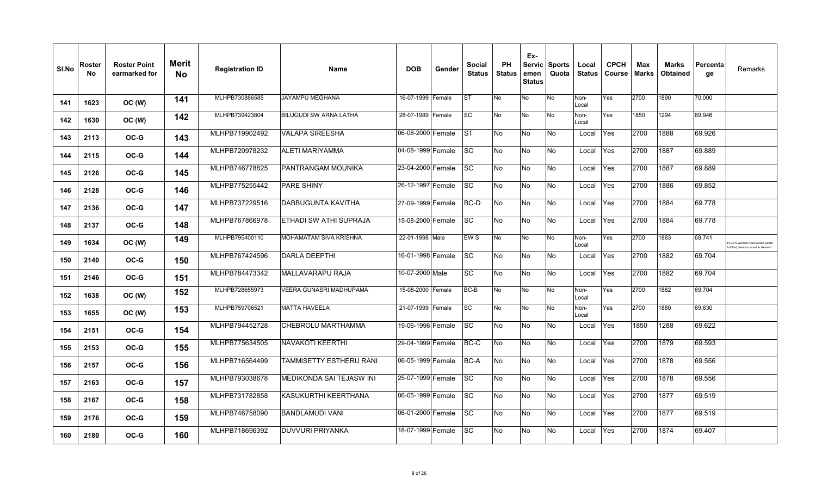| SI.No | Roster<br><b>No</b> | <b>Roster Point</b><br>earmarked for | <b>Merit</b><br><b>No</b> | <b>Registration ID</b> | <b>Name</b>              | <b>DOB</b>        | Gender | <b>Social</b><br><b>Status</b> | <b>PH</b><br><b>Status</b> | Ex-<br>Servic<br>emen<br><b>Status</b> | <b>Sports</b><br>Quota | Local<br><b>Status</b> | <b>CPCH</b><br><b>Course</b> | Max<br><b>Marks</b> | Marks<br><b>Obtained</b> | Percenta<br>ge | Remarks                                                           |
|-------|---------------------|--------------------------------------|---------------------------|------------------------|--------------------------|-------------------|--------|--------------------------------|----------------------------|----------------------------------------|------------------------|------------------------|------------------------------|---------------------|--------------------------|----------------|-------------------------------------------------------------------|
| 141   | 1623                | OC (W)                               | 141                       | MLHPB730886585         | <b>JAYAMPU MEGHANA</b>   | 16-07-1999 Female |        | <b>ST</b>                      | No                         | No                                     | No                     | Non-<br>Local          | Yes                          | 2700                | 1890                     | 70.000         |                                                                   |
| 142   | 1630                | OC (W)                               | 142                       | MLHPB739423804         | BILUGUDI SW ARNA LATHA   | 28-07-1989 Female |        | <b>SC</b>                      | No                         | No                                     | No                     | Non-<br>Local          | Yes                          | 1850                | 1294                     | 69.946         |                                                                   |
| 143   | 2113                | OC-G                                 | 143                       | MLHPB719902492         | <b>VALAPA SIREESHA</b>   | 06-08-2000 Female |        | <b>ST</b>                      | No                         | No                                     | No                     | Local                  | Yes                          | 2700                | 1888                     | 69.926         |                                                                   |
| 144   | 2115                | OC-G                                 | 144                       | MLHPB720978232         | ALETI MARIYAMMA          | 04-08-1999 Female |        | $\overline{\text{sc}}$         | No                         | No                                     | No                     | Local                  | Yes                          | 2700                | 1887                     | 69.889         |                                                                   |
| 145   | 2126                | OC-G                                 | 145                       | MLHPB746778825         | PANTRANGAM MOUNIKA       | 23-04-2000 Female |        | <b>SC</b>                      | <b>No</b>                  | No                                     | No                     | Local                  | Yes                          | 2700                | 1887                     | 69.889         |                                                                   |
| 146   | 2128                | OC-G                                 | 146                       | MLHPB775255442         | <b>PARE SHINY</b>        | 26-12-1997 Female |        | <b>SC</b>                      | No                         | Ю                                      | No                     | Local                  | Yes                          | 2700                | 1886                     | 69.852         |                                                                   |
| 147   | 2136                | OC-G                                 | 147                       | MLHPB737229516         | DABBUGUNTA KAVITHA       | 27-09-1999 Female |        | $BC-D$                         | No                         | No                                     | No                     | Local                  | Yes                          | 2700                | 1884                     | 69.778         |                                                                   |
| 148   | 2137                | OC-G                                 | 148                       | MLHPB767866978         | ETHADI SW ATHI SUPRAJA   | 15-08-2000 Female |        | <b>SC</b>                      | No                         | Ю                                      | No                     | Local                  | Yes                          | 2700                | 1884                     | 69.778         |                                                                   |
| 149   | 1634                | OC (W)                               | 149                       | MLHPB795400110         | MOHAMATAM SIVA KRISHNA   | 22-01-1998 Male   |        | EW <sub>S</sub>                | No                         | No                                     | No                     | Non-<br>Local          | Yes                          | 2700                | 1883                     | 69.741         | 3.33 % Women Reservation Quota<br>filled. Hence treated as Genera |
| 150   | 2140                | OC-G                                 | 150                       | MLHPB767424596         | <b>DARLA DEEPTHI</b>     | 16-01-1998 Female |        | <b>SC</b>                      | <b>No</b>                  | No                                     | No                     | Local                  | Yes                          | 2700                | 1882                     | 69.704         |                                                                   |
| 151   | 2146                | OC-G                                 | 151                       | MLHPB784473342         | <b>MALLAVARAPU RAJA</b>  | 10-07-2000 Male   |        | <b>SC</b>                      | No                         | <b>No</b>                              | No                     | Local                  | Yes                          | 2700                | 1882                     | 69.704         |                                                                   |
| 152   | 1638                | OC (W)                               | 152                       | MLHPB728655973         | VEERA GUNASRI MADHUPAMA  | 15-08-2000 Female |        | BC-B                           | No                         | No                                     | <b>No</b>              | Non-<br>Local          | Yes                          | 2700                | 1882                     | 69.704         |                                                                   |
| 153   | 1655                | OC (W)                               | 153                       | MLHPB759706521         | <b>MATTA HAVEELA</b>     | 21-07-1999 Female |        | <b>SC</b>                      | No                         | No                                     | No                     | Non-<br>Local          | Yes                          | 2700                | 1880                     | 69.630         |                                                                   |
| 154   | 2151                | OC-G                                 | 154                       | MLHPB794452728         | CHEBROLU MARTHAMMA       | 19-06-1996 Female |        | <b>SC</b>                      | No                         | No                                     | No                     | Local                  | Yes                          | 1850                | 1288                     | 69.622         |                                                                   |
| 155   | 2153                | OC-G                                 | 155                       | MLHPB775634505         | NAVAKOTI KEERTHI         | 29-04-1999 Female |        | BC-C                           | <b>No</b>                  | No                                     | No                     | Local                  | Yes                          | 2700                | 1879                     | 69.593         |                                                                   |
| 156   | 2157                | OC-G                                 | 156                       | MLHPB716564499         | TAMMISETTY ESTHERU RANI  | 06-05-1999 Female |        | <b>BC-A</b>                    | No                         | Ю                                      | No                     | Local                  | Yes                          | 2700                | 1878                     | 69.556         |                                                                   |
| 157   | 2163                | OC-G                                 | 157                       | MLHPB793038678         | MEDIKONDA SAI TEJASW INI | 25-07-1999 Female |        | <b>SC</b>                      | No                         | No                                     | No                     | Local                  | Yes                          | 2700                | 1878                     | 69.556         |                                                                   |
| 158   | 2167                | OC-G                                 | 158                       | MLHPB731782858         | KASUKURTHI KEERTHANA     | 06-05-1999 Female |        | <b>SC</b>                      | No                         | Ю                                      | No                     | Local                  | Yes                          | 2700                | 1877                     | 69.519         |                                                                   |
| 159   | 2176                | OC-G                                 | 159                       | MLHPB746758090         | <b>BANDLAMUDI VANI</b>   | 06-01-2000 Female |        | <b>SC</b>                      | No                         | No                                     | No                     | Local                  | Yes                          | 2700                | 1877                     | 69.519         |                                                                   |
| 160   | 2180                | OC-G                                 | 160                       | MLHPB718696392         | DUVVURI PRIYANKA         | 18-07-1999 Female |        | <b>SC</b>                      | No                         | No                                     | No                     | Local                  | Yes                          | 2700                | 1874                     | 69.407         |                                                                   |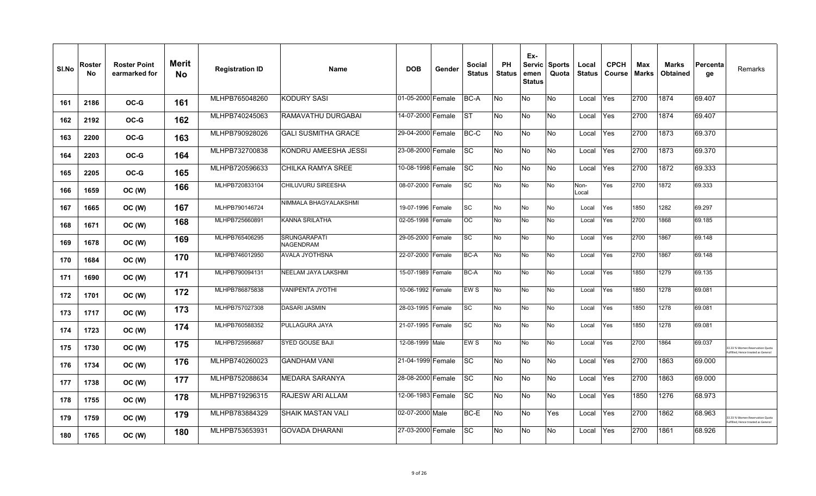| SI.No | Roster<br>No. | <b>Roster Point</b><br>earmarked for | Merit<br><b>No</b> | <b>Registration ID</b> | Name                                    | <b>DOB</b>        | Gender | <b>Social</b><br><b>Status</b> | <b>PH</b><br><b>Status</b> | Ex-<br><b>Servic</b><br>emen<br><b>Status</b> | <b>Sports</b><br>Quota | Local<br><b>Status</b> | <b>CPCH</b><br>Course | Max<br>Marks | Marks<br><b>Obtained</b> | Percenta<br>ge | Remarks                                                              |
|-------|---------------|--------------------------------------|--------------------|------------------------|-----------------------------------------|-------------------|--------|--------------------------------|----------------------------|-----------------------------------------------|------------------------|------------------------|-----------------------|--------------|--------------------------|----------------|----------------------------------------------------------------------|
| 161   | 2186          | OC-G                                 | 161                | MLHPB765048260         | <b>KODURY SASI</b>                      | 01-05-2000 Female |        | BC-A                           | No                         | No                                            | No                     | Local                  | <b>Yes</b>            | 2700         | 1874                     | 69.407         |                                                                      |
| 162   | 2192          | OC-G                                 | 162                | MLHPB740245063         | RAMAVATHU DURGABAI                      | 14-07-2000 Female |        | <b>IST</b>                     | No                         | No                                            | No                     | Local                  | Yes                   | 2700         | 1874                     | 69.407         |                                                                      |
| 163   | 2200          | OC-G                                 | 163                | MLHPB790928026         | <b>GALI SUSMITHA GRACE</b>              | 29-04-2000 Female |        | BC-C                           | No                         | No                                            | No                     | Local                  | Yes                   | 2700         | 1873                     | 69.370         |                                                                      |
| 164   | 2203          | OC-G                                 | 164                | MLHPB732700838         | KONDRU AMEESHA JESSI                    | 23-08-2000 Female |        | <b>SC</b>                      | No                         | No                                            | No                     | Local                  | Yes                   | 2700         | 1873                     | 69.370         |                                                                      |
| 165   | 2205          | OC-G                                 | 165                | MLHPB720596633         | CHILKA RAMYA SREE                       | 10-08-1998 Female |        | SC                             | No                         | No                                            | No                     | Local                  | Yes                   | 2700         | 1872                     | 69.333         |                                                                      |
| 166   | 1659          | OC (W)                               | 166                | MLHPB720833104         | CHILUVURU SIREESHA                      | 08-07-2000 Female |        | SC                             | No                         | No                                            | No                     | Non-<br>Local          | Yes                   | 2700         | 1872                     | 69.333         |                                                                      |
| 167   | 1665          | OC (W)                               | 167                | MLHPB790146724         | NIMMALA BHAGYALAKSHMI                   | 19-07-1996 Female |        | <b>SC</b>                      | No                         | No                                            | No                     | Local                  | Yes                   | 1850         | 1282                     | 69.297         |                                                                      |
| 168   | 1671          | OC (W)                               | 168                | MLHPB725660891         | <b>KANNA SRILATHA</b>                   | 02-05-1998 Female |        | OC                             | No                         | No                                            | No                     | Local                  | Yes                   | 2700         | 1868                     | 69.185         |                                                                      |
| 169   | 1678          | OC (W)                               | 169                | MLHPB765406295         | <b>SRUNGARAPATI</b><br><b>NAGENDRAM</b> | 29-05-2000 Female |        | <b>SC</b>                      | No                         | No                                            | No                     | Local                  | Yes                   | 2700         | 1867                     | 69.148         |                                                                      |
| 170   | 1684          | OC (W)                               | 170                | MLHPB746012950         | AVALA JYOTHSNA                          | 22-07-2000 Female |        | <b>BC-A</b>                    | No                         | No                                            | No                     | Local                  | Yes                   | 2700         | 1867                     | 69.148         |                                                                      |
| 171   | 1690          | OC (W)                               | 171                | MLHPB790094131         | NEELAM JAYA LAKSHMI                     | 15-07-1989 Female |        | BC-A                           | No                         | No                                            | No                     | Local                  | Yes                   | 1850         | 1279                     | 69.135         |                                                                      |
| 172   | 1701          | OC (W)                               | 172                | MLHPB786875838         | <b>VANIPENTA JYOTHI</b>                 | 10-06-1992 Female |        | EW S                           | No                         | No                                            | No                     | Local                  | Yes                   | 1850         | 1278                     | 69.081         |                                                                      |
| 173   | 1717          | OC (W)                               | 173                | MLHPB757027308         | <b>DASARI JASMIN</b>                    | 28-03-1995 Female |        | SC                             | No                         | No                                            | No                     | Local                  | Yes                   | 1850         | 1278                     | 69.081         |                                                                      |
| 174   | 1723          | OC (W)                               | 174                | MLHPB760588352         | PULLAGURA JAYA                          | 21-07-1995 Female |        | <b>SC</b>                      | No                         | No                                            | No                     | Local                  | Yes                   | 1850         | 1278                     | 69.081         |                                                                      |
| 175   | 1730          | OC (W)                               | 175                | MLHPB725958687         | <b>SYED GOUSE BAJI</b>                  | 12-08-1999 Male   |        | EW <sub>S</sub>                | No                         | No                                            | No                     | Local                  | Yes                   | 2700         | 1864                     | 69.037         | 3.33 % Women Reservation Quota<br>ulfilled, Hence treated as General |
| 176   | 1734          | OC (W)                               | 176                | MLHPB740260023         | <b>GANDHAM VANI</b>                     | 21-04-1999 Female |        | <b>SC</b>                      | No                         | No                                            | No                     | Local                  | Yes                   | 2700         | 1863                     | 69.000         |                                                                      |
| 177   | 1738          | OC (W)                               | 177                | MLHPB752088634         | MEDARA SARANYA                          | 28-08-2000 Female |        | SC                             | No                         | No                                            | No                     | Local                  | Yes                   | 2700         | 1863                     | 69.000         |                                                                      |
| 178   | 1755          | OC (W)                               | 178                | MLHPB719296315         | RAJESW ARI ALLAM                        | 12-06-1983 Female |        | <b>SC</b>                      | <b>No</b>                  | <b>No</b>                                     | No                     | Local                  | Yes                   | 1850         | 1276                     | 68.973         |                                                                      |
| 179   | 1759          | OC (W)                               | 179                | MLHPB783884329         | SHAIK MASTAN VALI                       | 02-07-2000 Male   |        | BC-E                           | No                         | No                                            | Yes                    | Local                  | Yes                   | 2700         | 1862                     | 68.963         | 33.33 % Women Reservation Quota<br>Ifilled. Hence treated as General |
| 180   | 1765          | OC (W)                               | 180                | MLHPB753653931         | <b>GOVADA DHARANI</b>                   | 27-03-2000 Female |        | <b>SC</b>                      | No                         | No                                            | No                     | Local                  | Yes                   | 2700         | 1861                     | 68.926         |                                                                      |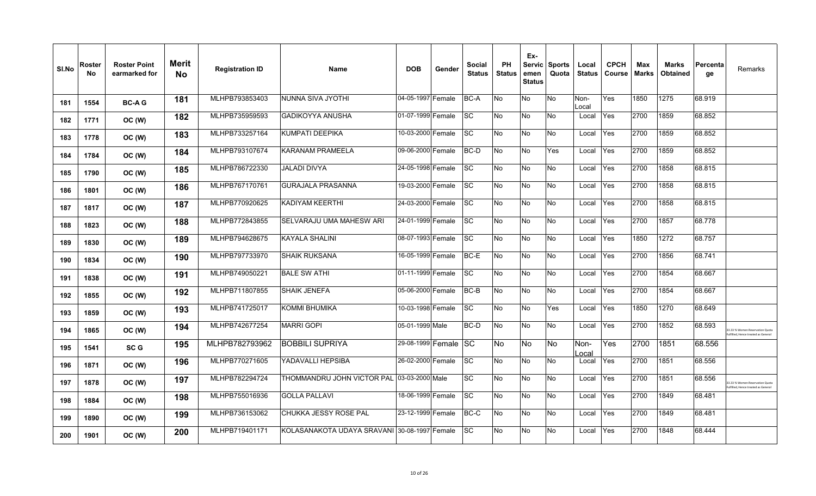| SI.No | <b>Roster</b><br><b>No</b> | <b>Roster Point</b><br>earmarked for | <b>Merit</b><br>No | <b>Registration ID</b> | <b>Name</b>                | <b>DOB</b>        | Gender | <b>Social</b><br><b>Status</b> | PH<br><b>Status</b> | Ex-<br><b>Servic</b><br>emen<br><b>Status</b> | <b>Sports</b><br>Quota | Local<br><b>Status</b> | <b>CPCH</b><br><b>Course</b> | Max<br><b>Marks</b> | <b>Marks</b><br><b>Obtained</b> | Percenta<br>ge | Remarks                                                            |
|-------|----------------------------|--------------------------------------|--------------------|------------------------|----------------------------|-------------------|--------|--------------------------------|---------------------|-----------------------------------------------|------------------------|------------------------|------------------------------|---------------------|---------------------------------|----------------|--------------------------------------------------------------------|
| 181   | 1554                       | <b>BC-AG</b>                         | 181                | MLHPB793853403         | NUNNA SIVA JYOTHI          | 04-05-1997 Female |        | BC-A                           | No                  | No                                            | No                     | Non-<br>Local          | Yes                          | 1850                | 1275                            | 68.919         |                                                                    |
| 182   | 1771                       | OC (W)                               | 182                | MLHPB735959593         | <b>GADIKOYYA ANUSHA</b>    | 01-07-1999 Female |        | <b>SC</b>                      | No                  | No                                            | No                     | Local                  | Yes                          | 2700                | 1859                            | 68.852         |                                                                    |
| 183   | 1778                       | OC(W)                                | 183                | MLHPB733257164         | KUMPATI DEEPIKA            | 10-03-2000 Female |        | <b>SC</b>                      | No                  | No                                            | No                     | Local                  | Yes                          | 2700                | 1859                            | 68.852         |                                                                    |
| 184   | 1784                       | OC (W)                               | 184                | MLHPB793107674         | <b>KARANAM PRAMEELA</b>    | 09-06-2000 Female |        | BC-D                           | No                  | No                                            | Yes                    | Local                  | Yes                          | 2700                | 1859                            | 68.852         |                                                                    |
| 185   | 1790                       | OC (W)                               | 185                | MLHPB786722330         | JALADI DIVYA               | 24-05-1998 Female |        | <b>SC</b>                      | No                  | No                                            | No                     | Local                  | Yes                          | 2700                | 1858                            | 68.815         |                                                                    |
| 186   | 1801                       | OC (W)                               | 186                | MLHPB767170761         | <b>GURAJALA PRASANNA</b>   | 19-03-2000 Female |        | <b>SC</b>                      | No                  | No                                            | No                     | Local                  | Yes                          | 2700                | 1858                            | 68.815         |                                                                    |
| 187   | 1817                       | OC (W)                               | 187                | MLHPB770920625         | KADIYAM KEERTHI            | 24-03-2000 Female |        | <b>SC</b>                      | No                  | No                                            | No                     | Local                  | Yes                          | 2700                | 1858                            | 68.815         |                                                                    |
| 188   | 1823                       | OC (W)                               | 188                | MLHPB772843855         | SELVARAJU UMA MAHESW ARI   | 24-01-1999 Female |        | <b>SC</b>                      | No                  | No                                            | No                     | Local                  | Yes                          | 2700                | 1857                            | 68.778         |                                                                    |
| 189   | 1830                       | OC (W)                               | 189                | MLHPB794628675         | <b>KAYALA SHALINI</b>      | 08-07-1993 Female |        | <b>SC</b>                      | No                  | No                                            | No                     | Local                  | Yes                          | 1850                | 1272                            | 68.757         |                                                                    |
| 190   | 1834                       | OC (W)                               | 190                | MLHPB797733970         | <b>SHAIK RUKSANA</b>       | 16-05-1999 Female |        | BC-E                           | No                  | No                                            | No                     | Local                  | Yes                          | 2700                | 1856                            | 68.741         |                                                                    |
| 191   | 1838                       | OC(W)                                | 191                | MLHPB749050221         | <b>BALE SW ATHI</b>        | 01-11-1999 Female |        | <b>SC</b>                      | ΟN                  | No                                            | No                     | Local                  | Yes                          | 2700                | 1854                            | 68.667         |                                                                    |
| 192   | 1855                       | OC (W)                               | 192                | MLHPB711807855         | <b>SHAIK JENEFA</b>        | 05-06-2000 Female |        | BC-B                           | No                  | No                                            | No                     | Local                  | Yes                          | 2700                | 1854                            | 68.667         |                                                                    |
| 193   | 1859                       | OC (W)                               | 193                | MLHPB741725017         | KOMMI BHUMIKA              | 10-03-1998 Female |        | <b>SC</b>                      | No                  | No                                            | Yes                    | Local                  | Yes                          | 1850                | 1270                            | 68.649         |                                                                    |
| 194   | 1865                       | OC (W)                               | 194                | MLHPB742677254         | <b>MARRI GOPI</b>          | 05-01-1999 Male   |        | BC-D                           | No                  | No                                            | No                     | Local                  | Yes                          | 2700                | 1852                            | 68.593         | 3.33 % Women Reservation Quota<br>filled. Hence treated as Genera  |
| 195   | 1541                       | SC <sub>G</sub>                      | 195                | MLHPB782793962         | <b>BOBBILI SUPRIYA</b>     | 29-08-1999 Female |        | <b>ISC</b>                     | <b>No</b>           | No.                                           | <b>No</b>              | Non-<br>.ocal          | Yes                          | 2700                | 1851                            | 68.556         |                                                                    |
| 196   | 1871                       | OC (W)                               | 196                | MLHPB770271605         | YADAVALLI HEPSIBA          | 26-02-2000 Female |        | <b>SC</b>                      | ΟN                  | No                                            | No                     | Local                  | Yes                          | 2700                | 1851                            | 68.556         |                                                                    |
| 197   | 1878                       | OC (W)                               | 197                | MLHPB782294724         |                            |                   |        | <b>SC</b>                      | No                  | No                                            | No                     | Local                  | Yes                          | 2700                | 1851                            | 68.556         | 3.33 % Women Reservation Quota<br>filled, Hence treated as General |
| 198   | 1884                       | OC (W)                               | 198                | MLHPB755016936         | <b>GOLLA PALLAVI</b>       | 18-06-1999 Female |        | <b>SC</b>                      | No                  | No                                            | No                     | Local                  | Yes                          | 2700                | 1849                            | 68.481         |                                                                    |
| 199   | 1890                       | OC (W)                               | 199                | MLHPB736153062         | CHUKKA JESSY ROSE PAL      | 23-12-1999 Female |        | BC-C                           | No                  | No                                            | No                     | Local                  | Yes                          | 2700                | 1849                            | 68.481         |                                                                    |
| 200   | 1901                       | OC (W)                               | 200                | MLHPB719401171         | KOLASANAKOTA UDAYA SRAVANI | 30-08-1997 Female |        | <b>ISC</b>                     | No                  | No                                            | No                     | Local                  | Yes                          | 2700                | 1848                            | 68.444         |                                                                    |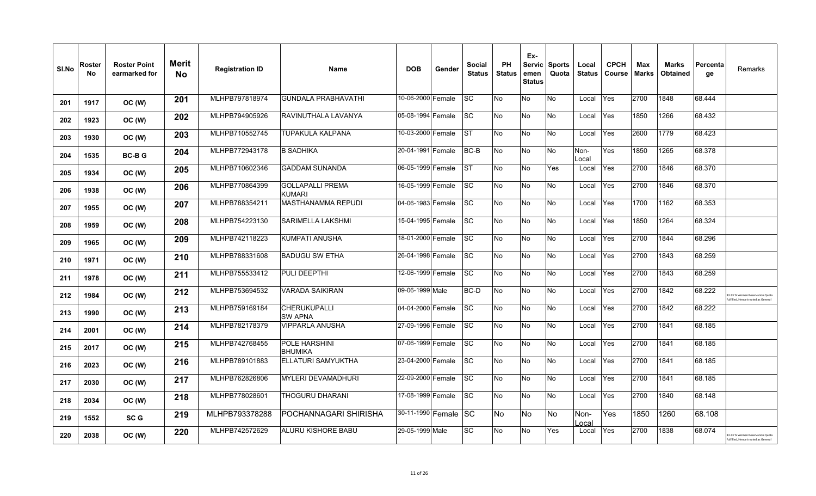| SI.No | Roster<br>No | <b>Roster Point</b><br>earmarked for | Merit<br><b>No</b> | <b>Registration ID</b> | <b>Name</b>                       | <b>DOB</b>           | Gender | <b>Social</b><br><b>Status</b> | PH<br><b>Status</b> | Ex-<br>emen<br><b>Status</b> | Servic Sports<br>Quota | Local<br><b>Status</b> | <b>CPCH</b><br>Course | Max<br><b>Marks</b> | <b>Marks</b><br><b>Obtained</b> | Percenta<br>ge | Remarks                                                              |
|-------|--------------|--------------------------------------|--------------------|------------------------|-----------------------------------|----------------------|--------|--------------------------------|---------------------|------------------------------|------------------------|------------------------|-----------------------|---------------------|---------------------------------|----------------|----------------------------------------------------------------------|
| 201   | 1917         | OC (W)                               | 201                | MLHPB797818974         | <b>GUNDALA PRABHAVATHI</b>        | 10-06-2000 Female    |        | SC.                            | No                  | No                           | <b>No</b>              | Local                  | Yes                   | 2700                | 1848                            | 68.444         |                                                                      |
| 202   | 1923         | OC (W)                               | 202                | MLHPB794905926         | RAVINUTHALA LAVANYA               | 05-08-1994 Female    |        | <b>SC</b>                      | No                  | No                           | <b>No</b>              | Local                  | Yes                   | 1850                | 1266                            | 68.432         |                                                                      |
| 203   | 1930         | OC (W)                               | 203                | MLHPB710552745         | TUPAKULA KALPANA                  | 10-03-2000 Female    |        | <b>ST</b>                      | No                  | No                           | No                     | Local                  | Yes                   | 2600                | 1779                            | 68.423         |                                                                      |
| 204   | 1535         | <b>BC-BG</b>                         | 204                | MLHPB772943178         | <b>B SADHIKA</b>                  | 20-04-1991 Female    |        | BC-B                           | No.                 | No                           | <b>No</b>              | Non-<br>Local          | Yes                   | 1850                | 1265                            | 68.378         |                                                                      |
| 205   | 1934         | OC (W)                               | 205                | MLHPB710602346         | <b>GADDAM SUNANDA</b>             | 06-05-1999 Female    |        | <b>ST</b>                      | No.                 | No                           | Yes                    | Local                  | Yes                   | 2700                | 1846                            | 68.370         |                                                                      |
| 206   | 1938         | OC (W)                               | 206                | MLHPB770864399         | <b>GOLLAPALLI PREMA</b><br>KUMARI | 16-05-1999 Female    |        | SC.                            | No                  | No                           | No                     | Local                  | Yes                   | 2700                | 1846                            | 68.370         |                                                                      |
| 207   | 1955         | OC (W)                               | 207                | MLHPB788354211         | <b>MASTHANAMMA REPUDI</b>         | 04-06-1983 Female    |        | <b>SC</b>                      | <b>No</b>           | No                           | <b>No</b>              | Local                  | Yes                   | 1700                | 1162                            | 68.353         |                                                                      |
| 208   | 1959         | OC (W)                               | 208                | MLHPB754223130         | SARIMELLA LAKSHMI                 | 15-04-1995 Female    |        | <b>SC</b>                      | No                  | No                           | <b>No</b>              | Local                  | Yes                   | 1850                | 1264                            | 68.324         |                                                                      |
| 209   | 1965         | OC (W)                               | 209                | MLHPB742118223         | KUMPATI ANUSHA                    | 18-01-2000 Female    |        | SC.                            | No                  | No                           | No                     | Local                  | Yes                   | 2700                | 1844                            | 68.296         |                                                                      |
| 210   | 1971         | OC (W)                               | 210                | MLHPB788331608         | <b>BADUGU SW ETHA</b>             | 26-04-1998 Female    |        | <b>SC</b>                      | No.                 | No                           | <b>No</b>              | Local                  | Yes                   | 2700                | 1843                            | 68.259         |                                                                      |
| 211   | 1978         | OC (W)                               | 211                | MLHPB755533412         | PULI DEEPTHI                      | 12-06-1999 Female    |        | <b>SC</b>                      | No                  | No                           | No                     | Local                  | Yes                   | 2700                | 1843                            | 68.259         |                                                                      |
| 212   | 1984         | OC (W)                               | 212                | MLHPB753694532         | <b>VARADA SAIKIRAN</b>            | 09-06-1999 Male      |        | BC-D                           | <b>No</b>           | No                           | <b>No</b>              | Local                  | Yes                   | 2700                | 1842                            | 68.222         | 3.33 % Women Reservation Quota<br>filled, Hence treated as General   |
| 213   | 1990         | OC (W)                               | 213                | MLHPB759169184         | CHERUKUPALLI<br><b>SW APNA</b>    | 04-04-2000 Female    |        | <b>SC</b>                      | No.                 | No                           | No                     | Local                  | Yes                   | 2700                | 1842                            | 68.222         |                                                                      |
| 214   | 2001         | OC (W)                               | 214                | MLHPB782178379         | <b>VIPPARLA ANUSHA</b>            | 27-09-1996 Female    |        | <b>SC</b>                      | No                  | No                           | <b>No</b>              | Local                  | Yes                   | 2700                | 1841                            | 68.185         |                                                                      |
| 215   | 2017         | OC (W)                               | 215                | MLHPB742768455         | POLE HARSHINI<br><b>BHUMIKA</b>   | 07-06-1999 Female    |        | <b>SC</b>                      | <b>No</b>           | No                           | <b>No</b>              | Local                  | Yes                   | 2700                | 1841                            | 68.185         |                                                                      |
| 216   | 2023         | OC (W)                               | 216                | MLHPB789101883         | ELLATURI SAMYUKTHA                | 23-04-2000 Female    |        | <b>SC</b>                      | <b>No</b>           | No                           | <b>No</b>              | Local                  | Yes                   | 2700                | 1841                            | 68.185         |                                                                      |
| 217   | 2030         | OC (W)                               | 217                | MLHPB762826806         | <b>MYLERI DEVAMADHURI</b>         | 22-09-2000 Female    |        | SC.                            | No                  | No                           | No.                    | Local                  | Yes                   | 2700                | 1841                            | 68.185         |                                                                      |
| 218   | 2034         | OC (W)                               | 218                | MLHPB778028601         | THOGURU DHARANI                   | 17-08-1999 Female    |        | <b>SC</b>                      | No.                 | No                           | <b>No</b>              | Local                  | Yes                   | 2700                | 1840                            | 68.148         |                                                                      |
| 219   | 1552         | SC <sub>G</sub>                      | 219                | MLHPB793378288         | POCHANNAGARI SHIRISHA             | 30-11-1990 Female SC |        |                                | No.                 | No                           | <b>No</b>              | Non-<br>_ocal          | Yes                   | 1850                | 1260                            | 68.108         |                                                                      |
| 220   | 2038         | OC (W)                               | 220                | MLHPB742572629         | ALURU KISHORE BABU                | 29-05-1999 Male      |        | <b>SC</b>                      | No                  | No                           | Yes                    | Local                  | Yes                   | 2700                | 1838                            | 68.074         | 3.33 % Women Reservation Quota<br>ulfilled, Hence treated as General |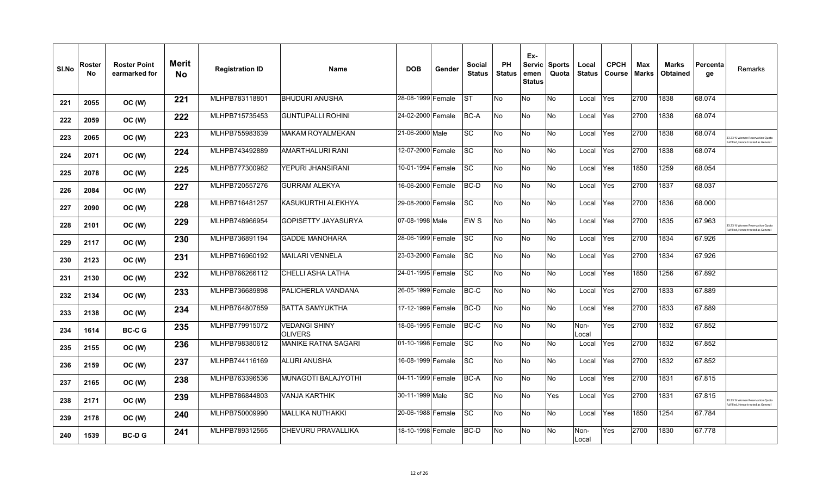| SI.No | Roster<br><b>No</b> | <b>Roster Point</b><br>earmarked for | <b>Merit</b><br><b>No</b> | <b>Registration ID</b> | <b>Name</b>                     | <b>DOB</b>        | Gender | Social<br><b>Status</b> | <b>PH</b><br><b>Status</b> | Ex-<br>emen<br><b>Status</b> | Servic Sports<br>Quota | Local<br><b>Status</b> | <b>CPCH</b><br><b>Course</b> | Max<br><b>Marks</b> | Marks<br><b>Obtained</b> | Percenta<br>qe | Remarks                                                             |
|-------|---------------------|--------------------------------------|---------------------------|------------------------|---------------------------------|-------------------|--------|-------------------------|----------------------------|------------------------------|------------------------|------------------------|------------------------------|---------------------|--------------------------|----------------|---------------------------------------------------------------------|
| 221   | 2055                | OC (W)                               | 221                       | MLHPB783118801         | <b>BHUDURI ANUSHA</b>           | 28-08-1999 Female |        | <b>ST</b>               | <b>No</b>                  | No                           | <b>No</b>              | Local                  | Yes                          | 2700                | 1838                     | 68.074         |                                                                     |
| 222   | 2059                | OC (W)                               | 222                       | MLHPB715735453         | <b>GUNTUPALLI ROHINI</b>        | 24-02-2000 Female |        | BC-A                    | No                         | No                           | <b>No</b>              | Local                  | Yes                          | 2700                | 1838                     | 68.074         |                                                                     |
| 223   | 2065                | OC (W)                               | 223                       | MLHPB755983639         | <b>MAKAM ROYALMEKAN</b>         | 21-06-2000 Male   |        | <b>SC</b>               | No                         | No                           | No.                    | Local                  | Yes                          | 2700                | 1838                     | 68.074         | 3.33 % Women Reservation Quota<br>Ifilled, Hence treated as General |
| 224   | 2071                | OC (W)                               | 224                       | MLHPB743492889         | AMARTHALURI RANI                | 12-07-2000 Female |        | <b>SC</b>               | No                         | No                           | <b>No</b>              | Local                  | Yes                          | 2700                | 1838                     | 68.074         |                                                                     |
| 225   | 2078                | OC (W)                               | 225                       | MLHPB777300982         | YEPURI JHANSIRANI               | 10-01-1994 Female |        | SC.                     | No                         | No                           | No                     | Local                  | Yes                          | 1850                | 1259                     | 68.054         |                                                                     |
| 226   | 2084                | OC (W)                               | 227                       | MLHPB720557276         | <b>GURRAM ALEKYA</b>            | 16-06-2000 Female |        | BC-D                    | No                         | No                           | <b>No</b>              | Local                  | Yes                          | 2700                | 1837                     | 68.037         |                                                                     |
| 227   | 2090                | OC (W)                               | 228                       | MLHPB716481257         | KASUKURTHI ALEKHYA              | 29-08-2000 Female |        | <b>SC</b>               | No                         | No                           | No                     | Local                  | Yes                          | 2700                | 1836                     | 68.000         |                                                                     |
| 228   | 2101                | OC (W)                               | 229                       | MLHPB748966954         | <b>GOPISETTY JAYASURYA</b>      | 07-08-1998 Male   |        | EW <sub>S</sub>         | No                         | No                           | <b>No</b>              | Local                  | Yes                          | 2700                | 1835                     | 67.963         | 33.33 % Women Reservation Quota<br>filled, Hence treated as General |
| 229   | 2117                | OC (W)                               | 230                       | MLHPB736891194         | <b>GADDE MANOHARA</b>           | 28-06-1999 Female |        | <b>SC</b>               | No                         | No                           | <b>No</b>              | Local                  | Yes                          | 2700                | 1834                     | 67.926         |                                                                     |
| 230   | 2123                | OC (W)                               | 231                       | MLHPB716960192         | MAILARI VENNELA                 | 23-03-2000 Female |        | SC                      | No                         | No                           | No                     | Local                  | Yes                          | 2700                | 1834                     | 67.926         |                                                                     |
| 231   | 2130                | OC (W)                               | 232                       | MLHPB766266112         | CHELLI ASHA LATHA               | 24-01-1995 Female |        | <b>SC</b>               | No                         | No                           | <b>No</b>              | Local                  | Yes                          | 1850                | 1256                     | 67.892         |                                                                     |
| 232   | 2134                | OC (W)                               | 233                       | MLHPB736689898         | PALICHERLA VANDANA              | 26-05-1999 Female |        | BC-C                    | No                         | No                           | <b>No</b>              | Local                  | Yes                          | 2700                | 1833                     | 67.889         |                                                                     |
| 233   | 2138                | OC (W)                               | 234                       | MLHPB764807859         | <b>BATTA SAMYUKTHA</b>          | 17-12-1999 Female |        | BC-D                    | No                         | No                           | <b>No</b>              | Local                  | Yes                          | 2700                | 1833                     | 67.889         |                                                                     |
| 234   | 1614                | <b>BC-CG</b>                         | 235                       | MLHPB779915072         | VEDANGI SHINY<br><b>OLIVERS</b> | 18-06-1995 Female |        | BC-C                    | No                         | No                           | No                     | Non-<br>_ocal          | Yes                          | 2700                | 1832                     | 67.852         |                                                                     |
| 235   | 2155                | OC (W)                               | 236                       | MLHPB798380612         | <b>MANIKE RATNA SAGARI</b>      | 01-10-1998 Female |        | <b>SC</b>               | No.                        | No                           | No                     | Local                  | Yes                          | 2700                | 1832                     | 67.852         |                                                                     |
| 236   | 2159                | OC (W)                               | 237                       | MLHPB744116169         | <b>ALURI ANUSHA</b>             | 16-08-1999 Female |        | <b>SC</b>               | No                         | No                           | <b>No</b>              | Local                  | Yes                          | 2700                | 1832                     | 67.852         |                                                                     |
| 237   | 2165                | OC (W)                               | 238                       | MLHPB763396536         | MUNAGOTI BALAJYOTHI             | 04-11-1999 Female |        | BC-A                    | No                         | No                           | No                     | Local                  | Yes                          | 2700                | 1831                     | 67.815         |                                                                     |
| 238   | 2171                | OC (W)                               | 239                       | MLHPB786844803         | VANJA KARTHIK                   | 30-11-1999 Male   |        | SC                      | No.                        | No                           | Yes                    | Local                  | Yes                          | 2700                | 1831                     | 67.815         | 3.33 % Women Reservation Quota<br>filled, Hence treated as General  |
| 239   | 2178                | OC (W)                               | 240                       | MLHPB750009990         | <b>MALLIKA NUTHAKKI</b>         | 20-06-1988 Female |        | <b>SC</b>               | No                         | No                           | No                     | Local                  | Yes                          | 1850                | 1254                     | 67.784         |                                                                     |
| 240   | 1539                | <b>BC-DG</b>                         | 241                       | MLHPB789312565         | CHEVURU PRAVALLIKA              | 18-10-1998 Female |        | BC-D                    | No.                        | No                           | No                     | Non-<br>Local          | Yes                          | 2700                | 1830                     | 67.778         |                                                                     |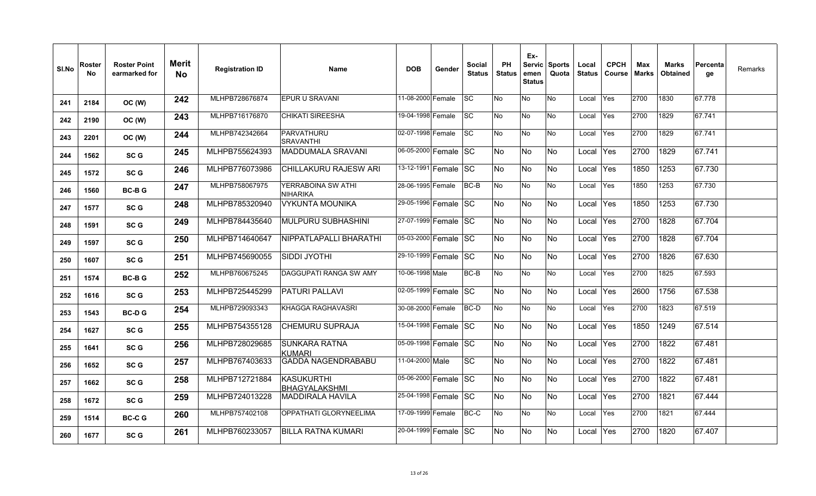| SI.No | Roster<br>No | <b>Roster Point</b><br>earmarked for | Merit<br><b>No</b> | <b>Registration ID</b> | <b>Name</b>                           | <b>DOB</b>           | Gender | <b>Social</b><br><b>Status</b> | PH<br><b>Status</b> | Ex-<br>emen<br><b>Status</b> | Servic Sports<br>Quota | Local<br><b>Status</b> | <b>CPCH</b><br>Course | Max<br><b>Marks</b> | <b>Marks</b><br><b>Obtained</b> | Percenta<br>ge  | Remarks |
|-------|--------------|--------------------------------------|--------------------|------------------------|---------------------------------------|----------------------|--------|--------------------------------|---------------------|------------------------------|------------------------|------------------------|-----------------------|---------------------|---------------------------------|-----------------|---------|
| 241   | 2184         | OC (W)                               | 242                | MLHPB728676874         | <b>EPUR U SRAVANI</b>                 | 11-08-2000 Female    |        | SC.                            | No                  | No                           | <b>No</b>              | Local                  | Yes                   | 2700                | 1830                            | 67.778          |         |
| 242   | 2190         | OC (W)                               | 243                | MLHPB716176870         | <b>CHIKATI SIREESHA</b>               | 19-04-1998 Female    |        | <b>SC</b>                      | <b>No</b>           | No                           | No                     | Local                  | Yes                   | 2700                | 1829                            | 67.741          |         |
| 243   | 2201         | OC (W)                               | 244                | MLHPB742342664         | PARVATHURU<br><b>SRAVANTHI</b>        | 02-07-1998 Female    |        | <b>SC</b>                      | No                  | No                           | No                     | Local                  | Yes                   | 2700                | 1829                            | 67.741          |         |
| 244   | 1562         | SC <sub>G</sub>                      | 245                | MLHPB755624393         | MADDUMALA SRAVANI                     | 06-05-2000 Female SC |        |                                | No                  | No.                          | No                     | Local                  | Yes                   | 2700                | 1829                            | 67.741          |         |
| 245   | 1572         | SC <sub>G</sub>                      | 246                | MLHPB776073986         | CHILLAKURU RAJESW ARI                 | 13-12-1991 Female SC |        |                                | No.                 | No                           | No.                    | Local                  | Yes                   | 1850                | 1253                            | 67.730          |         |
| 246   | 1560         | <b>BC-BG</b>                         | 247                | MLHPB758067975         | YERRABOINA SW ATHI<br><b>NIHARIKA</b> | 28-06-1995 Female    |        | BC-B                           | No                  | No                           | No                     | Local                  | Yes                   | 1850                | 1253                            | 67.730          |         |
| 247   | 1577         | SC G                                 | 248                | MLHPB785320940         | <b>VYKUNTA MOUNIKA</b>                | 29-05-1996 Female SC |        |                                | <b>No</b>           | <b>No</b>                    | No                     | Local                  | <b>Yes</b>            | 1850                | 1253                            | 67.730          |         |
| 248   | 1591         | SC <sub>G</sub>                      | 249                | MLHPB784435640         | MULPURU SUBHASHINI                    | 27-07-1999 Female SC |        |                                | No.                 | No                           | No.                    | Local                  | Yes                   | 2700                | 1828                            | 67.704          |         |
| 249   | 1597         | SC G                                 | 250                | MLHPB714640647         | NIPPATLAPALLI BHARATHI                | 05-03-2000 Female SC |        |                                | No                  | No                           | No                     | Local                  | Yes                   | 2700                | 1828                            | 67.704          |         |
| 250   | 1607         | SC G                                 | 251                | MLHPB745690055         | SIDDI JYOTHI                          | 29-10-1999 Female SC |        |                                | No.                 | No                           | No                     | Local                  | Yes                   | 2700                | 1826                            | 67.630          |         |
| 251   | 1574         | <b>BC-BG</b>                         | 252                | MLHPB760675245         | DAGGUPATI RANGA SW AMY                | 10-06-1998 Male      |        | BC-B                           | No                  | No                           | No                     | Local                  | Yes                   | 2700                | 1825                            | 67.593          |         |
| 252   | 1616         | SC <sub>G</sub>                      | 253                | MLHPB725445299         | <b>PATURI PALLAVI</b>                 | 02-05-1999 Female SC |        |                                | No.                 | No.                          | No.                    | Local                  | <b>Yes</b>            | 2600                | 1756                            | 67.538          |         |
| 253   | 1543         | <b>BC-DG</b>                         | 254                | MLHPB729093343         | KHAGGA RAGHAVASRI                     | 30-08-2000 Female    |        | BC-D                           | No                  | No                           | No                     | Local                  | Yes                   | 2700                | 1823                            | 67.519          |         |
| 254   | 1627         | SC G                                 | 255                | MLHPB754355128         | <b>CHEMURU SUPRAJA</b>                | 15-04-1998 Female SC |        |                                | No                  | No                           | No                     | Local                  | Yes                   | 1850                | 1249                            | $\sqrt{67.514}$ |         |
| 255   | 1641         | SC G                                 | 256                | MLHPB728029685         | <b>SUNKARA RATNA</b><br>KUMARI        | 05-09-1998 Female SC |        |                                | No.                 | No.                          | <b>No</b>              | Local                  | Yes                   | 2700                | 1822                            | 67.481          |         |
| 256   | 1652         | SC <sub>G</sub>                      | 257                | MLHPB767403633         | <b>GADDA NAGENDRABABU</b>             | 11-04-2000 Male      |        | <b>SC</b>                      | No.                 | No.                          | <b>No</b>              | Local                  | Yes                   | 2700                | 1822                            | 67.481          |         |
| 257   | 1662         | SC G                                 | 258                | MLHPB712721884         | KASUKURTHI<br>BHAGYALAKSHMI           | 05-06-2000 Female SC |        |                                | No                  | No.                          | No                     | Local                  | Yes                   | 2700                | 1822                            | 67.481          |         |
| 258   | 1672         | SC G                                 | 259                | MLHPB724013228         | MADDIRALA HAVILA                      | 25-04-1998 Female SC |        |                                | <b>No</b>           | No.                          | <b>No</b>              | Local                  | Yes                   | 2700                | 1821                            | 67.444          |         |
| 259   | 1514         | <b>BC-CG</b>                         | 260                | MLHPB757402108         | OPPATHATI GLORYNEELIMA                | 17-09-1999 Female    |        | BC-C                           | No                  | No                           | No                     | Local                  | Yes                   | 2700                | 1821                            | 67.444          |         |
| 260   | 1677         | SC G                                 | 261                | MLHPB760233057         | <b>BILLA RATNA KUMARI</b>             | 20-04-1999 Female SC |        |                                | No                  | No                           | No                     | Local Yes              |                       | 2700                | 1820                            | 67.407          |         |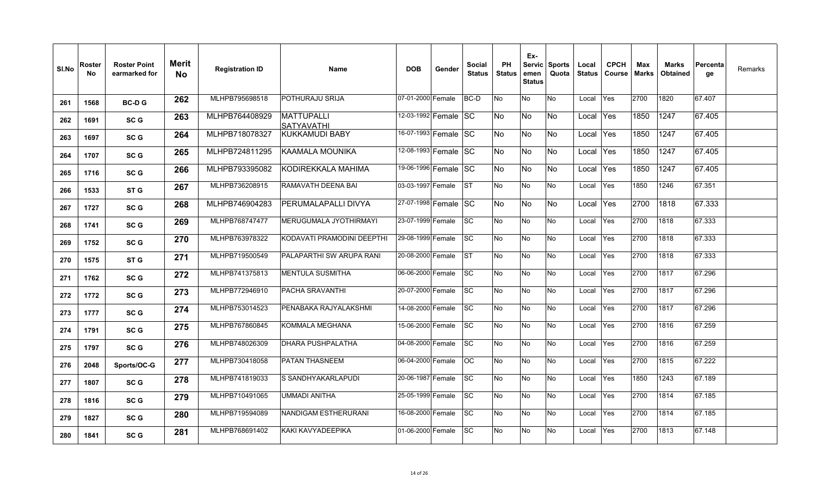| SI.No | Roster<br>No. | <b>Roster Point</b><br>earmarked for | Merit<br>No. | <b>Registration ID</b> | Name                            | <b>DOB</b>           | Gender | Social<br><b>Status</b> | <b>PH</b><br><b>Status</b> | Ex-<br><b>Servic</b><br>emen<br><b>Status</b> | <b>Sports</b><br>Quota | Local<br><b>Status</b> | <b>CPCH</b><br>Course | Max<br>Marks | Marks<br><b>Obtained</b> | Percenta<br>ge | Remarks |
|-------|---------------|--------------------------------------|--------------|------------------------|---------------------------------|----------------------|--------|-------------------------|----------------------------|-----------------------------------------------|------------------------|------------------------|-----------------------|--------------|--------------------------|----------------|---------|
| 261   | 1568          | <b>BC-DG</b>                         | 262          | MLHPB795698518         | POTHURAJU SRIJA                 | 07-01-2000 Female    |        | BC-D                    | No                         | <b>No</b>                                     | No                     | Local                  | <b>Yes</b>            | 2700         | 1820                     | 67.407         |         |
| 262   | 1691          | SC G                                 | 263          | MLHPB764408929         | <b>MATTUPALLI</b><br>SATYAVATHI | 12-03-1992 Female SC |        |                         | No                         | No                                            | No                     | Local                  | Yes                   | 1850         | 1247                     | 67.405         |         |
| 263   | 1697          | SC G                                 | 264          | MLHPB718078327         | IKUKKAMUDI BABY                 | 16-07-1993 Female SC |        |                         | No                         | No.                                           | No                     | Local                  | <b>Yes</b>            | 1850         | 1247                     | 67.405         |         |
| 264   | 1707          | SC G                                 | 265          | MLHPB724811295         | <b>KAAMALA MOUNIKA</b>          | 12-08-1993 Female SC |        |                         | No                         | <b>No</b>                                     | <b>No</b>              | Local                  | <b>Yes</b>            | 1850         | 1247                     | 67.405         |         |
| 265   | 1716          | SC G                                 | 266          | MLHPB793395082         | KODIREKKALA MAHIMA              | 19-06-1996 Female SC |        |                         | No                         | No                                            | No                     | Local                  | <b>Yes</b>            | 1850         | 1247                     | 67.405         |         |
| 266   | 1533          | ST G                                 | 267          | MLHPB736208915         | RAMAVATH DEENA BAI              | 03-03-1997 Female    |        | <b>IST</b>              | No                         | No                                            | No                     | Local                  | Yes                   | 1850         | 1246                     | 67.351         |         |
| 267   | 1727          | SC <sub>G</sub>                      | 268          | MLHPB746904283         | PERUMALAPALLI DIVYA             | 27-07-1998 Female SC |        |                         | No                         | lNo.                                          | No                     | Local                  | Yes                   | 2700         | 1818                     | 67.333         |         |
| 268   | 1741          | SC G                                 | 269          | MLHPB768747477         | MERUGUMALA JYOTHIRMAYI          | 23-07-1999 Female    |        | <b>SC</b>               | No                         | <b>No</b>                                     | No                     | Local                  | Yes                   | 2700         | 1818                     | 67.333         |         |
| 269   | 1752          | SC <sub>G</sub>                      | 270          | MLHPB763978322         | KODAVATI PRAMODINI DEEPTHI      | 29-08-1999 Female    |        | SC                      | No                         | No                                            | No                     | Local                  | Yes                   | 2700         | 1818                     | 67.333         |         |
| 270   | 1575          | ST G                                 | 271          | MLHPB719500549         | PALAPARTHI SW ARUPA RANI        | 20-08-2000 Female    |        | <b>IST</b>              | <b>No</b>                  | <b>No</b>                                     | No                     | Local                  | Yes                   | 2700         | 1818                     | 67.333         |         |
| 271   | 1762          | SC G                                 | 272          | MLHPB741375813         | <b>MENTULA SUSMITHA</b>         | 06-06-2000 Female    |        | <b>SC</b>               | No                         | No                                            | No                     | Local                  | Yes                   | 2700         | 1817                     | 67.296         |         |
| 272   | 1772          | SC <sub>G</sub>                      | 273          | MLHPB772946910         | <b>PACHA SRAVANTHI</b>          | 20-07-2000 Female    |        | <b>SC</b>               | No                         | No                                            | No                     | Local                  | Yes                   | 2700         | 1817                     | 67.296         |         |
| 273   | 1777          | SC G                                 | 274          | MLHPB753014523         | PENABAKA RAJYALAKSHMI           | 14-08-2000 Female    |        | <b>SC</b>               | <b>No</b>                  | <b>No</b>                                     | No                     | Local                  | Yes                   | 2700         | 1817                     | 67.296         |         |
| 274   | 1791          | SC <sub>G</sub>                      | 275          | MLHPB767860845         | KOMMALA MEGHANA                 | 15-06-2000 Female    |        | SC                      | No                         | No                                            | No                     | Local                  | Yes                   | 2700         | 1816                     | 67.259         |         |
| 275   | 1797          | SC G                                 | 276          | MLHPB748026309         | DHARA PUSHPALATHA               | 04-08-2000 Female    |        | <b>SC</b>               | No                         | <b>No</b>                                     | No                     | Local                  | Yes                   | 2700         | 1816                     | 67.259         |         |
| 276   | 2048          | Sports/OC-G                          | 277          | MLHPB730418058         | <b>PATAN THASNEEM</b>           | 06-04-2000 Female    |        | <b>OC</b>               | No                         | <b>No</b>                                     | No                     | Local                  | Yes                   | 2700         | 1815                     | 67.222         |         |
| 277   | 1807          | SC G                                 | 278          | MLHPB741819033         | S SANDHYAKARLAPUDI              | 20-06-1987 Female    |        | SC.                     | No                         | No                                            | No                     | Local                  | Yes                   | 1850         | 1243                     | 67.189         |         |
| 278   | 1816          | SC G                                 | 279          | MLHPB710491065         | UMMADI ANITHA                   | 25-05-1999 Female    |        | <b>SC</b>               | <b>No</b>                  | <b>No</b>                                     | No                     | Local                  | Yes                   | 2700         | 1814                     | 67.185         |         |
| 279   | 1827          | SC <sub>G</sub>                      | 280          | MLHPB719594089         | NANDIGAM ESTHERURANI            | 16-08-2000 Female    |        | <b>SC</b>               | No                         | No                                            | No                     | Local                  | Yes                   | 2700         | 1814                     | 67.185         |         |
| 280   | 1841          | SC G                                 | 281          | MLHPB768691402         | KAKI KAVYADEEPIKA               | 01-06-2000 Female    |        | <b>SC</b>               | No                         | No                                            | No                     | Local                  | Yes                   | 2700         | 1813                     | 67.148         |         |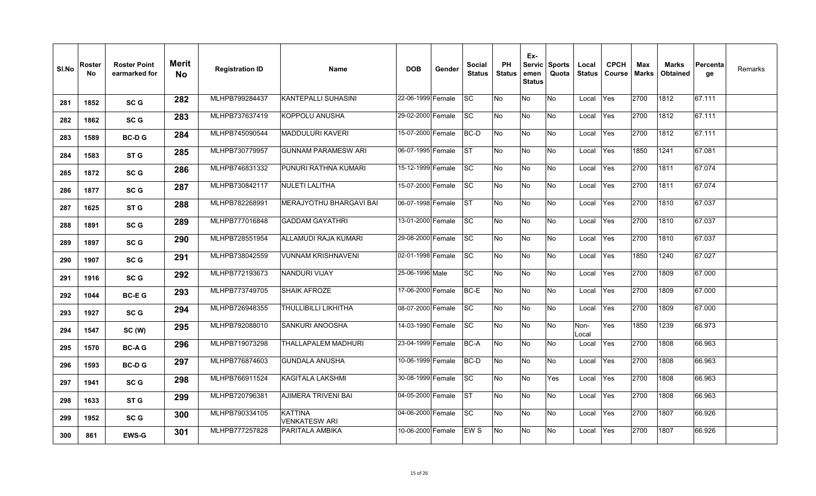| SI.No | Roster<br>No | <b>Roster Point</b><br>earmarked for | <b>Merit</b><br><b>No</b> | <b>Registration ID</b> | <b>Name</b>                     | <b>DOB</b>        | Gender | Social<br><b>Status</b> | <b>PH</b><br><b>Status</b> | Ex-<br>emen<br><b>Status</b> | Servic Sports<br>Quota | Local<br><b>Status</b> | <b>CPCH</b><br>Course | Max<br>Marks | Marks<br><b>Obtained</b> | Percenta<br>qe | Remarks |
|-------|--------------|--------------------------------------|---------------------------|------------------------|---------------------------------|-------------------|--------|-------------------------|----------------------------|------------------------------|------------------------|------------------------|-----------------------|--------------|--------------------------|----------------|---------|
| 281   | 1852         | SC <sub>G</sub>                      | 282                       | MLHPB799284437         | KANTEPALLI SUHASINI             | 22-06-1999 Female |        | lsc                     | No                         | No                           | No                     | Local                  | Yes                   | 2700         | 1812                     | 67.111         |         |
| 282   | 1862         | SC G                                 | 283                       | MLHPB737637419         | <b>KOPPOLU ANUSHA</b>           | 29-02-2000 Female |        | <b>SC</b>               | No                         | No                           | No                     | Local                  | Yes                   | 2700         | 1812                     | 67.111         |         |
| 283   | 1589         | <b>BC-DG</b>                         | 284                       | MLHPB745090544         | MADDULURI KAVERI                | 15-07-2000 Female |        | <b>BC-D</b>             | No                         | No                           | No                     | Local                  | Yes                   | 2700         | 1812                     | 67.111         |         |
| 284   | 1583         | ST <sub>G</sub>                      | 285                       | MLHPB730779957         | <b>GUNNAM PARAMESW ARI</b>      | 06-07-1995 Female |        | <b>ST</b>               | No                         | No                           | No                     | Local                  | Yes                   | 1850         | 1241                     | 67.081         |         |
| 285   | 1872         | SC G                                 | 286                       | MLHPB746831332         | PUNURI RATHNA KUMARI            | 15-12-1999 Female |        | <b>SC</b>               | No                         | No                           | No                     | Local                  | Yes                   | 2700         | 1811                     | 67.074         |         |
| 286   | 1877         | SC <sub>G</sub>                      | 287                       | MLHPB730842117         | <b>INULETI LALITHA</b>          | 15-07-2000 Female |        | SC                      | No                         | No                           | No                     | Local                  | Yes                   | 2700         | 1811                     | 67.074         |         |
| 287   | 1625         | ST <sub>G</sub>                      | 288                       | MLHPB782268991         | <b>MERAJYOTHU BHARGAVI BAI</b>  | 06-07-1998 Female |        | <b>ST</b>               | No                         | No                           | No.                    | Local                  | Yes                   | 2700         | 1810                     | 67.037         |         |
| 288   | 1891         | SC G                                 | 289                       | MLHPB777016848         | <b>GADDAM GAYATHRI</b>          | 13-01-2000 Female |        | <b>SC</b>               | No                         | No                           | No                     | Local                  | <b>Yes</b>            | 2700         | 1810                     | 67.037         |         |
| 289   | 1897         | SC <sub>G</sub>                      | 290                       | MLHPB728551954         | ALLAMUDI RAJA KUMARI            | 29-08-2000 Female |        | SC                      | No                         | No                           | No                     | Local                  | Yes                   | 2700         | 1810                     | 67.037         |         |
| 290   | 1907         | SC <sub>G</sub>                      | 291                       | MLHPB738042559         | <b>VUNNAM KRISHNAVENI</b>       | 02-01-1998 Female |        | <b>SC</b>               | No                         | No                           | No                     | Local                  | Yes                   | 1850         | 1240                     | 67.027         |         |
| 291   | 1916         | SC <sub>G</sub>                      | 292                       | MLHPB772193673         | NANDURI VIJAY                   | 25-06-1996 Male   |        | <b>SC</b>               | No                         | No                           | No                     | Local                  | Yes                   | 2700         | 1809                     | 67.000         |         |
| 292   | 1044         | <b>BC-EG</b>                         | 293                       | MLHPB773749705         | <b>SHAIK AFROZE</b>             | 17-06-2000 Female |        | BC-E                    | No                         | No                           | No                     | Local                  | Yes                   | 2700         | 1809                     | 67.000         |         |
| 293   | 1927         | SC <sub>G</sub>                      | 294                       | MLHPB726948355         | THULLIBILLI LIKHITHA            | 08-07-2000 Female |        | <b>SC</b>               | No                         | No                           | No                     | Local                  | Yes                   | 2700         | 1809                     | 67.000         |         |
| 294   | 1547         | SC (W)                               | 295                       | MLHPB792088010         | ISANKURI ANOOSHA                | 14-03-1990 Female |        | lsc                     | No                         | No                           | No                     | Non-<br>Local          | Yes                   | 1850         | 1239                     | 66.973         |         |
| 295   | 1570         | <b>BC-AG</b>                         | 296                       | MLHPB719073298         | THALLAPALEM MADHURI             | 23-04-1999 Female |        | BC-A                    | No                         | No                           | No                     | Local                  | Yes                   | 2700         | 1808                     | 66.963         |         |
| 296   | 1593         | <b>BC-DG</b>                         | 297                       | MLHPB776874603         | <b>GUNDALA ANUSHA</b>           | 10-06-1999 Female |        | BC-D                    | No                         | No                           | No.                    | Local                  | Yes                   | 2700         | 1808                     | 66.963         |         |
| 297   | 1941         | SC G                                 | 298                       | MLHPB766911524         | <b>KAGITALA LAKSHMI</b>         | 30-08-1999 Female |        | <b>SC</b>               | No                         | No                           | Yes                    | Local                  | Yes                   | 2700         | 1808                     | 66.963         |         |
| 298   | 1633         | ST G                                 | 299                       | MLHPB720796381         | <b>AJIMERA TRIVENI BAI</b>      | 04-05-2000 Female |        | <b>ST</b>               | No                         | $\overline{\mathsf{No}}$     | No                     | Local                  | Yes                   | 2700         | 1808                     | 66.963         |         |
| 299   | 1952         | SC G                                 | 300                       | MLHPB790334105         | <b>KATTINA</b><br>VENKATESW ARI | 04-06-2000 Female |        | <b>SC</b>               | No                         | No                           | No                     | Local                  | Yes                   | 2700         | 1807                     | 66.926         |         |
| 300   | 861          | <b>EWS-G</b>                         | 301                       | MLHPB777257828         | PARITALA AMBIKA                 | 10-06-2000 Female |        | EW <sub>S</sub>         | No                         | No                           | No                     | Local                  | Yes                   | 2700         | 1807                     | 66.926         |         |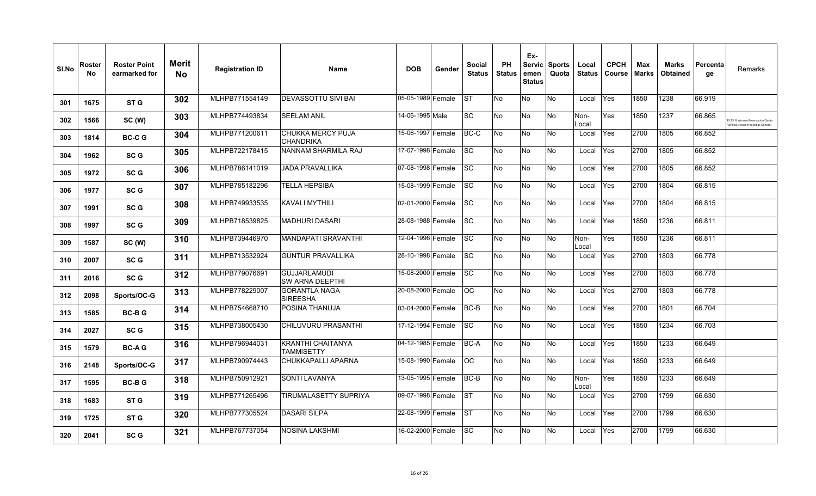| SI.No | Roster<br>No | <b>Roster Point</b><br>earmarked for | <b>Merit</b><br><b>No</b> | <b>Registration ID</b> | <b>Name</b>                                   | <b>DOB</b>        | Gender | <b>Social</b><br><b>Status</b> | <b>PH</b><br><b>Status</b> | Ex-<br>emen<br><b>Status</b> | Servic Sports<br>Quota | Local<br><b>Status</b> | <b>CPCH</b><br>Course | Max<br><b>Marks</b> | <b>Marks</b><br><b>Obtained</b> | Percenta<br>ge | Remarks                                                                    |
|-------|--------------|--------------------------------------|---------------------------|------------------------|-----------------------------------------------|-------------------|--------|--------------------------------|----------------------------|------------------------------|------------------------|------------------------|-----------------------|---------------------|---------------------------------|----------------|----------------------------------------------------------------------------|
| 301   | 1675         | ST G                                 | 302                       | MLHPB771554149         | <b>DEVASSOTTU SIVI BAI</b>                    | 05-05-1989 Female |        | <b>ST</b>                      | No                         | No                           | <b>No</b>              | Local                  | <b>Yes</b>            | 1850                | 1238                            | 66.919         |                                                                            |
| 302   | 1566         | SC (W)                               | 303                       | MLHPB774493834         | <b>SEELAM ANIL</b>                            | 14-06-1995 Male   |        | <b>SC</b>                      | No                         | No                           | <b>No</b>              | Non-<br>Local          | Yes                   | 1850                | 1237                            | 66.865         | 1.33 % Women Reservation Quota<br><b>Ifilled. Hence treated as General</b> |
| 303   | 1814         | <b>BC-CG</b>                         | 304                       | MLHPB771200611         | CHUKKA MERCY PUJA<br><b>CHANDRIKA</b>         | 15-06-1997 Female |        | BC-C                           | No                         | No                           | <b>No</b>              | Local                  | Yes                   | 2700                | 1805                            | 66.852         |                                                                            |
| 304   | 1962         | <b>SCG</b>                           | 305                       | MLHPB722178415         | <b>NANNAM SHARMILA RAJ</b>                    | 17-07-1998 Female |        | <b>SC</b>                      | No                         | No                           | <b>No</b>              | Local                  | Yes                   | 2700                | 1805                            | 66.852         |                                                                            |
| 305   | 1972         | <b>SCG</b>                           | 306                       | MLHPB786141019         | <b>JADA PRAVALLIKA</b>                        | 07-08-1998 Female |        | <b>SC</b>                      | No                         | No                           | <b>No</b>              | Local                  | Yes                   | 2700                | 1805                            | 66.852         |                                                                            |
| 306   | 1977         | SC G                                 | 307                       | MLHPB785182296         | TELLA HEPSIBA                                 | 15-08-1999 Female |        | <b>SC</b>                      | No                         | No                           | <b>No</b>              | Local                  | Yes                   | 2700                | 1804                            | 66.815         |                                                                            |
| 307   | 1991         | SC <sub>G</sub>                      | 308                       | MLHPB749933535         | KAVALI MYTHILI                                | 02-01-2000 Female |        | <b>SC</b>                      | No                         | No                           | <b>No</b>              | Local                  | Yes                   | 2700                | 1804                            | 66.815         |                                                                            |
| 308   | 1997         | SC G                                 | 309                       | MLHPB718539825         | <b>MADHURI DASARI</b>                         | 28-08-1988 Female |        | <b>SC</b>                      | No                         | No                           | <b>No</b>              | Local                  | Yes                   | 1850                | 1236                            | 66.811         |                                                                            |
| 309   | 1587         | SC (W)                               | 310                       | MLHPB739446970         | <b>MANDAPATI SRAVANTHI</b>                    | 12-04-1996 Female |        | <b>SC</b>                      | No                         | No                           | <b>No</b>              | Non-<br>Local          | Yes                   | 1850                | 1236                            | 66.811         |                                                                            |
| 310   | 2007         | SC G                                 | 311                       | MLHPB713532924         | <b>GUNTUR PRAVALLIKA</b>                      | 28-10-1998 Female |        | <b>SC</b>                      | No                         | No                           | <b>No</b>              | Local                  | <b>Yes</b>            | 2700                | 1803                            | 66.778         |                                                                            |
| 311   | 2016         | SC <sub>G</sub>                      | 312                       | MLHPB779076691         | <b>GUJJARLAMUDI</b><br><b>SW ARNA DEEPTHI</b> | 15-08-2000 Female |        | <b>SC</b>                      | No                         | No                           | <b>No</b>              | Local                  | Yes                   | 2700                | 1803                            | 66.778         |                                                                            |
| 312   | 2098         | Sports/OC-G                          | 313                       | MLHPB778229007         | <b>GORANTLA NAGA</b><br>SIREESHA              | 20-08-2000 Female |        | OС                             | No                         | No                           | <b>No</b>              | Local                  | <b>Yes</b>            | 2700                | 1803                            | 66.778         |                                                                            |
| 313   | 1585         | <b>BC-BG</b>                         | 314                       | MLHPB754668710         | POSINA THANUJA                                | 03-04-2000 Female |        | BC-B                           | No                         | No                           | <b>No</b>              | Local                  | Yes                   | 2700                | 1801                            | 66.704         |                                                                            |
| 314   | 2027         | SC G                                 | 315                       | MLHPB738005430         | CHILUVURU PRASANTHI                           | 17-12-1994 Female |        | <b>SC</b>                      | No                         | No                           | <b>No</b>              | Local                  | Yes                   | 1850                | 1234                            | 66.703         |                                                                            |
| 315   | 1579         | <b>BC-AG</b>                         | 316                       | MLHPB796944031         | <b>KRANTHI CHAITANYA</b><br>TAMMISETTY        | 04-12-1985 Female |        | BC-A                           | No                         | No                           | <b>No</b>              | Local                  | Yes                   | 1850                | 1233                            | 66.649         |                                                                            |
| 316   | 2148         | Sports/OC-G                          | 317                       | MLHPB790974443         | CHUKKAPALLI APARNA                            | 15-08-1990 Female |        | OC.                            | No                         | No                           | No                     | Local                  | Yes                   | 1850                | 1233                            | 66.649         |                                                                            |
| 317   | 1595         | <b>BC-BG</b>                         | 318                       | MLHPB750912921         | SONTI LAVANYA                                 | 13-05-1995 Female |        | BC-B                           | No                         | No                           | <b>No</b>              | Non-<br>Local          | Yes                   | 1850                | 1233                            | 66.649         |                                                                            |
| 318   | 1683         | ST G                                 | 319                       | MLHPB771265496         | TIRUMALASETTY SUPRIYA                         | 09-07-1998 Female |        | <b>ST</b>                      | No                         | No                           | <b>No</b>              | Local                  | Yes                   | 2700                | 1799                            | 66.630         |                                                                            |
| 319   | 1725         | ST G                                 | 320                       | MLHPB777305524         | DASARI SILPA                                  | 22-08-1999 Female |        | ST                             | No.                        | No                           | <b>No</b>              | Local                  | Yes                   | 2700                | 1799                            | 66.630         |                                                                            |
| 320   | 2041         | SC <sub>G</sub>                      | 321                       | MLHPB767737054         | NOSINA LAKSHMI                                | 16-02-2000 Female |        | SC                             | No                         | No                           | No                     | Local                  | Yes                   | 2700                | 1799                            | 66.630         |                                                                            |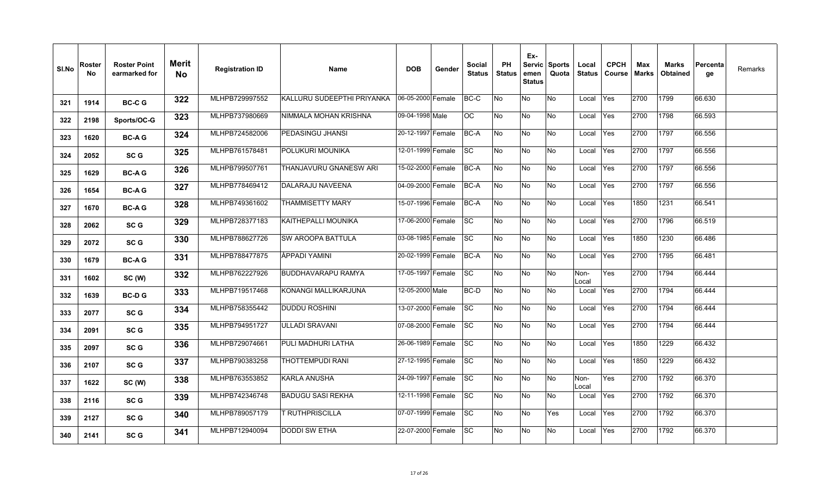| SI.No | Roster<br><b>No</b> | <b>Roster Point</b><br>earmarked for | <b>Merit</b><br>No | <b>Registration ID</b> | <b>Name</b>                | <b>DOB</b>        | Gender | Social<br><b>Status</b> | PH<br><b>Status</b> | Ex-<br>emen<br><b>Status</b> | Servic Sports<br>Quota | Local<br><b>Status</b> | <b>CPCH</b><br><b>Course</b> | Max<br><b>Marks</b> | <b>Marks</b><br><b>Obtained</b> | Percenta<br>ge | Remarks |
|-------|---------------------|--------------------------------------|--------------------|------------------------|----------------------------|-------------------|--------|-------------------------|---------------------|------------------------------|------------------------|------------------------|------------------------------|---------------------|---------------------------------|----------------|---------|
| 321   | 1914                | <b>BC-CG</b>                         | 322                | MLHPB729997552         | KALLURU SUDEEPTHI PRIYANKA | 06-05-2000 Female |        | BC-C                    | No                  | No                           | <b>No</b>              | Local                  | Yes                          | 2700                | 1799                            | 66.630         |         |
| 322   | 2198                | Sports/OC-G                          | 323                | MLHPB737980669         | NIMMALA MOHAN KRISHNA      | 09-04-1998 Male   |        | $\overline{OC}$         | <b>No</b>           | No                           | No                     | Local                  | Yes                          | 2700                | 1798                            | 66.593         |         |
| 323   | 1620                | <b>BC-AG</b>                         | 324                | MLHPB724582006         | PEDASINGU JHANSI           | 20-12-1997 Female |        | BC-A                    | No                  | No                           | No                     | Local                  | Yes                          | 2700                | 1797                            | 66.556         |         |
| 324   | 2052                | SC <sub>G</sub>                      | 325                | MLHPB761578481         | POLUKURI MOUNIKA           | 12-01-1999 Female |        | <b>SC</b>               | <b>No</b>           | No                           | <b>No</b>              | Local                  | Yes                          | 2700                | 1797                            | 66.556         |         |
| 325   | 1629                | <b>BC-AG</b>                         | 326                | MLHPB799507761         | THANJAVURU GNANESW ARI     | 15-02-2000 Female |        | BC-A                    | No                  | No                           | No                     | Local                  | Yes                          | 2700                | 1797                            | 66.556         |         |
| 326   | 1654                | <b>BC-AG</b>                         | 327                | MLHPB778469412         | <b>DALARAJU NAVEENA</b>    | 04-09-2000 Female |        | BC-A                    | No                  | No                           | No                     | Local                  | Yes                          | 2700                | 1797                            | 66.556         |         |
| 327   | 1670                | <b>BC-AG</b>                         | 328                | MLHPB749361602         | <b>THAMMISETTY MARY</b>    | 15-07-1996 Female |        | BC-A                    | No                  | No                           | No                     | Local                  | Yes                          | 1850                | 1231                            | 66.541         |         |
| 328   | 2062                | SC <sub>G</sub>                      | 329                | MLHPB728377183         | KAITHEPALLI MOUNIKA        | 17-06-2000 Female |        | <b>SC</b>               | No                  | No                           | No                     | Local                  | Yes                          | 2700                | 1796                            | 66.519         |         |
| 329   | 2072                | SC <sub>G</sub>                      | 330                | MLHPB788627726         | <b>SW AROOPA BATTULA</b>   | 03-08-1985 Female |        | <b>SC</b>               | No                  | No                           | <b>No</b>              | Local                  | Yes                          | 1850                | 1230                            | 66.486         |         |
| 330   | 1679                | <b>BC-AG</b>                         | 331                | MLHPB788477875         | ÀPPADI YAMINI              | 20-02-1999 Female |        | BC-A                    | <b>No</b>           | No                           | <b>No</b>              | Local                  | Yes                          | 2700                | 1795                            | 66.481         |         |
| 331   | 1602                | SC (W)                               | 332                | MLHPB762227926         | BUDDHAVARAPU RAMYA         | 17-05-1997 Female |        | <b>SC</b>               | ΟN                  | No                           | No                     | Non-<br>Local          | Yes                          | 2700                | 1794                            | 66.444         |         |
| 332   | 1639                | <b>BC-DG</b>                         | 333                | MLHPB719517468         | KONANGI MALLIKARJUNA       | 12-05-2000 Male   |        | BC-D                    | <b>No</b>           | No                           | <b>No</b>              | Local                  | Yes                          | 2700                | 1794                            | 66.444         |         |
| 333   | 2077                | SC G                                 | 334                | MLHPB758355442         | <b>DUDDU ROSHINI</b>       | 13-07-2000 Female |        | <b>SC</b>               | No                  | No                           | No                     | Local                  | Yes                          | 2700                | 1794                            | 66.444         |         |
| 334   | 2091                | SC <sub>G</sub>                      | 335                | MLHPB794951727         | <b>ULLADI SRAVANI</b>      | 07-08-2000 Female |        | SC                      | <b>No</b>           | No                           | <b>No</b>              | Local                  | Yes                          | 2700                | 1794                            | 66.444         |         |
| 335   | 2097                | SC G                                 | 336                | MLHPB729074661         | PULI MADHURI LATHA         | 26-06-1989 Female |        | <b>SC</b>               | <b>No</b>           | No                           | <b>No</b>              | Local                  | Yes                          | 1850                | 1229                            | 66.432         |         |
| 336   | 2107                | SC G                                 | 337                | MLHPB790383258         | THOTTEMPUDI RANI           | 27-12-1995 Female |        | <b>SC</b>               | No                  | No                           | <b>No</b>              | Local                  | Yes                          | 1850                | 1229                            | 66.432         |         |
| 337   | 1622                | SC (W)                               | 338                | MLHPB763553852         | <b>KARLA ANUSHA</b>        | 24-09-1997 Female |        | <b>SC</b>               | No                  | No                           | <b>No</b>              | Non-<br>_ocal          | Yes                          | 2700                | 1792                            | 66.370         |         |
| 338   | 2116                | SC G                                 | 339                | MLHPB742346748         | <b>BADUGU SASI REKHA</b>   | 12-11-1998 Female |        | SC                      | No                  | No                           | No                     | Local                  | Yes                          | 2700                | 1792                            | 66.370         |         |
| 339   | 2127                | SC G                                 | 340                | MLHPB789057179         | <b>FRUTHPRISCILLA</b>      | 07-07-1999 Female |        | <b>SC</b>               | No                  | No                           | Yes                    | Local                  | Yes                          | 2700                | 1792                            | 66.370         |         |
| 340   | 2141                | SC G                                 | 341                | MLHPB712940094         | DODDI SW ETHA              | 22-07-2000 Female |        | <b>SC</b>               | No                  | No                           | <b>No</b>              | Local                  | Yes                          | 2700                | 1792                            | 66.370         |         |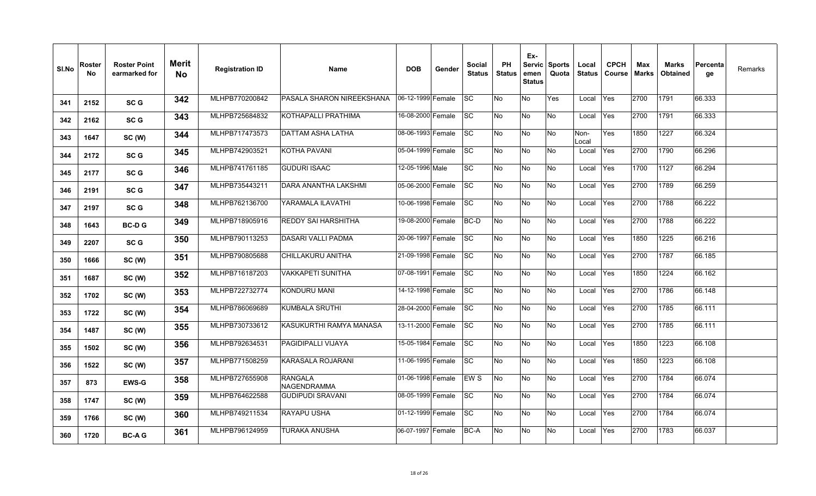| SI.No | Roster<br>No | <b>Roster Point</b><br>earmarked for | <b>Merit</b><br><b>No</b> | <b>Registration ID</b> | <b>Name</b>                    | <b>DOB</b>        | Gender | Social<br><b>Status</b> | <b>PH</b><br><b>Status</b> | Ex-<br>emen<br><b>Status</b> | Servic Sports<br>Quota | Local<br><b>Status</b> | <b>CPCH</b><br>Course | Max<br>Marks | <b>Marks</b><br><b>Obtained</b> | Percenta<br>qe | Remarks |
|-------|--------------|--------------------------------------|---------------------------|------------------------|--------------------------------|-------------------|--------|-------------------------|----------------------------|------------------------------|------------------------|------------------------|-----------------------|--------------|---------------------------------|----------------|---------|
| 341   | 2152         | SC <sub>G</sub>                      | 342                       | MLHPB770200842         | PASALA SHARON NIREEKSHANA      | 06-12-1999 Female |        | lsc                     | No                         | No                           | Yes                    | Local                  | Yes                   | 2700         | 1791                            | 66.333         |         |
| 342   | 2162         | SC <sub>G</sub>                      | 343                       | MLHPB725684832         | KOTHAPALLI PRATHIMA            | 16-08-2000 Female |        | SC                      | No                         | No                           | No.                    | Local                  | Yes                   | 2700         | 1791                            | 66.333         |         |
| 343   | 1647         | SC (W)                               | 344                       | MLHPB717473573         | <b>DATTAM ASHA LATHA</b>       | 08-06-1993 Female |        | <b>SC</b>               | No                         | No                           | <b>No</b>              | Non-<br>Local          | Yes                   | 1850         | 1227                            | 66.324         |         |
| 344   | 2172         | SC <sub>G</sub>                      | 345                       | MLHPB742903521         | <b>KOTHA PAVANI</b>            | 05-04-1999 Female |        | lsc                     | No                         | No                           | No                     | Local                  | Yes                   | 2700         | 1790                            | 66.296         |         |
| 345   | 2177         | SC <sub>G</sub>                      | 346                       | MLHPB741761185         | <b>GUDURI ISAAC</b>            | 12-05-1996 Male   |        | <b>SC</b>               | No                         | No                           | No                     | Local                  | Yes                   | 1700         | 1127                            | 66.294         |         |
| 346   | 2191         | SC <sub>G</sub>                      | 347                       | MLHPB735443211         | <b>DARA ANANTHA LAKSHMI</b>    | 05-06-2000 Female |        | <b>SC</b>               | No                         | No                           | No                     | Local                  | Yes                   | 2700         | 1789                            | 66.259         |         |
| 347   | 2197         | SC <sub>G</sub>                      | 348                       | MLHPB762136700         | YARAMALA ILAVATHI              | 10-06-1998 Female |        | SC                      | No                         | No                           | No.                    | Local                  | Yes                   | 2700         | 1788                            | 66.222         |         |
| 348   | 1643         | <b>BC-DG</b>                         | 349                       | MLHPB718905916         | <b>REDDY SAI HARSHITHA</b>     | 19-08-2000 Female |        | <b>BC-D</b>             | No                         | No                           | No                     | Local                  | Yes                   | 2700         | 1788                            | 66.222         |         |
| 349   | 2207         | SC <sub>G</sub>                      | 350                       | MLHPB790113253         | <b>DASARI VALLI PADMA</b>      | 20-06-1997 Female |        | SC                      | No                         | No                           | No                     | Local                  | Yes                   | 1850         | 1225                            | 66.216         |         |
| 350   | 1666         | SC (W)                               | 351                       | MLHPB790805688         | CHILLAKURU ANITHA              | 21-09-1998 Female |        | <b>SC</b>               | No                         | No                           | No                     | Local                  | Yes                   | 2700         | 1787                            | 66.185         |         |
| 351   | 1687         | SC (W)                               | 352                       | MLHPB716187203         | <b>VAKKAPETI SUNITHA</b>       | 07-08-1991 Female |        | <b>SC</b>               | No                         | No                           | No                     | Local                  | Yes                   | 1850         | 1224                            | 66.162         |         |
| 352   | 1702         | SC (W)                               | 353                       | MLHPB722732774         | <b>KONDURU MANI</b>            | 14-12-1998 Female |        | lsc                     | No                         | No                           | No                     | Local                  | Yes                   | 2700         | 1786                            | 66.148         |         |
| 353   | 1722         | SC (W)                               | 354                       | MLHPB786069689         | <b>KUMBALA SRUTHI</b>          | 28-04-2000 Female |        | <b>SC</b>               | No                         | No                           | No                     | Local                  | Yes                   | 2700         | 1785                            | 66.111         |         |
| 354   | 1487         | SC (W)                               | 355                       | MLHPB730733612         | KASUKURTHI RAMYA MANASA        | 13-11-2000 Female |        | lsc                     | No                         | No                           | No                     | Local                  | Yes                   | 2700         | 1785                            | 66.111         |         |
| 355   | 1502         | SC (W)                               | 356                       | MLHPB792634531         | <b>PAGIDIPALLI VIJAYA</b>      | 15-05-1984 Female |        | SC                      | No                         | No                           | No                     | Local                  | Yes                   | 1850         | 1223                            | 66.108         |         |
| 356   | 1522         | SC (W)                               | 357                       | MLHPB771508259         | KARASALA ROJARANI              | 11-06-1995 Female |        | <b>SC</b>               | No                         | No                           | No.                    | Local                  | Yes                   | 1850         | 1223                            | 66.108         |         |
| 357   | 873          | <b>EWS-G</b>                         | 358                       | MLHPB727655908         | <b>RANGALA</b><br>INAGENDRAMMA | 01-06-1998 Female |        | EWS                     | No                         | No                           | No                     | Local                  | Yes                   | 2700         | 1784                            | 66.074         |         |
| 358   | 1747         | SC (W)                               | 359                       | MLHPB764622588         | <b>GUDIPUDI SRAVANI</b>        | 08-05-1999 Female |        | <b>SC</b>               | No                         | $\overline{\mathsf{No}}$     | δ                      | Local                  | Yes                   | 2700         | 1784                            | 66.074         |         |
| 359   | 1766         | SC (W)                               | 360                       | MLHPB749211534         | <b>RAYAPU USHA</b>             | 01-12-1999 Female |        | <b>SC</b>               | No                         | No                           | No                     | Local                  | Yes                   | 2700         | 1784                            | 66.074         |         |
| 360   | 1720         | <b>BC-AG</b>                         | 361                       | MLHPB796124959         | TURAKA ANUSHA                  | 06-07-1997 Female |        | <b>BC-A</b>             | No                         | No                           | No                     | Local                  | Yes                   | 2700         | 1783                            | 66.037         |         |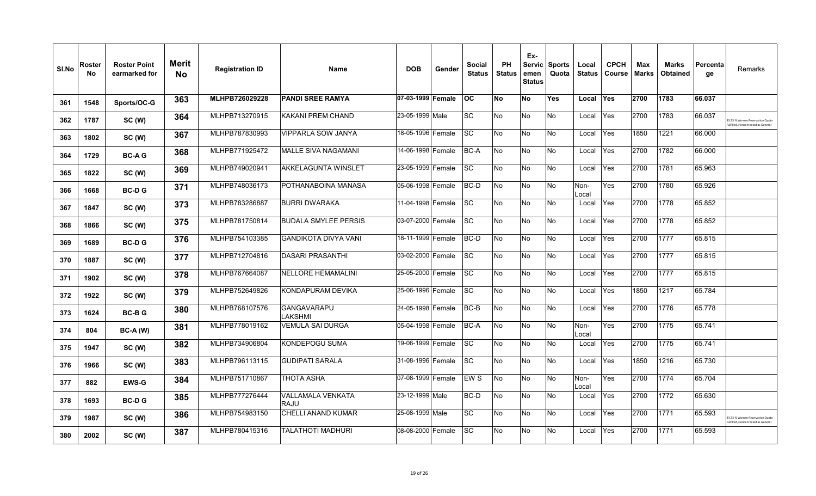| SI.No | Roster<br>No | <b>Roster Point</b><br>earmarked for | <b>Merit</b><br><b>No</b> | <b>Registration ID</b> | <b>Name</b>                             | <b>DOB</b>        | Gender | <b>Social</b><br><b>Status</b> | <b>PH</b><br><b>Status</b> | Ex-<br>emen<br><b>Status</b> | Servic   Sports<br>Quota | Local<br><b>Status</b> | <b>CPCH</b><br>Course | Max<br><b>Marks</b> | <b>Marks</b><br>Obtained | Percenta<br>ge | Remarks                                                             |
|-------|--------------|--------------------------------------|---------------------------|------------------------|-----------------------------------------|-------------------|--------|--------------------------------|----------------------------|------------------------------|--------------------------|------------------------|-----------------------|---------------------|--------------------------|----------------|---------------------------------------------------------------------|
| 361   | 1548         | Sports/OC-G                          | 363                       | MLHPB726029228         | <b>PANDI SREE RAMYA</b>                 | 07-03-1999 Female |        | <b>OC</b>                      | No                         | <b>No</b>                    | <b>Yes</b>               | Local                  | <b>Yes</b>            | 2700                | 1783                     | 66.037         |                                                                     |
| 362   | 1787         | SC(W)                                | 364                       | MLHPB713270915         | KAKANI PREM CHAND                       | 23-05-1999 Male   |        | <b>SC</b>                      | No                         | No                           | <b>No</b>                | Local                  | Yes                   | 2700                | 1783                     | 66.037         | 3.33 % Women Reservation Quota<br>Ifilled. Hence treated as General |
| 363   | 1802         | SC (W)                               | 367                       | MLHPB787830993         | VIPPARLA SOW JANYA                      | 18-05-1996 Female |        | <b>SC</b>                      | No                         | No                           | <b>No</b>                | Local                  | Yes                   | 1850                | 1221                     | 66.000         |                                                                     |
| 364   | 1729         | <b>BC-AG</b>                         | 368                       | MLHPB771925472         | <b>MALLE SIVA NAGAMANI</b>              | 14-06-1998 Female |        | BC-A                           | No                         | No                           | <b>No</b>                | Local                  | Yes                   | 2700                | 1782                     | 66.000         |                                                                     |
| 365   | 1822         | SC(W)                                | 369                       | MLHPB749020941         | <b>AKKELAGUNTA WINSLET</b>              | 23-05-1999 Female |        | <b>SC</b>                      | No                         | No                           | <b>No</b>                | Local                  | Yes                   | 2700                | 1781                     | 65.963         |                                                                     |
| 366   | 1668         | <b>BC-DG</b>                         | 371                       | MLHPB748036173         | POTHANABOINA MANASA                     | 05-06-1998 Female |        | BC-D                           | <b>No</b>                  | No                           | <b>No</b>                | Non-<br>Local          | Yes                   | 2700                | 1780                     | 65.926         |                                                                     |
| 367   | 1847         | SC (W)                               | 373                       | MLHPB783286887         | <b>BURRI DWARAKA</b>                    | 11-04-1998 Female |        | <b>SC</b>                      | No                         | No                           | No                       | Local                  | Yes                   | 2700                | 1778                     | 65.852         |                                                                     |
| 368   | 1866         | SC (W)                               | 375                       | MLHPB781750814         | <b>BUDALA SMYLEE PERSIS</b>             | 03-07-2000 Female |        | <b>SC</b>                      | No                         | No                           | <b>No</b>                | Local                  | Yes                   | 2700                | 1778                     | 65.852         |                                                                     |
| 369   | 1689         | <b>BC-DG</b>                         | 376                       | MLHPB754103385         | <b>GANDIKOTA DIVYA VANI</b>             | 18-11-1999 Female |        | BC-D                           | <b>No</b>                  | No                           | <b>No</b>                | Local                  | Yes                   | 2700                | 1777                     | 65.815         |                                                                     |
| 370   | 1887         | SC(W)                                | 377                       | MLHPB712704816         | <b>DASARI PRASANTHI</b>                 | 03-02-2000 Female |        | <b>SC</b>                      | No                         | No                           | <b>No</b>                | Local                  | Yes                   | 2700                | 1777                     | 65.815         |                                                                     |
| 371   | 1902         | SC (W)                               | 378                       | MLHPB767664087         | <b>NELLORE HEMAMALINI</b>               | 25-05-2000 Female |        | <b>SC</b>                      | No                         | No                           | <b>No</b>                | Local                  | Yes                   | 2700                | 1777                     | 65.815         |                                                                     |
| 372   | 1922         | SC(W)                                | 379                       | MLHPB752649826         | <b>KONDAPURAM DEVIKA</b>                | 25-06-1996 Female |        | <b>SC</b>                      | No                         | No                           | No                       | Local                  | Yes                   | 1850                | 1217                     | 65.784         |                                                                     |
| 373   | 1624         | <b>BC-BG</b>                         | 380                       | MLHPB768107576         | <b>GANGAVARAPU</b><br>LAKSHMI           | 24-05-1998 Female |        | BC-B                           | No                         | No                           | <b>No</b>                | Local                  | Yes                   | 2700                | 1776                     | 65.778         |                                                                     |
| 374   | 804          | $BC-A (W)$                           | 381                       | MLHPB778019162         | VEMULA SAI DURGA                        | 05-04-1998 Female |        | BC-A                           | No                         | No                           | <b>No</b>                | Non-<br>Local          | Yes                   | 2700                | 1775                     | 65.741         |                                                                     |
| 375   | 1947         | SC (W)                               | 382                       | MLHPB734906804         | KONDEPOGU SUMA                          | 19-06-1999 Female |        | <b>SC</b>                      | No                         | No                           | <b>No</b>                | Local                  | Yes                   | 2700                | 1775                     | 65.741         |                                                                     |
| 376   | 1966         | SC (W)                               | 383                       | MLHPB796113115         | <b>GUDIPATI SARALA</b>                  | 31-08-1996 Female |        | <b>SC</b>                      | No                         | No                           | <b>No</b>                | Local                  | Yes                   | 1850                | 1216                     | 65.730         |                                                                     |
| 377   | 882          | <b>EWS-G</b>                         | 384                       | MLHPB751710867         | <b>THOTA ASHA</b>                       | 07-08-1999 Female |        | EW <sub>S</sub>                | No                         | No                           | <b>No</b>                | Non-<br>Local          | Yes                   | 2700                | 1774                     | 65.704         |                                                                     |
| 378   | 1693         | <b>BC-DG</b>                         | 385                       | MLHPB777276444         | <b>VALLAMALA VENKATA</b><br><b>RAJU</b> | 23-12-1999 Male   |        | BC-D                           | <b>No</b>                  | No                           | <b>No</b>                | Local                  | Yes                   | 2700                | 1772                     | 65.630         |                                                                     |
| 379   | 1987         | SC(W)                                | 386                       | MLHPB754983150         | <b>CHELLI ANAND KUMAR</b>               | 25-08-1999 Male   |        | SC                             | No                         | No                           | <b>No</b>                | Local                  | <b>Yes</b>            | 2700                | 1771                     | 65.593         | 3.33 % Women Reservation Quota<br>filled. Hence treated as General  |
| 380   | 2002         | SC (W)                               | 387                       | MLHPB780415316         | TALATHOTI MADHURI                       | 08-08-2000 Female |        | <b>SC</b>                      | No                         | No                           | No                       | Local                  | Yes                   | 2700                | 1771                     | 65.593         |                                                                     |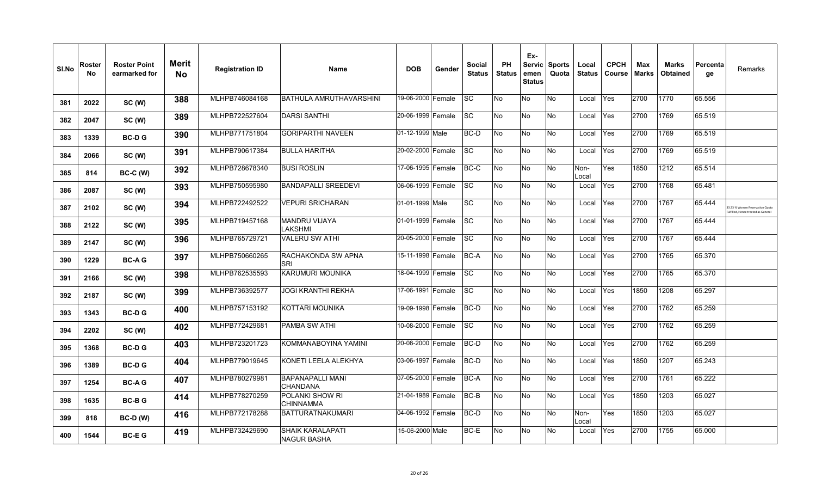| SI.No | Roster<br>No | <b>Roster Point</b><br>earmarked for | <b>Merit</b><br>No | <b>Registration ID</b> | <b>Name</b>                                   | <b>DOB</b>        | Gender | Social<br><b>Status</b> | <b>PH</b><br><b>Status</b> | Ex-<br>emen<br><b>Status</b> | Servic Sports<br>Quota | Local<br><b>Status</b> | <b>CPCH</b><br>Course | Max<br>Marks | <b>Marks</b><br><b>Obtained</b> | ∣Percenta<br>qe | Remarks                                                               |
|-------|--------------|--------------------------------------|--------------------|------------------------|-----------------------------------------------|-------------------|--------|-------------------------|----------------------------|------------------------------|------------------------|------------------------|-----------------------|--------------|---------------------------------|-----------------|-----------------------------------------------------------------------|
| 381   | 2022         | SC (W)                               | 388                | MLHPB746084168         | <b>BATHULA AMRUTHAVARSHINI</b>                | 19-06-2000 Female |        | lsc                     | No                         | No                           | No                     | Local                  | Yes                   | 2700         | 1770                            | 65.556          |                                                                       |
| 382   | 2047         | SC (W)                               | 389                | MLHPB722527604         | <b>DARSI SANTHI</b>                           | 20-06-1999 Female |        | <b>SC</b>               | No                         | No                           | No                     | Local                  | Yes                   | 2700         | 1769                            | 65.519          |                                                                       |
| 383   | 1339         | <b>BC-DG</b>                         | 390                | MLHPB771751804         | <b>GORIPARTHI NAVEEN</b>                      | 01-12-1999 Male   |        | BC-D                    | No                         | No                           | No                     | Local                  | Yes                   | 2700         | 1769                            | 65.519          |                                                                       |
| 384   | 2066         | SC (W)                               | 391                | MLHPB790617384         | IBULLA HARITHA                                | 20-02-2000 Female |        | <b>SC</b>               | No                         | No                           | No                     | Local                  | Yes                   | 2700         | 1769                            | 65.519          |                                                                       |
| 385   | 814          | BC-C (W)                             | 392                | MLHPB728678340         | <b>BUSI ROSLIN</b>                            | 17-06-1995 Female |        | BC-C                    | No                         | No                           | No                     | Non-<br>Local          | Yes                   | 1850         | 1212                            | 65.514          |                                                                       |
| 386   | 2087         | SC (W)                               | 393                | MLHPB750595980         | <b>BANDAPALLI SREEDEVI</b>                    | 06-06-1999 Female |        | SC                      | No                         | No                           | No                     | Local                  | Yes                   | 2700         | 1768                            | 65.481          |                                                                       |
| 387   | 2102         | SC (W)                               | 394                | MLHPB722492522         | <b>VEPURI SRICHARAN</b>                       | 01-01-1999 Male   |        | <b>SC</b>               | No                         | No                           | No.                    | Local                  | Yes                   | 2700         | 1767                            | 65.444          | 33.33 % Women Reservation Quota<br>ulfilled. Hence treated as General |
| 388   | 2122         | SC (W)                               | 395                | MLHPB719457168         | MANDRU VIJAYA<br>LAKSHMI                      | 01-01-1999 Female |        | <b>SC</b>               | No                         | No                           | No                     | Local                  | Yes                   | 2700         | 1767                            | 65.444          |                                                                       |
| 389   | 2147         | SC (W)                               | 396                | MLHPB765729721         | <b>VALERU SW ATHI</b>                         | 20-05-2000 Female |        | SC                      | No                         | No                           | No                     | Local                  | Yes                   | 2700         | 1767                            | 65.444          |                                                                       |
| 390   | 1229         | <b>BC-AG</b>                         | 397                | MLHPB750660265         | RACHAKONDA SW APNA<br>SRI                     | 15-11-1998 Female |        | <b>BC-A</b>             | No                         | No                           | No                     | Local                  | Yes                   | 2700         | 1765                            | 65.370          |                                                                       |
| 391   | 2166         | SC (W)                               | 398                | MLHPB762535593         | İKARUMURI MOUNIKA                             | 18-04-1999 Female |        | <b>SC</b>               | No                         | No                           | No.                    | Local                  | Yes                   | 2700         | 1765                            | 65.370          |                                                                       |
| 392   | 2187         | SC(W)                                | 399                | MLHPB736392577         | <b>JOGI KRANTHI REKHA</b>                     | 17-06-1991        | Female | lsc                     | No                         | No                           | No                     | Local                  | Yes                   | 1850         | 1208                            | 65.297          |                                                                       |
| 393   | 1343         | <b>BC-DG</b>                         | 400                | MLHPB757153192         | <b>KOTTARI MOUNIKA</b>                        | 19-09-1998 Female |        | BC-D                    | No                         | No                           | No                     | Local                  | Yes                   | 2700         | 1762                            | 65.259          |                                                                       |
| 394   | 2202         | SC (W)                               | 402                | MLHPB772429681         | <b>PAMBA SW ATHI</b>                          | 10-08-2000 Female |        | <b>SC</b>               | No                         | No                           | No                     | Local                  | Yes                   | 2700         | 1762                            | 65.259          |                                                                       |
| 395   | 1368         | <b>BC-DG</b>                         | 403                | MLHPB723201723         | KOMMANABOYINA YAMINI                          | 20-08-2000 Female |        | BC-D                    | No                         | No                           | No                     | Local                  | Yes                   | 2700         | 1762                            | 65.259          |                                                                       |
| 396   | 1389         | <b>BC-DG</b>                         | 404                | MLHPB779019645         | KONETI LEELA ALEKHYA                          | 03-06-1997 Female |        | BC-D                    | No                         | No                           | No.                    | Local                  | Yes                   | 1850         | 1207                            | 65.243          |                                                                       |
| 397   | 1254         | <b>BC-AG</b>                         | 407                | MLHPB780279981         | <b>BAPANAPALLI MANI</b><br><b>CHANDANA</b>    | 07-05-2000        | Female | BC-A                    | No                         | No                           | No                     | Local                  | Yes                   | 2700         | 1761                            | 65.222          |                                                                       |
| 398   | 1635         | <b>BC-BG</b>                         | 414                | MLHPB778270259         | POLANKI SHOW RI<br><b>CHINNAMMA</b>           | 21-04-1989 Female |        | BC-B                    | No                         | ΟN                           | No                     | Local                  | Yes                   | 1850         | 1203                            | 65.027          |                                                                       |
| 399   | 818          | <b>BC-D (W)</b>                      | 416                | MLHPB772178288         | <b>BATTURATNAKUMARI</b>                       | 04-06-1992        | Female | BC-D                    | No                         | No                           | No                     | Non-<br>Local          | Yes                   | 1850         | 1203                            | 65.027          |                                                                       |
| 400   | 1544         | <b>BC-EG</b>                         | 419                | MLHPB732429690         | <b>SHAIK KARALAPATI</b><br><b>NAGUR BASHA</b> | 15-06-2000 Male   |        | BC-E                    | No                         | No                           | No                     | Local                  | Yes                   | 2700         | 1755                            | 65.000          |                                                                       |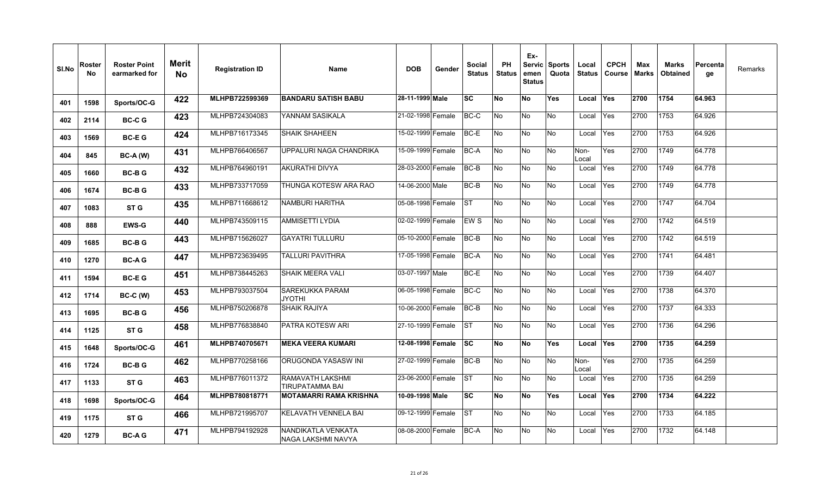| SI.No | Roster<br><b>No</b> | <b>Roster Point</b><br>earmarked for | <b>Merit</b><br>No. | <b>Registration ID</b> | <b>Name</b>                                 | <b>DOB</b>        | Gender | Social<br><b>Status</b> | PH<br><b>Status</b> | Ex-<br>Servic  <br>emen<br><b>Status</b> | <b>Sports</b><br>Quota | Local<br><b>Status</b> | <b>CPCH</b><br>Course | Max<br>Marks | Marks<br><b>Obtained</b> | Percenta<br>ge | Remarks |
|-------|---------------------|--------------------------------------|---------------------|------------------------|---------------------------------------------|-------------------|--------|-------------------------|---------------------|------------------------------------------|------------------------|------------------------|-----------------------|--------------|--------------------------|----------------|---------|
| 401   | 1598                | Sports/OC-G                          | 422                 | MLHPB722599369         | <b>BANDARU SATISH BABU</b>                  | 28-11-1999 Male   |        | lSC.                    | No                  | <b>No</b>                                | Yes                    | Local                  | <b>Yes</b>            | 2700         | 1754                     | 64.963         |         |
| 402   | 2114                | <b>BC-CG</b>                         | 423                 | MLHPB724304083         | YANNAM SASIKALA                             | 21-02-1998 Female |        | BC-C                    | No                  | <b>No</b>                                | No                     | Local                  | Yes                   | 2700         | 1753                     | 64.926         |         |
| 403   | 1569                | <b>BC-EG</b>                         | 424                 | MLHPB716173345         | <b>SHAIK SHAHEEN</b>                        | 15-02-1999 Female |        | BC-E                    | No                  | No                                       | No                     | Local                  | Yes                   | 2700         | 1753                     | 64.926         |         |
| 404   | 845                 | <b>BC-A (W)</b>                      | 431                 | MLHPB766406567         | UPPALURI NAGA CHANDRIKA                     | 15-09-1999 Female |        | BC-A                    | No                  | <b>No</b>                                | No                     | Non-<br>Local          | Yes                   | 2700         | 1749                     | 64.778         |         |
| 405   | 1660                | <b>BC-BG</b>                         | 432                 | MLHPB764960191         | AKURATHI DIVYA                              | 28-03-2000 Female |        | BC-B                    | No                  | No                                       | No                     | Local                  | Yes                   | 2700         | 1749                     | 64.778         |         |
| 406   | 1674                | <b>BC-BG</b>                         | 433                 | MLHPB733717059         | THUNGA KOTESW ARA RAO                       | 14-06-2000 Male   |        | BC-B                    | No                  | No                                       | No                     | Local                  | Yes                   | 2700         | 1749                     | 64.778         |         |
| 407   | 1083                | ST G                                 | 435                 | MLHPB711668612         | INAMBURI HARITHA                            | 05-08-1998 Female |        | lst.                    | No                  | No                                       | No                     | Local                  | Yes                   | 2700         | 1747                     | 64.704         |         |
| 408   | 888                 | <b>EWS-G</b>                         | 440                 | MLHPB743509115         | AMMISETTI LYDIA                             | 02-02-1999 Female |        | EW S                    | No                  | No                                       | No                     | Local                  | Yes                   | 2700         | 1742                     | 64.519         |         |
| 409   | 1685                | <b>BC-BG</b>                         | 443                 | MLHPB715626027         | <b>GAYATRI TULLURU</b>                      | 05-10-2000 Female |        | BC-B                    | No                  | <b>No</b>                                | No.                    | Local                  | Yes                   | 2700         | 1742                     | 64.519         |         |
| 410   | 1270                | <b>BC-AG</b>                         | 447                 | MLHPB723639495         | TALLURI PAVITHRA                            | 17-05-1998 Female |        | <b>BC-A</b>             | No                  | No                                       | No                     | Local                  | Yes                   | 2700         | 1741                     | 64.481         |         |
| 411   | 1594                | <b>BC-EG</b>                         | 451                 | MLHPB738445263         | SHAIK MEERA VALI                            | 03-07-1997 Male   |        | BC-E                    | No                  | No                                       | No                     | Local                  | Yes                   | 2700         | 1739                     | 64.407         |         |
| 412   | 1714                | $BC-C (W)$                           | 453                 | MLHPB793037504         | <b>ISAREKUKKA PARAM</b><br><b>JYOTHI</b>    | 06-05-1998 Female |        | BC-C                    | <b>No</b>           | <b>No</b>                                | No                     | Local                  | <b>Yes</b>            | 2700         | 1738                     | 64.370         |         |
| 413   | 1695                | <b>BC-BG</b>                         | 456                 | MLHPB750206878         | SHAIK RAJIYA                                | 10-06-2000 Female |        | BC-B                    | No                  | <b>No</b>                                | No                     | Local                  | Yes                   | 2700         | 1737                     | 64.333         |         |
| 414   | 1125                | ST G                                 | 458                 | MLHPB776838840         | <b>PATRA KOTESW ARI</b>                     | 27-10-1999 Female |        | <b>IST</b>              | No                  | <b>No</b>                                | No                     | Local                  | Yes                   | 2700         | 1736                     | 64.296         |         |
| 415   | 1648                | Sports/OC-G                          | 461                 | MLHPB740705671         | <b>IMEKA VEERA KUMARI</b>                   | 12-08-1998 Female |        | <b>SC</b>               | No                  | <b>No</b>                                | Yes                    | Local                  | <b>IYes</b>           | 2700         | 1735                     | 64.259         |         |
| 416   | 1724                | <b>BC-BG</b>                         | 462                 | MLHPB770258166         | ORUGONDA YASASW INI                         | 27-02-1999 Female |        | BC-B                    | No                  | No                                       | No                     | Non-<br>Local          | Yes                   | 2700         | 1735                     | 64.259         |         |
| 417   | 1133                | ST G                                 | 463                 | MLHPB776011372         | IRAMAVATH LAKSHMI<br><b>TIRUPATAMMA BAI</b> | 23-06-2000 Female |        | <b>ST</b>               | No                  | <b>No</b>                                | No.                    | Local                  | Yes                   | 2700         | 1735                     | 64.259         |         |
| 418   | 1698                | Sports/OC-G                          | 464                 | MLHPB780818771         | IMOTAMARRI RAMA KRISHNA                     | 10-09-1998 Male   |        | <b>ISC</b>              | No                  | No                                       | Yes                    | Local                  | <b>Yes</b>            | 2700         | 1734                     | 64.222         |         |
| 419   | 1175                | ST G                                 | 466                 | MLHPB721995707         | İKELAVATH VENNELA BAI                       | 09-12-1999 Female |        | IST                     | No                  | No                                       | No                     | Local                  | Yes                   | 2700         | 1733                     | 64.185         |         |
| 420   | 1279                | <b>BC-AG</b>                         | 471                 | MLHPB794192928         | INANDIKATLA VENKATA<br>NAGA LAKSHMI NAVYA   | 08-08-2000 Female |        | <b>BC-A</b>             | No                  | <b>No</b>                                | No.                    | Local                  | Yes                   | 2700         | 1732                     | 64.148         |         |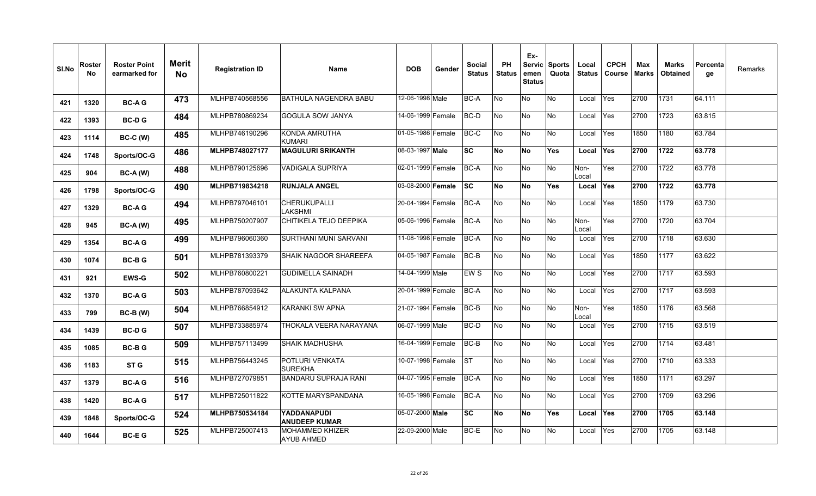| SI.No | Roster<br>No | <b>Roster Point</b><br>earmarked for | <b>Merit</b><br>No | <b>Registration ID</b> | <b>Name</b>                                 | <b>DOB</b>               | Gender | <b>Social</b><br><b>Status</b> | PH<br><b>Status</b> | Ex-<br>emen<br><b>Status</b> | Servic Sports<br>Quota | Local<br><b>Status</b> | <b>CPCH</b><br><b>Course</b> | Max<br><b>Marks</b> | <b>Marks</b><br><b>Obtained</b> | Percenta<br>ge | Remarks |
|-------|--------------|--------------------------------------|--------------------|------------------------|---------------------------------------------|--------------------------|--------|--------------------------------|---------------------|------------------------------|------------------------|------------------------|------------------------------|---------------------|---------------------------------|----------------|---------|
| 421   | 1320         | <b>BC-AG</b>                         | 473                | MLHPB740568556         | IBATHULA NAGENDRA BABU                      | 12-06-1998 Male          |        | BC-A                           | No                  | No                           | No.                    | Local                  | <b>Yes</b>                   | 2700                | 1731                            | 64.111         |         |
| 422   | 1393         | <b>BC-DG</b>                         | 484                | MLHPB780869234         | <b>GOGULA SOW JANYA</b>                     | 14-06-1999 Female        |        | BC-D                           | No                  | No                           | No                     | Local                  | Yes                          | 2700                | 1723                            | 63.815         |         |
| 423   | 1114         | <b>BC-C (W)</b>                      | 485                | MLHPB746190296         | <b>KONDA AMRUTHA</b><br><b>KUMARI</b>       | 01-05-1986 Female        |        | BC-C                           | No                  | No                           | No                     | Local                  | Yes                          | 1850                | 1180                            | 63.784         |         |
| 424   | 1748         | Sports/OC-G                          | 486                | MLHPB748027177         | <b>MAGULURI SRIKANTH</b>                    | 08-03-1997 Male          |        | <b>SC</b>                      | No                  | <b>No</b>                    | Yes                    | Local                  | <b>Yes</b>                   | 2700                | 1722                            | 63.778         |         |
| 425   | 904          | $BC-A (W)$                           | 488                | MLHPB790125696         | <b>VADIGALA SUPRIYA</b>                     | 02-01-1999 Female        |        | <b>BC-A</b>                    | No                  | No                           | No                     | Non-<br>Local          | Yes                          | 2700                | 1722                            | 63.778         |         |
| 426   | 1798         | Sports/OC-G                          | 490                | MLHPB719834218         | <b>RUNJALA ANGEL</b>                        | 03-08-2000 <b>Female</b> |        | lsc                            | No                  | No                           | Yes                    | Local                  | <b>Yes</b>                   | 2700                | 1722                            | 63.778         |         |
| 427   | 1329         | <b>BC-AG</b>                         | 494                | MLHPB797046101         | ICHERUKUPALLI<br><b>LAKSHMI</b>             | 20-04-1994 Female        |        | <b>BC-A</b>                    | No                  | No                           | No                     | Local                  | Yes                          | 1850                | 1179                            | 63.730         |         |
| 428   | 945          | <b>BC-A (W)</b>                      | 495                | MLHPB750207907         | CHITIKELA TEJO DEEPIKA                      | 05-06-1996 Female        |        | BC-A                           | No                  | No                           | No                     | Non-<br>Local          | Yes                          | 2700                | 1720                            | 63.704         |         |
| 429   | 1354         | <b>BC-AG</b>                         | 499                | MLHPB796060360         | SURTHANI MUNI SARVANI                       | 11-08-1998 Female        |        | BC-A                           | No                  | No                           | No                     | Local                  | Yes                          | 2700                | 1718                            | 63.630         |         |
| 430   | 1074         | <b>BC-BG</b>                         | 501                | MLHPB781393379         | <b>SHAIK NAGOOR SHAREEFA</b>                | 04-05-1987 Female        |        | BC-B                           | No                  | <b>No</b>                    | No                     | Local                  | Yes                          | 1850                | 1177                            | 63.622         |         |
| 431   | 921          | <b>EWS-G</b>                         | 502                | MLHPB760800221         | <b>GUDIMELLA SAINADH</b>                    | 14-04-1999 Male          |        | EW S                           | No                  | No                           | No                     | Local                  | Yes                          | 2700                | 1717                            | 63.593         |         |
| 432   | 1370         | <b>BC-AG</b>                         | 503                | MLHPB787093642         | ALAKUNTA KALPANA                            | 20-04-1999 Female        |        | BC-A                           | No                  | No                           | No                     | Local                  | Yes                          | 2700                | 1717                            | 63.593         |         |
| 433   | 799          | $BC-B (W)$                           | 504                | MLHPB766854912         | <b>KARANKI SW APNA</b>                      | 21-07-1994 Female        |        | BC-B                           | No                  | No                           | No                     | Non-<br>Local          | Yes                          | 1850                | 1176                            | 63.568         |         |
| 434   | 1439         | <b>BC-DG</b>                         | 507                | MLHPB733885974         | THOKALA VEERA NARAYANA                      | 06-07-1999 Male          |        | <b>BC-D</b>                    | No                  | No                           | No                     | Local                  | <b>Yes</b>                   | 2700                | 1715                            | 63.519         |         |
| 435   | 1085         | <b>BC-BG</b>                         | 509                | MLHPB757113499         | <b>SHAIK MADHUSHA</b>                       | 16-04-1999 Female        |        | BC-B                           | No                  | No                           | No                     | Local                  | Yes                          | 2700                | 1714                            | 63.481         |         |
| 436   | 1183         | ST <sub>G</sub>                      | 515                | MLHPB756443245         | POTLURI VENKATA<br><b>SUREKHA</b>           | 10-07-1998 Female        |        | <b>ST</b>                      | No                  | No                           | No                     | Local                  | Yes                          | 2700                | 1710                            | 63.333         |         |
| 437   | 1379         | <b>BC-AG</b>                         | 516                | MLHPB727079851         | <b>BANDARU SUPRAJA RANI</b>                 | 04-07-1995 Female        |        | BC-A                           | No                  | No                           | No                     | Local                  | Yes                          | 1850                | 1171                            | 63.297         |         |
| 438   | 1420         | <b>BC-AG</b>                         | 517                | MLHPB725011822         | KOTTE MARYSPANDANA                          | 16-05-1998 Female        |        | <b>BC-A</b>                    | No                  | ΟN                           | No                     | Local                  | Yes                          | 2700                | 1709                            | 63.296         |         |
| 439   | 1848         | Sports/OC-G                          | 524                | MLHPB750534184         | <b>YADDANAPUDI</b><br><b>ANUDEEP KUMAR</b>  | 05-07-2000 Male          |        | <b>SC</b>                      | No                  | <b>No</b>                    | Yes                    | Local                  | <b>Yes</b>                   | 2700                | 1705                            | 63.148         |         |
| 440   | 1644         | <b>BC-EG</b>                         | 525                | MLHPB725007413         | <b>MOHAMMED KHIZER</b><br><b>AYUB AHMED</b> | 22-09-2000 Male          |        | BC-E                           | No                  | No                           | No                     | Local                  | Yes                          | 2700                | 1705                            | 63.148         |         |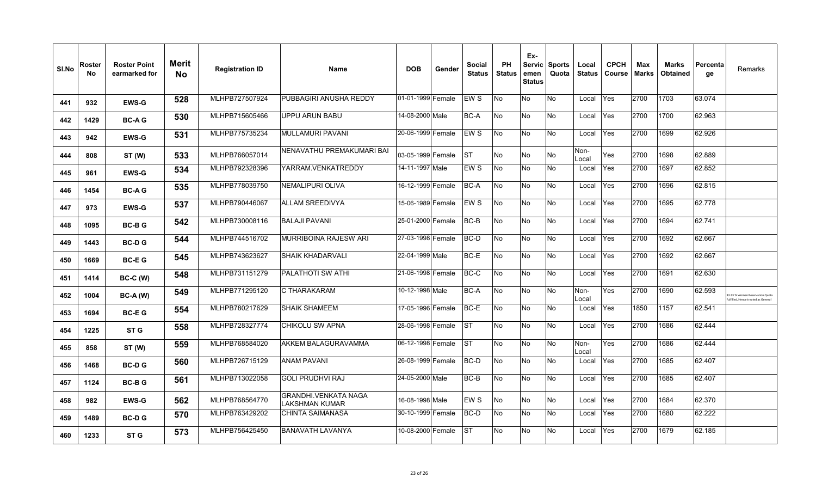| SI.No | Roster<br>No | <b>Roster Point</b><br>earmarked for | <b>Merit</b><br><b>No</b> | <b>Registration ID</b> | <b>Name</b>                                          | <b>DOB</b>        | Gender | Social<br><b>Status</b> | PH<br><b>Status</b> | Ex-<br>emen<br><b>Status</b> | Servic Sports<br>Quota | Local<br><b>Status</b> | <b>CPCH</b><br><b>Course</b> | Max<br><b>Marks</b> | <b>Marks</b><br><b>Obtained</b> | ∣Percenta<br>qe | Remarks                                                            |
|-------|--------------|--------------------------------------|---------------------------|------------------------|------------------------------------------------------|-------------------|--------|-------------------------|---------------------|------------------------------|------------------------|------------------------|------------------------------|---------------------|---------------------------------|-----------------|--------------------------------------------------------------------|
| 441   | 932          | <b>EWS-G</b>                         | 528                       | MLHPB727507924         | PUBBAGIRI ANUSHA REDDY                               | 01-01-1999 Female |        | EW S                    | No                  | No                           | <b>No</b>              | Local                  | Yes                          | 2700                | 1703                            | 63.074          |                                                                    |
| 442   | 1429         | <b>BC-AG</b>                         | 530                       | MLHPB715605466         | <b>UPPU ARUN BABU</b>                                | 14-08-2000 Male   |        | <b>BC-A</b>             | No                  | No                           | No.                    | Local                  | Yes                          | 2700                | 1700                            | 62.963          |                                                                    |
| 443   | 942          | <b>EWS-G</b>                         | 531                       | MLHPB775735234         | <b>MULLAMURI PAVANI</b>                              | 20-06-1999 Female |        | <b>EWS</b>              | <b>No</b>           | No                           | No                     | Local                  | Yes                          | 2700                | 1699                            | 62.926          |                                                                    |
| 444   | 808          | ST (W)                               | 533                       | MLHPB766057014         | NENAVATHU PREMAKUMARI BAI                            | 03-05-1999 Female |        | <b>ST</b>               | No                  | No                           | No.                    | Non-<br>Local          | Yes                          | 2700                | 1698                            | 62.889          |                                                                    |
| 445   | 961          | <b>EWS-G</b>                         | 534                       | MLHPB792328396         | YARRAM.VENKATREDDY                                   | 14-11-1997 Male   |        | EW S                    | No                  | No                           | No                     | Local                  | Yes                          | 2700                | 1697                            | 62.852          |                                                                    |
| 446   | 1454         | <b>BC-AG</b>                         | 535                       | MLHPB778039750         | <b>NEMALIPURI OLIVA</b>                              | 16-12-1999 Female |        | BC-A                    | No                  | No                           | No                     | Local                  | Yes                          | 2700                | 1696                            | 62.815          |                                                                    |
| 447   | 973          | <b>EWS-G</b>                         | 537                       | MLHPB790446067         | <b>ALLAM SREEDIVYA</b>                               | 15-06-1989 Female |        | EW S                    | No                  | No                           | <b>No</b>              | Local                  | Yes                          | 2700                | 1695                            | 62.778          |                                                                    |
| 448   | 1095         | <b>BC-BG</b>                         | 542                       | MLHPB730008116         | <b>BALAJI PAVANI</b>                                 | 25-01-2000 Female |        | BC-B                    | No                  | No                           | No                     | Local                  | Yes                          | 2700                | 1694                            | 62.741          |                                                                    |
| 449   | 1443         | <b>BC-DG</b>                         | 544                       | MLHPB744516702         | <b>MURRIBOINA RAJESW ARI</b>                         | 27-03-1998 Female |        | <b>BC-D</b>             | No                  | No                           | No.                    | Local                  | Yes                          | 2700                | 1692                            | 62.667          |                                                                    |
| 450   | 1669         | <b>BC-EG</b>                         | 545                       | MLHPB743623627         | <b>SHAIK KHADARVALI</b>                              | 22-04-1999 Male   |        | BC-E                    | No                  | No                           | No                     | Local                  | Yes                          | 2700                | 1692                            | 62.667          |                                                                    |
| 451   | 1414         | <b>BC-C (W)</b>                      | 548                       | MLHPB731151279         | <b>PALATHOTI SW ATHI</b>                             | 21-06-1998 Female |        | BC-C                    | <b>No</b>           | No                           | <b>No</b>              | Local                  | Yes                          | 2700                | 1691                            | 62.630          |                                                                    |
| 452   | 1004         | $BC-A (W)$                           | 549                       | MLHPB771295120         | C THARAKARAM                                         | 10-12-1998 Male   |        | <b>BC-A</b>             | No                  | No                           | No                     | Non-<br>Local          | Yes                          | 2700                | 1690                            | 62.593          | 3.33 % Women Reservation Quot<br>Ifilled. Hence treated as General |
| 453   | 1694         | <b>BC-EG</b>                         | 554                       | MLHPB780217629         | <b>SHAIK SHAMEEM</b>                                 | 17-05-1996 Female |        | BC-E                    | <b>No</b>           | No                           | No                     | Local                  | Yes                          | 1850                | 1157                            | 62.541          |                                                                    |
| 454   | 1225         | ST <sub>G</sub>                      | 558                       | MLHPB728327774         | <b>CHIKOLU SW APNA</b>                               | 28-06-1998 Female |        | <b>IST</b>              | <b>No</b>           | No                           | No                     | Local                  | Yes                          | 2700                | 1686                            | 62.444          |                                                                    |
| 455   | 858          | ST (W)                               | 559                       | MLHPB768584020         | AKKEM BALAGURAVAMMA                                  | 06-12-1998 Female |        | <b>ST</b>               | No                  | No                           | <b>No</b>              | Non-<br>Local          | Yes                          | 2700                | 1686                            | 62.444          |                                                                    |
| 456   | 1468         | <b>BC-DG</b>                         | 560                       | MLHPB726715129         | <b>ANAM PAVANI</b>                                   | 26-08-1999 Female |        | BC-D                    | No                  | No                           | No                     | Local                  | Yes                          | 2700                | 1685                            | 62.407          |                                                                    |
| 457   | 1124         | <b>BC-BG</b>                         | 561                       | MLHPB713022058         | <b>GOLI PRUDHVI RAJ</b>                              | 24-05-2000 Male   |        | BC-B                    | No                  | No                           | No                     | Local                  | Yes                          | 2700                | 1685                            | 62.407          |                                                                    |
| 458   | 982          | <b>EWS-G</b>                         | 562                       | MLHPB768564770         | <b>GRANDHI.VENKATA NAGA</b><br><b>LAKSHMAN KUMAR</b> | 16-08-1998 Male   |        | EW S                    | No                  | No                           | No                     | Local                  | Yes                          | 2700                | 1684                            | 62.370          |                                                                    |
| 459   | 1489         | <b>BC-DG</b>                         | 570                       | MLHPB763429202         | <b>CHINTA SAIMANASA</b>                              | 30-10-1999 Female |        | BC-D                    | No.                 | No                           | No.                    | Local                  | Yes                          | 2700                | 1680                            | 62.222          |                                                                    |
| 460   | 1233         | ST <sub>G</sub>                      | 573                       | MLHPB756425450         | <b>BANAVATH LAVANYA</b>                              | 10-08-2000 Female |        | <b>ST</b>               | No                  | No                           | No                     | Local                  | Yes                          | 2700                | 1679                            | 62.185          |                                                                    |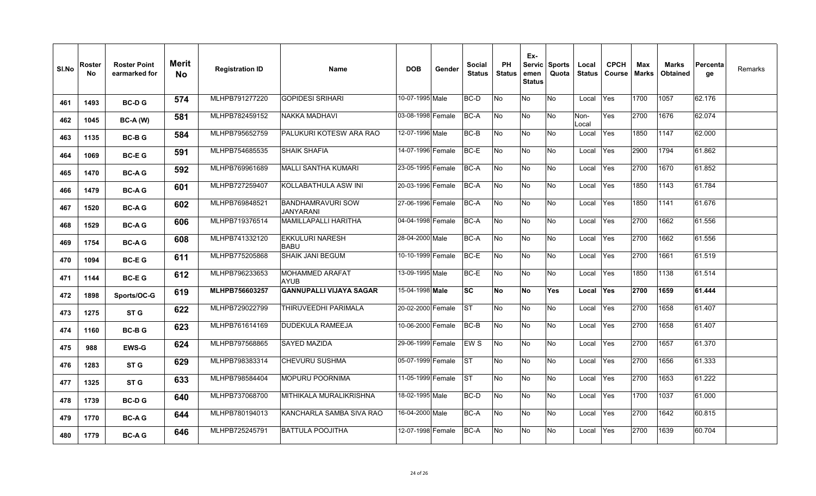| SI.No | Roster<br>No. | <b>Roster Point</b><br>earmarked for | Merit<br><b>No</b> | <b>Registration ID</b> | <b>Name</b>                           | <b>DOB</b>        | Gender | Social<br><b>Status</b> | <b>PH</b><br><b>Status</b> | Ex-<br>emen<br><b>Status</b> | Servic Sports<br>Quota | Local<br><b>Status</b> | <b>CPCH</b><br>Course | Max<br><b>Marks</b> | <b>Marks</b><br><b>Obtained</b> | Percenta<br>ge | Remarks |
|-------|---------------|--------------------------------------|--------------------|------------------------|---------------------------------------|-------------------|--------|-------------------------|----------------------------|------------------------------|------------------------|------------------------|-----------------------|---------------------|---------------------------------|----------------|---------|
| 461   | 1493          | <b>BC-DG</b>                         | 574                | MLHPB791277220         | <b>GOPIDESI SRIHARI</b>               | 10-07-1995 Male   |        | BC-D                    | No                         | No                           | No                     | Local                  | Yes                   | 1700                | 1057                            | 62.176         |         |
| 462   | 1045          | $BC-A (W)$                           | 581                | MLHPB782459152         | NAKKA MADHAVI                         | 03-08-1998 Female |        | BC-A                    | No                         | No                           | No.                    | Non-<br>Local          | Yes                   | 2700                | 1676                            | 62.074         |         |
| 463   | 1135          | <b>BC-BG</b>                         | 584                | MLHPB795652759         | PALUKURI KOTESW ARA RAO               | 12-07-1996 Male   |        | BC-B                    | No                         | No                           | No.                    | Local                  | Yes                   | 1850                | 1147                            | 62.000         |         |
| 464   | 1069          | <b>BC-EG</b>                         | 591                | MLHPB754685535         | <b>SHAIK SHAFIA</b>                   | 14-07-1996 Female |        | BC-E                    | No                         | No                           | <b>No</b>              | Local                  | Yes                   | 2900                | 1794                            | 61.862         |         |
| 465   | 1470          | <b>BC-AG</b>                         | 592                | MLHPB769961689         | MALLI SANTHA KUMARI                   | 23-05-1995 Female |        | BC-A                    | No                         | No                           | No.                    | Local                  | Yes                   | 2700                | 1670                            | 61.852         |         |
| 466   | 1479          | <b>BC-AG</b>                         | 601                | MLHPB727259407         | KOLLABATHULA ASW INI                  | 20-03-1996 Female |        | BC-A                    | No                         | No                           | No                     | Local                  | Yes                   | 1850                | 1143                            | 61.784         |         |
| 467   | 1520          | <b>BC-AG</b>                         | 602                | MLHPB769848521         | <b>BANDHAMRAVURI SOW</b><br>JANYARANI | 27-06-1996 Female |        | BC-A                    | No                         | <b>No</b>                    | <b>No</b>              | Local                  | Yes                   | 1850                | 1141                            | 61.676         |         |
| 468   | 1529          | <b>BC-AG</b>                         | 606                | MLHPB719376514         | MAMILLAPALLI HARITHA                  | 04-04-1998 Female |        | BC-A                    | No                         | $\overline{\mathsf{No}}$     | <b>No</b>              | Local                  | Yes                   | 2700                | 1662                            | 61.556         |         |
| 469   | 1754          | <b>BC-AG</b>                         | 608                | MLHPB741332120         | EKKULURI NARESH<br><b>BABU</b>        | 28-04-2000 Male   |        | BC-A                    | No                         | No                           | No.                    | Local                  | Yes                   | 2700                | 1662                            | 61.556         |         |
| 470   | 1094          | <b>BC-EG</b>                         | 611                | MLHPB775205868         | <b>SHAIK JANI BEGUM</b>               | 10-10-1999 Female |        | BC-E                    | No                         | No                           | <b>No</b>              | Local                  | Yes                   | 2700                | 1661                            | 61.519         |         |
| 471   | 1144          | <b>BC-EG</b>                         | 612                | MLHPB796233653         | <b>MOHAMMED ARAFAT</b><br><b>AYUB</b> | 13-09-1995 Male   |        | BC-E                    | No                         | No                           | No                     | Local                  | Yes                   | 1850                | 1138                            | 61.514         |         |
| 472   | 1898          | Sports/OC-G                          | 619                | MLHPB756603257         | <b>GANNUPALLI VIJAYA SAGAR</b>        | 15-04-1998 Male   |        | <b>SC</b>               | No                         | <b>No</b>                    | <b>Yes</b>             | Local                  | <b>Yes</b>            | 2700                | 1659                            | 61.444         |         |
| 473   | 1275          | ST G                                 | 622                | MLHPB729022799         | THIRUVEEDHI PARIMALA                  | 20-02-2000 Female |        | <b>ST</b>               | No                         | No                           | No.                    | Local                  | Yes                   | 2700                | 1658                            | 61.407         |         |
| 474   | 1160          | <b>BC-BG</b>                         | 623                | MLHPB761614169         | <b>DUDEKULA RAMEEJA</b>               | 10-06-2000 Female |        | BC-B                    | No                         | No                           | No.                    | Local                  | Yes                   | 2700                | 1658                            | 61.407         |         |
| 475   | 988           | <b>EWS-G</b>                         | 624                | MLHPB797568865         | SAYED MAZIDA                          | 29-06-1999 Female |        | EW <sub>S</sub>         | No                         | No                           | <b>No</b>              | Local                  | Yes                   | 2700                | 1657                            | 61.370         |         |
| 476   | 1283          | ST <sub>G</sub>                      | 629                | MLHPB798383314         | <b>CHEVURU SUSHMA</b>                 | 05-07-1999 Female |        | <b>ST</b>               | No                         | $\overline{\mathsf{No}}$     | <b>No</b>              | Local                  | Yes                   | 2700                | 1656                            | 61.333         |         |
| 477   | 1325          | ST G                                 | 633                | MLHPB798584404         | MOPURU POORNIMA                       | 11-05-1999 Female |        | IST.                    | No                         | No                           | No.                    | Local                  | Yes                   | 2700                | 1653                            | 61.222         |         |
| 478   | 1739          | <b>BC-DG</b>                         | 640                | MLHPB737068700         | MITHIKALA MURALIKRISHNA               | 18-02-1995 Male   |        | BC-D                    | No                         | No                           | <b>No</b>              | Local                  | Yes                   | 1700                | 1037                            | 61.000         |         |
| 479   | 1770          | <b>BC-AG</b>                         | 644                | MLHPB780194013         | KANCHARLA SAMBA SIVA RAO              | 16-04-2000 Male   |        | BC-A                    | No                         | No                           | No.                    | Local                  | Yes                   | 2700                | 1642                            | 60.815         |         |
| 480   | 1779          | <b>BC-AG</b>                         | 646                | MLHPB725245791         | <b>BATTULA POOJITHA</b>               | 12-07-1998 Female |        | BC-A                    | No.                        | No                           | No.                    | Local                  | Yes                   | 2700                | 1639                            | 60.704         |         |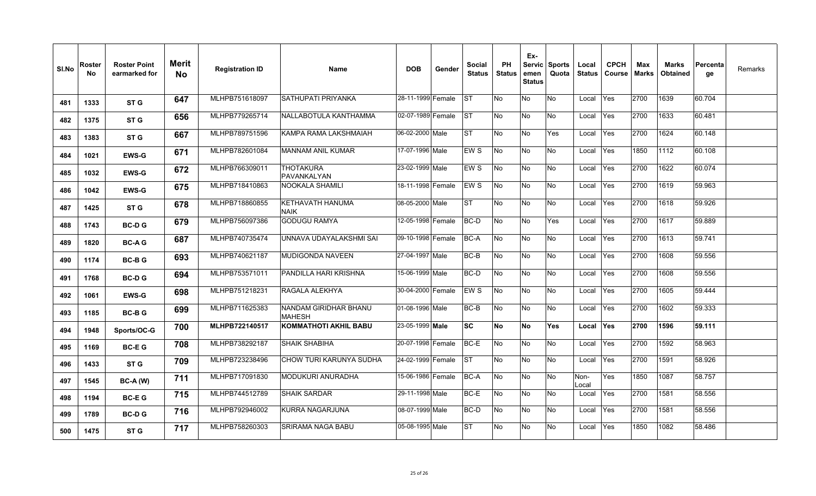| SI.No | Roster<br>No | <b>Roster Point</b><br>earmarked for | <b>Merit</b><br><b>No</b> | <b>Registration ID</b> | <b>Name</b>                            | <b>DOB</b>         | Gender | Social<br><b>Status</b> | <b>PH</b><br><b>Status</b> | Ex-<br>emen<br><b>Status</b> | Servic Sports<br>Quota | Local<br><b>Status</b> | <b>CPCH</b><br>Course | Max<br><b>Marks</b> | <b>Marks</b><br><b>Obtained</b> | l Percenta<br>ge | Remarks |
|-------|--------------|--------------------------------------|---------------------------|------------------------|----------------------------------------|--------------------|--------|-------------------------|----------------------------|------------------------------|------------------------|------------------------|-----------------------|---------------------|---------------------------------|------------------|---------|
| 481   | 1333         | ST G                                 | 647                       | MLHPB751618097         | SATHUPATI PRIYANKA                     | 28-11-1999 Female  |        | <b>IST</b>              | <b>No</b>                  | No                           | <b>No</b>              | Local                  | Yes                   | 2700                | 1639                            | 60.704           |         |
| 482   | 1375         | ST G                                 | 656                       | MLHPB779265714         | NALLABOTULA KANTHAMMA                  | 02-07-1989 Female  |        | <b>ST</b>               | No                         | No                           | No                     | Local                  | Yes                   | 2700                | 1633                            | 60.481           |         |
| 483   | 1383         | ST G                                 | 667                       | MLHPB789751596         | KAMPA RAMA LAKSHMAIAH                  | 06-02-2000 Male    |        | <b>ST</b>               | No                         | No                           | Yes                    | Local                  | Yes                   | 2700                | 1624                            | 60.148           |         |
| 484   | 1021         | <b>EWS-G</b>                         | 671                       | MLHPB782601084         | <b>MANNAM ANIL KUMAR</b>               | 17-07-1996 Male    |        | EW S                    | No                         | No                           | No                     | Local                  | Yes                   | 1850                | 1112                            | 60.108           |         |
| 485   | 1032         | <b>EWS-G</b>                         | 672                       | MLHPB766309011         | <b>THOTAKURA</b><br>PAVANKALYAN        | 23-02-1999 Male    |        | EWS                     | No                         | No                           | No.                    | Local                  | Yes                   | 2700                | 1622                            | 60.074           |         |
| 486   | 1042         | <b>EWS-G</b>                         | 675                       | MLHPB718410863         | <b>NOOKALA SHAMILI</b>                 | 18-11-1998 Female  |        | EW S                    | <b>No</b>                  | No                           | <b>No</b>              | Local                  | <b>Yes</b>            | 2700                | 1619                            | 59.963           |         |
| 487   | 1425         | ST G                                 | 678                       | MLHPB718860855         | <b>KETHAVATH HANUMA</b><br><b>NAIK</b> | 08-05-2000 Male    |        | <b>ST</b>               | No                         | No                           | No                     | Local                  | Yes                   | 2700                | 1618                            | 59.926           |         |
| 488   | 1743         | <b>BC-DG</b>                         | 679                       | MLHPB756097386         | <b>GODUGU RAMYA</b>                    | 12-05-1998 Female  |        | BC-D                    | No                         | No                           | Yes                    | Local                  | Yes                   | 2700                | 1617                            | 59.889           |         |
| 489   | 1820         | <b>BC-AG</b>                         | 687                       | MLHPB740735474         | UNNAVA UDAYALAKSHMI SAI                | 09-10-1998 Female  |        | <b>BC-A</b>             | <b>No</b>                  | No                           | No                     | Local                  | Yes                   | 2700                | 1613                            | 59.741           |         |
| 490   | 1174         | <b>BC-BG</b>                         | 693                       | MLHPB740621187         | <b>MUDIGONDA NAVEEN</b>                | 27-04-1997   Male  |        | BC-B                    | <b>No</b>                  | No.                          | No.                    | Local                  | Yes                   | 2700                | 1608                            | 59.556           |         |
| 491   | 1768         | <b>BC-DG</b>                         | 694                       | MLHPB753571011         | PANDILLA HARI KRISHNA                  | 15-06-1999 Male    |        | <b>BC-D</b>             | <b>No</b>                  | No                           | <b>No</b>              | Local                  | Yes                   | 2700                | 1608                            | 59.556           |         |
| 492   | 1061         | <b>EWS-G</b>                         | 698                       | MLHPB751218231         | RAGALA ALEKHYA                         | 30-04-2000 Female  |        | EWS                     | No                         | No                           | No                     | Local                  | Yes                   | 2700                | 1605                            | 59.444           |         |
| 493   | 1185         | <b>BC-BG</b>                         | 699                       | MLHPB711625383         | NANDAM GIRIDHAR BHANU<br><b>MAHESH</b> | 01-08-1996 Male    |        | BC-B                    | <b>No</b>                  | No                           | <b>No</b>              | Local                  | Yes                   | 2700                | 1602                            | 59.333           |         |
| 494   | 1948         | Sports/OC-G                          | 700                       | MLHPB722140517         | <b>KOMMATHOTI AKHIL BABU</b>           | 23-05-1999 Male    |        | <b>SC</b>               | <b>No</b>                  | <b>No</b>                    | Yes                    | Local                  | <b>Yes</b>            | 2700                | 1596                            | 59.111           |         |
| 495   | 1169         | <b>BC-EG</b>                         | 708                       | MLHPB738292187         | <b>SHAIK SHABIHA</b>                   | 20-07-1998 Female  |        | BC-E                    | No                         | No                           | <b>No</b>              | Local                  | Yes                   | 2700                | 1592                            | 58.963           |         |
| 496   | 1433         | ST <sub>G</sub>                      | 709                       | MLHPB723238496         | CHOW TURI KARUNYA SUDHA                | 24-02-1999 Female  |        | <b>ST</b>               | <b>No</b>                  | No                           | <b>No</b>              | Local                  | Yes                   | 2700                | 1591                            | 58.926           |         |
| 497   | 1545         | <b>BC-A (W)</b>                      | 711                       | MLHPB717091830         | <b>MODUKURI ANURADHA</b>               | 15-06-1986  Female |        | BC-A                    | <b>No</b>                  | No                           | No                     | Non-<br>Local          | Yes                   | 1850                | 1087                            | 58.757           |         |
| 498   | 1194         | <b>BC-EG</b>                         | 715                       | MLHPB744512789         | <b>SHAIK SARDAR</b>                    | 29-11-1998 Male    |        | BC-E                    | No                         | No                           | No                     | Local                  | Yes                   | 2700                | 1581                            | 58.556           |         |
| 499   | 1789         | <b>BC-DG</b>                         | 716                       | MLHPB792946002         | KURRA NAGARJUNA                        | 08-07-1999 Male    |        | <b>BC-D</b>             | No                         | No                           | No.                    | Local                  | <b>Yes</b>            | 2700                | 1581                            | 58.556           |         |
| 500   | 1475         | ST G                                 | 717                       | MLHPB758260303         | <b>SRIRAMA NAGA BABU</b>               | 05-08-1995 Male    |        | <b>ST</b>               | No                         | No                           | No                     | Local                  | Yes                   | 1850                | 1082                            | 58.486           |         |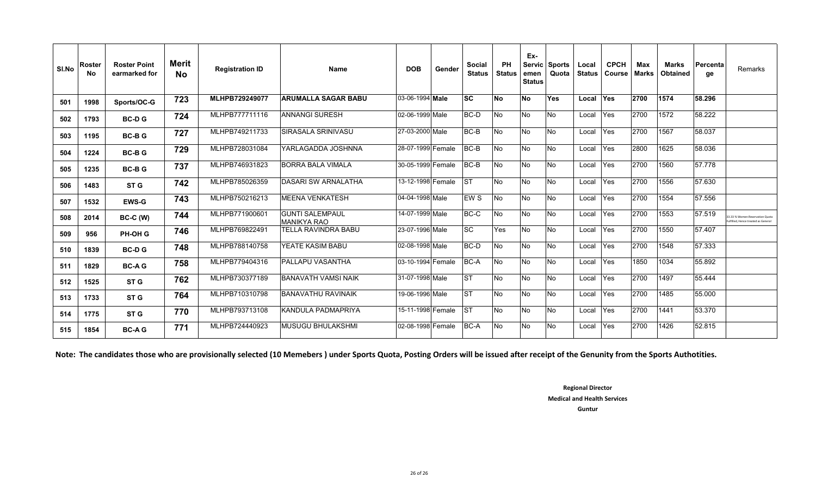| SI.No | Roster<br>No | <b>Roster Point</b><br>earmarked for | Merit<br>No | <b>Registration ID</b> | <b>Name</b>                     | <b>DOB</b>        | Gender | <b>Social</b><br><b>Status</b> | PH<br><b>Status</b> | Ex-<br>Servic<br>emen<br><b>Status</b> | <b>Sports</b><br>Quota | Local<br><b>Status</b> | <b>CPCH</b><br><b>Course</b> | Max<br>Marks | <b>Marks</b><br>Obtained | Percenta<br>ge | Remarks                                                              |
|-------|--------------|--------------------------------------|-------------|------------------------|---------------------------------|-------------------|--------|--------------------------------|---------------------|----------------------------------------|------------------------|------------------------|------------------------------|--------------|--------------------------|----------------|----------------------------------------------------------------------|
| 501   | 1998         | Sports/OC-G                          | 723         | MLHPB729249077         | <b>ARUMALLA SAGAR BABU</b>      | 03-06-1994 Male   |        | lsc                            | <b>No</b>           | <b>No</b>                              | <b>Yes</b>             | Local                  | Yes                          | 2700         | 1574                     | 58.296         |                                                                      |
| 502   | 1793         | <b>BC-DG</b>                         | 724         | MLHPB777711116         | <b>ANNANGI SURESH</b>           | 02-06-1999 Male   |        | <b>BC-D</b>                    | No                  | <b>No</b>                              | No                     | Local                  | Yes                          | 2700         | 1572                     | 58.222         |                                                                      |
| 503   | 1195         | <b>BC-BG</b>                         | 727         | MLHPB749211733         | SIRASALA SRINIVASU              | 27-03-2000 Male   |        | <b>BC-B</b>                    | No                  | <b>No</b>                              | No                     | Local                  | Yes                          | 2700         | 1567                     | 58.037         |                                                                      |
| 504   | 1224         | <b>BC-BG</b>                         | 729         | MLHPB728031084         | YARLAGADDA JOSHNNA              | 28-07-1999 Female |        | BC-B                           | No                  | <b>No</b>                              | No.                    | Local                  | Yes                          | 2800         | 1625                     | 58.036         |                                                                      |
| 505   | 1235         | <b>BC-BG</b>                         | 737         | MLHPB746931823         | <b>BORRA BALA VIMALA</b>        | 30-05-1999 Female |        | <b>BC-B</b>                    | No                  | <b>No</b>                              | No.                    | Local                  | Yes                          | 2700         | 1560                     | 57.778         |                                                                      |
| 506   | 1483         | ST <sub>G</sub>                      | 742         | MLHPB785026359         | <b>DASARI SW ARNALATHA</b>      | 13-12-1998 Female |        | <b>IST</b>                     | No                  | <b>No</b>                              | No                     | Local                  | Yes                          | 2700         | 1556                     | 57.630         |                                                                      |
| 507   | 1532         | <b>EWS-G</b>                         | 743         | MLHPB750216213         | <b>MEENA VENKATESH</b>          | 04-04-1998 Male   |        | <b>EWS</b>                     | No                  | <b>No</b>                              | No                     | Local                  | Yes                          | 2700         | 1554                     | 57.556         |                                                                      |
| 508   | 2014         | <b>BC-C (W)</b>                      | 744         | MLHPB771900601         | İGUNTI SALEMPAUL<br>MANIKYA RAO | 14-07-1999 Male   |        | BC-C                           | No                  | <b>No</b>                              | No                     | Local                  | Yes                          | 2700         | 1553                     | 57.519         | 3.33 % Women Reservation Quota<br>ulfilled. Hence treated as General |
| 509   | 956          | PH-OH G                              | 746         | MLHPB769822491         | <b>TELLA RAVINDRA BABU</b>      | 23-07-1996 Male   |        | <b>ISC</b>                     | Yes                 | <b>No</b>                              | No                     | Local                  | Yes                          | 2700         | 1550                     | 57.407         |                                                                      |
| 510   | 1839         | <b>BC-DG</b>                         | 748         | MLHPB788140758         | YEATE KASIM BABU                | 02-08-1998 Male   |        | <b>BC-D</b>                    | No                  | <b>No</b>                              | No                     | Local                  | Yes                          | 2700         | 1548                     | 57.333         |                                                                      |
| 511   | 1829         | <b>BC-AG</b>                         | 758         | MLHPB779404316         | <b>PALLAPU VASANTHA</b>         | 03-10-1994 Female |        | <b>BC-A</b>                    | No                  | <b>No</b>                              | <b>No</b>              | Local                  | <b>Yes</b>                   | 1850         | 1034                     | 55.892         |                                                                      |
| 512   | 1525         | ST <sub>G</sub>                      | 762         | MLHPB730377189         | <b>BANAVATH VAMSI NAIK</b>      | 31-07-1998 Male   |        | <b>ST</b>                      | No                  | <b>No</b>                              | <b>No</b>              | Local                  | Yes                          | 2700         | 1497                     | 55.444         |                                                                      |
| 513   | 1733         | ST <sub>G</sub>                      | 764         | MLHPB710310798         | BANAVATHU RAVINAIK              | 19-06-1996 Male   |        | <b>ST</b>                      | No                  | <b>No</b>                              | No.                    | Local                  | Yes                          | 2700         | 1485                     | 55.000         |                                                                      |
| 514   | 1775         | ST <sub>G</sub>                      | 770         | MLHPB793713108         | KANDULA PADMAPRIYA              | 15-11-1998 Female |        | <b>ST</b>                      | No                  | <b>No</b>                              | No                     | Local                  | Yes                          | 2700         | 1441                     | 53.370         |                                                                      |
| 515   | 1854         | <b>BC-AG</b>                         | 771         | MLHPB724440923         | <b>MUSUGU BHULAKSHMI</b>        | 02-08-1998 Female |        | <b>BC-A</b>                    | No                  | <b>No</b>                              | No                     | Local                  | Yes                          | 2700         | 1426                     | 52.815         |                                                                      |

**Note: The candidates those who are provisionally selected (10 Memebers ) under Sports Quota, Posting Orders will be issued after receipt of the Genunity from the Sports Authotities.**

**Regional Director Medical and Health Services Guntur**